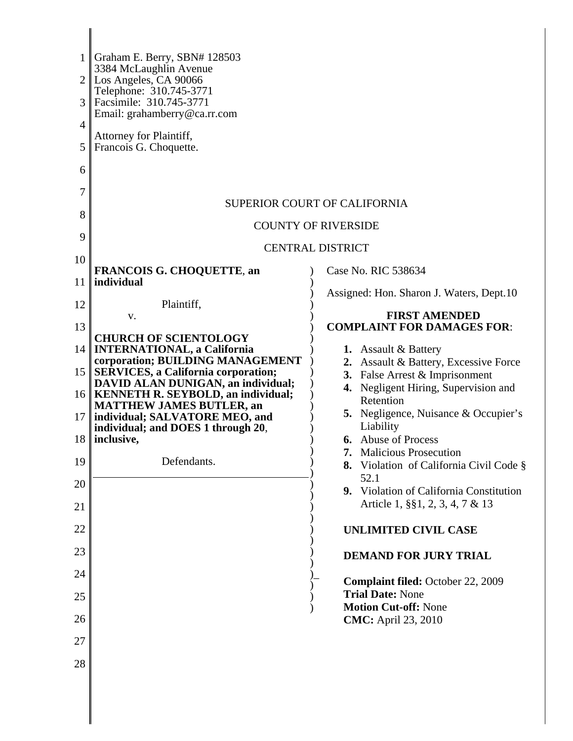| Assigned: Hon. Sharon J. Waters, Dept.10                                                                                                                                                                                                                                                                                                                                                                                        |
|---------------------------------------------------------------------------------------------------------------------------------------------------------------------------------------------------------------------------------------------------------------------------------------------------------------------------------------------------------------------------------------------------------------------------------|
| <b>FIRST AMENDED</b><br><b>COMPLAINT FOR DAMAGES FOR:</b>                                                                                                                                                                                                                                                                                                                                                                       |
| 2. Assault & Battery, Excessive Force<br>3. False Arrest & Imprisonment<br>4. Negligent Hiring, Supervision and<br><b>5.</b> Negligence, Nuisance & Occupier's<br><b>Malicious Prosecution</b><br>Violation of California Civil Code §<br>9. Violation of California Constitution<br>Article 1, §§1, 2, 3, 4, 7 & 13<br><b>UNLIMITED CIVIL CASE</b><br><b>DEMAND FOR JURY TRIAL</b><br><b>Complaint filed: October 22, 2009</b> |
|                                                                                                                                                                                                                                                                                                                                                                                                                                 |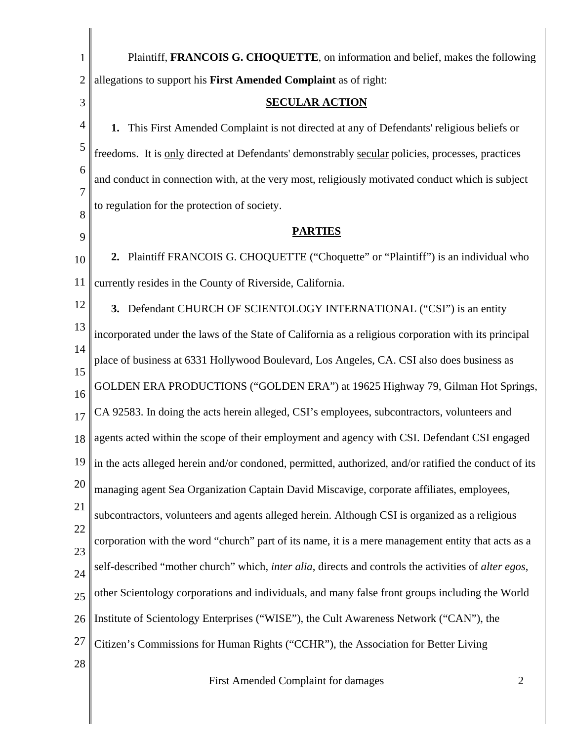| $\mathbf{1}$   | Plaintiff, FRANCOIS G. CHOQUETTE, on information and belief, makes the following                                     |
|----------------|----------------------------------------------------------------------------------------------------------------------|
| $\overline{2}$ | allegations to support his First Amended Complaint as of right:                                                      |
| 3              | <b>SECULAR ACTION</b>                                                                                                |
| 4              | This First Amended Complaint is not directed at any of Defendants' religious beliefs or<br>1.                        |
| 5              | freedoms. It is only directed at Defendants' demonstrably secular policies, processes, practices                     |
| 6              | and conduct in connection with, at the very most, religiously motivated conduct which is subject                     |
| 7<br>8         | to regulation for the protection of society.                                                                         |
| 9              | <b>PARTIES</b>                                                                                                       |
| 10             | 2. Plaintiff FRANCOIS G. CHOQUETTE ("Choquette" or "Plaintiff") is an individual who                                 |
| 11             | currently resides in the County of Riverside, California.                                                            |
| 12             | 3. Defendant CHURCH OF SCIENTOLOGY INTERNATIONAL ("CSI") is an entity                                                |
| 13             | incorporated under the laws of the State of California as a religious corporation with its principal                 |
| 14<br>15       | place of business at 6331 Hollywood Boulevard, Los Angeles, CA. CSI also does business as                            |
| 16             | GOLDEN ERA PRODUCTIONS ("GOLDEN ERA") at 19625 Highway 79, Gilman Hot Springs,                                       |
| 17             | CA 92583. In doing the acts herein alleged, CSI's employees, subcontractors, volunteers and                          |
| 18             | agents acted within the scope of their employment and agency with CSI. Defendant CSI engaged                         |
| 19             | in the acts alleged herein and/or condoned, permitted, authorized, and/or ratified the conduct of its                |
| 20             | managing agent Sea Organization Captain David Miscavige, corporate affiliates, employees,                            |
| 21             | subcontractors, volunteers and agents alleged herein. Although CSI is organized as a religious                       |
| 22<br>23       | corporation with the word "church" part of its name, it is a mere management entity that acts as a                   |
| 24             | self-described "mother church" which, <i>inter alia</i> , directs and controls the activities of <i>alter egos</i> , |
| 25             | other Scientology corporations and individuals, and many false front groups including the World                      |
| 26             | Institute of Scientology Enterprises ("WISE"), the Cult Awareness Network ("CAN"), the                               |
| 27             | Citizen's Commissions for Human Rights ("CCHR"), the Association for Better Living                                   |
| 28             |                                                                                                                      |

 $\mathbb{I}$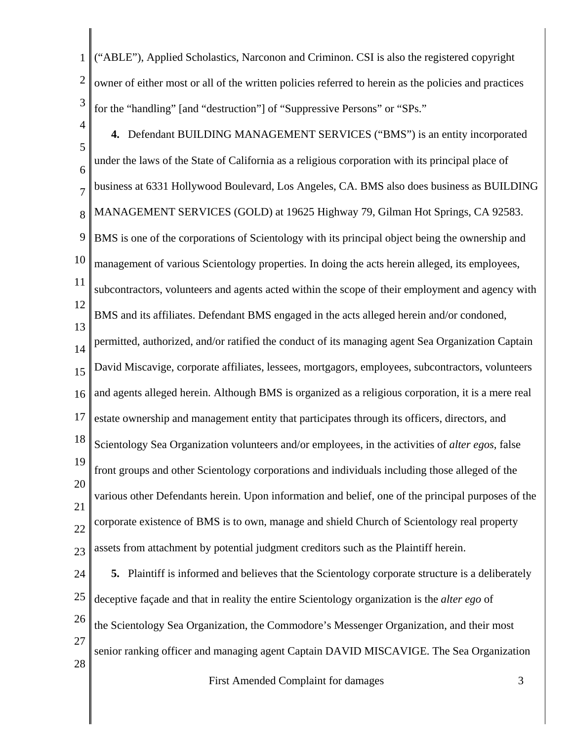1 2 3 4 5 6 7 8 9 10 11 12 13 14 15 16 17 18 19 20 21 22 23 24 25 26 27 28 ("ABLE"), Applied Scholastics, Narconon and Criminon. CSI is also the registered copyright owner of either most or all of the written policies referred to herein as the policies and practices for the "handling" [and "destruction"] of "Suppressive Persons" or "SPs." **4.** Defendant BUILDING MANAGEMENT SERVICES ("BMS") is an entity incorporated under the laws of the State of California as a religious corporation with its principal place of business at 6331 Hollywood Boulevard, Los Angeles, CA. BMS also does business as BUILDING MANAGEMENT SERVICES (GOLD) at 19625 Highway 79, Gilman Hot Springs, CA 92583. BMS is one of the corporations of Scientology with its principal object being the ownership and management of various Scientology properties. In doing the acts herein alleged, its employees, subcontractors, volunteers and agents acted within the scope of their employment and agency with BMS and its affiliates. Defendant BMS engaged in the acts alleged herein and/or condoned, permitted, authorized, and/or ratified the conduct of its managing agent Sea Organization Captain David Miscavige, corporate affiliates, lessees, mortgagors, employees, subcontractors, volunteers and agents alleged herein. Although BMS is organized as a religious corporation, it is a mere real estate ownership and management entity that participates through its officers, directors, and Scientology Sea Organization volunteers and/or employees, in the activities of *alter egos*, false front groups and other Scientology corporations and individuals including those alleged of the various other Defendants herein. Upon information and belief, one of the principal purposes of the corporate existence of BMS is to own, manage and shield Church of Scientology real property assets from attachment by potential judgment creditors such as the Plaintiff herein. **5.** Plaintiff is informed and believes that the Scientology corporate structure is a deliberately deceptive façade and that in reality the entire Scientology organization is the *alter ego* of the Scientology Sea Organization, the Commodore's Messenger Organization, and their most senior ranking officer and managing agent Captain DAVID MISCAVIGE. The Sea Organization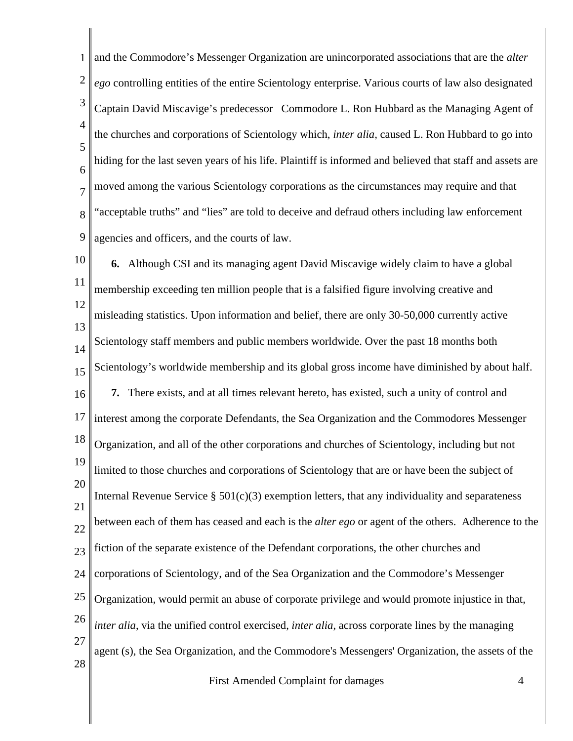1 2 3 4 5 6 7 8 9 and the Commodore's Messenger Organization are unincorporated associations that are the *alter ego* controlling entities of the entire Scientology enterprise. Various courts of law also designated Captain David Miscavige's predecessor Commodore L. Ron Hubbard as the Managing Agent of the churches and corporations of Scientology which, *inter alia,* caused L. Ron Hubbard to go into hiding for the last seven years of his life. Plaintiff is informed and believed that staff and assets are moved among the various Scientology corporations as the circumstances may require and that "acceptable truths" and "lies" are told to deceive and defraud others including law enforcement agencies and officers, and the courts of law.

10 11 12 13 14 15 16 17 18 19 20 21 22 23 24 25 26 27 28 **6.** Although CSI and its managing agent David Miscavige widely claim to have a global membership exceeding ten million people that is a falsified figure involving creative and misleading statistics. Upon information and belief, there are only 30-50,000 currently active Scientology staff members and public members worldwide. Over the past 18 months both Scientology's worldwide membership and its global gross income have diminished by about half. **7.** There exists, and at all times relevant hereto, has existed, such a unity of control and interest among the corporate Defendants, the Sea Organization and the Commodores Messenger Organization, and all of the other corporations and churches of Scientology, including but not limited to those churches and corporations of Scientology that are or have been the subject of Internal Revenue Service  $\S 501(c)(3)$  exemption letters, that any individuality and separateness between each of them has ceased and each is the *alter ego* or agent of the others. Adherence to the fiction of the separate existence of the Defendant corporations, the other churches and corporations of Scientology, and of the Sea Organization and the Commodore's Messenger Organization, would permit an abuse of corporate privilege and would promote injustice in that, *inter alia*, via the unified control exercised, *inter alia*, across corporate lines by the managing agent (s), the Sea Organization, and the Commodore's Messengers' Organization, the assets of the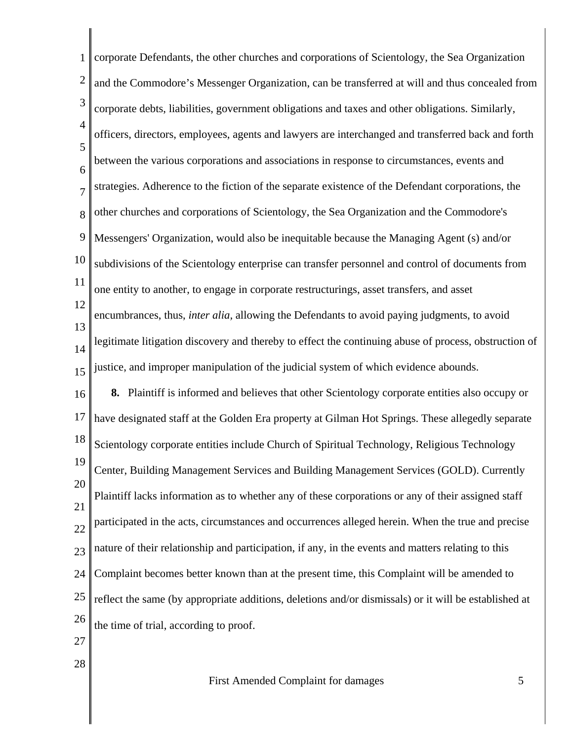1 2 3 4 5 6 7 8 9 10 11 12 13 14 15 16 17 18 19 20 21 22 23 24 25 26 27 corporate Defendants, the other churches and corporations of Scientology, the Sea Organization and the Commodore's Messenger Organization, can be transferred at will and thus concealed from corporate debts, liabilities, government obligations and taxes and other obligations. Similarly, officers, directors, employees, agents and lawyers are interchanged and transferred back and forth between the various corporations and associations in response to circumstances, events and strategies. Adherence to the fiction of the separate existence of the Defendant corporations, the other churches and corporations of Scientology, the Sea Organization and the Commodore's Messengers' Organization, would also be inequitable because the Managing Agent (s) and/or subdivisions of the Scientology enterprise can transfer personnel and control of documents from one entity to another, to engage in corporate restructurings, asset transfers, and asset encumbrances, thus, *inter alia,* allowing the Defendants to avoid paying judgments, to avoid legitimate litigation discovery and thereby to effect the continuing abuse of process, obstruction of justice, and improper manipulation of the judicial system of which evidence abounds. **8.** Plaintiff is informed and believes that other Scientology corporate entities also occupy or have designated staff at the Golden Era property at Gilman Hot Springs. These allegedly separate Scientology corporate entities include Church of Spiritual Technology, Religious Technology Center, Building Management Services and Building Management Services (GOLD). Currently Plaintiff lacks information as to whether any of these corporations or any of their assigned staff participated in the acts, circumstances and occurrences alleged herein. When the true and precise nature of their relationship and participation, if any, in the events and matters relating to this Complaint becomes better known than at the present time, this Complaint will be amended to reflect the same (by appropriate additions, deletions and/or dismissals) or it will be established at the time of trial, according to proof.

First Amended Complaint for damages 5

28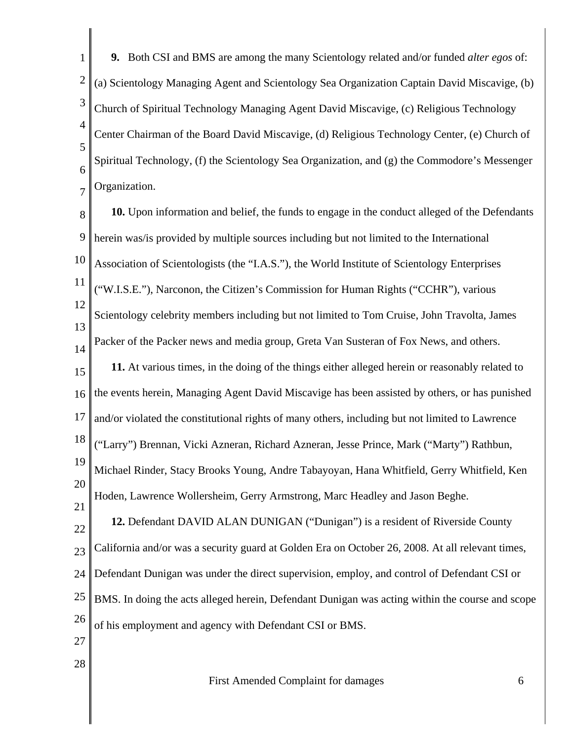1 2 3 4 5 6 7 **9.** Both CSI and BMS are among the many Scientology related and/or funded *alter egos* of: (a) Scientology Managing Agent and Scientology Sea Organization Captain David Miscavige, (b) Church of Spiritual Technology Managing Agent David Miscavige, (c) Religious Technology Center Chairman of the Board David Miscavige, (d) Religious Technology Center, (e) Church of Spiritual Technology, (f) the Scientology Sea Organization, and (g) the Commodore's Messenger Organization.

8 9 10 11 12 13 14 15 16 17 18 19 20 21 22 23 24 25 26 **10.** Upon information and belief, the funds to engage in the conduct alleged of the Defendants herein was/is provided by multiple sources including but not limited to the International Association of Scientologists (the "I.A.S."), the World Institute of Scientology Enterprises ("W.I.S.E."), Narconon, the Citizen's Commission for Human Rights ("CCHR"), various Scientology celebrity members including but not limited to Tom Cruise, John Travolta, James Packer of the Packer news and media group, Greta Van Susteran of Fox News, and others. **11.** At various times, in the doing of the things either alleged herein or reasonably related to the events herein, Managing Agent David Miscavige has been assisted by others, or has punished and/or violated the constitutional rights of many others, including but not limited to Lawrence ("Larry") Brennan, Vicki Azneran, Richard Azneran, Jesse Prince, Mark ("Marty") Rathbun, Michael Rinder, Stacy Brooks Young, Andre Tabayoyan, Hana Whitfield, Gerry Whitfield, Ken Hoden, Lawrence Wollersheim, Gerry Armstrong, Marc Headley and Jason Beghe. **12.** Defendant DAVID ALAN DUNIGAN ("Dunigan") is a resident of Riverside County California and/or was a security guard at Golden Era on October 26, 2008. At all relevant times, Defendant Dunigan was under the direct supervision, employ, and control of Defendant CSI or BMS. In doing the acts alleged herein, Defendant Dunigan was acting within the course and scope of his employment and agency with Defendant CSI or BMS.

- 27
- 28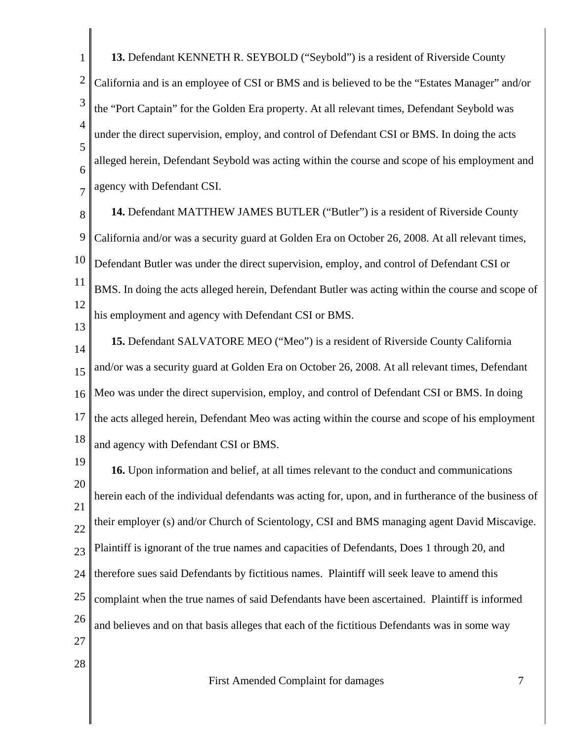1 2 3 4 5 6 7 **13.** Defendant KENNETH R. SEYBOLD ("Seybold") is a resident of Riverside County California and is an employee of CSI or BMS and is believed to be the "Estates Manager" and/or the "Port Captain" for the Golden Era property. At all relevant times, Defendant Seybold was under the direct supervision, employ, and control of Defendant CSI or BMS. In doing the acts alleged herein, Defendant Seybold was acting within the course and scope of his employment and agency with Defendant CSI.

8 9 10 11 12 **14.** Defendant MATTHEW JAMES BUTLER ("Butler") is a resident of Riverside County California and/or was a security guard at Golden Era on October 26, 2008. At all relevant times, Defendant Butler was under the direct supervision, employ, and control of Defendant CSI or BMS. In doing the acts alleged herein, Defendant Butler was acting within the course and scope of his employment and agency with Defendant CSI or BMS.

14 15 16 17 18 **15.** Defendant SALVATORE MEO ("Meo") is a resident of Riverside County California and/or was a security guard at Golden Era on October 26, 2008. At all relevant times, Defendant Meo was under the direct supervision, employ, and control of Defendant CSI or BMS. In doing the acts alleged herein, Defendant Meo was acting within the course and scope of his employment and agency with Defendant CSI or BMS.

13

28

19 20 21 22 23 24 25 26 27 **16.** Upon information and belief, at all times relevant to the conduct and communications herein each of the individual defendants was acting for, upon, and in furtherance of the business of their employer (s) and/or Church of Scientology, CSI and BMS managing agent David Miscavige. Plaintiff is ignorant of the true names and capacities of Defendants, Does 1 through 20, and therefore sues said Defendants by fictitious names. Plaintiff will seek leave to amend this complaint when the true names of said Defendants have been ascertained. Plaintiff is informed and believes and on that basis alleges that each of the fictitious Defendants was in some way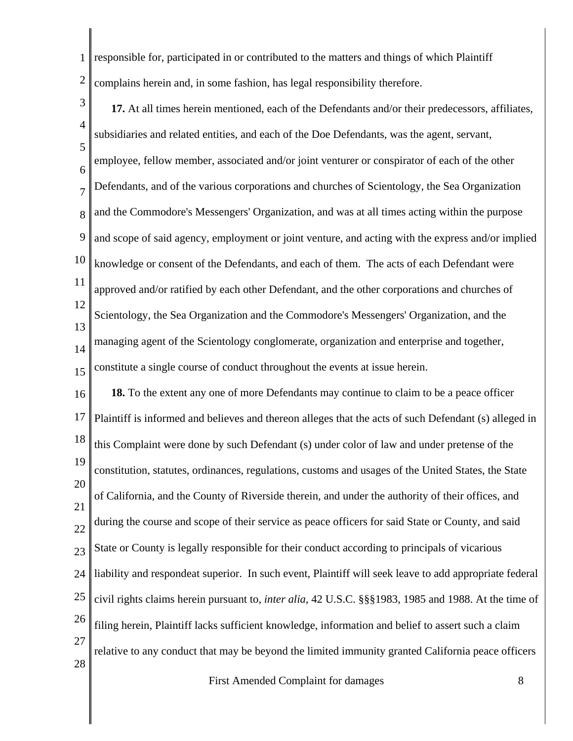1 2 responsible for, participated in or contributed to the matters and things of which Plaintiff complains herein and, in some fashion, has legal responsibility therefore.

3 4 5 6 7 8 9 10 11 12 13 14 15 **17.** At all times herein mentioned, each of the Defendants and/or their predecessors, affiliates, subsidiaries and related entities, and each of the Doe Defendants, was the agent, servant, employee, fellow member, associated and/or joint venturer or conspirator of each of the other Defendants, and of the various corporations and churches of Scientology, the Sea Organization and the Commodore's Messengers' Organization, and was at all times acting within the purpose and scope of said agency, employment or joint venture, and acting with the express and/or implied knowledge or consent of the Defendants, and each of them. The acts of each Defendant were approved and/or ratified by each other Defendant, and the other corporations and churches of Scientology, the Sea Organization and the Commodore's Messengers' Organization, and the managing agent of the Scientology conglomerate, organization and enterprise and together, constitute a single course of conduct throughout the events at issue herein.

16 17 18 19 20 21 22 23 24 25 26 27 28 **18.** To the extent any one of more Defendants may continue to claim to be a peace officer Plaintiff is informed and believes and thereon alleges that the acts of such Defendant (s) alleged in this Complaint were done by such Defendant (s) under color of law and under pretense of the constitution, statutes, ordinances, regulations, customs and usages of the United States, the State of California, and the County of Riverside therein, and under the authority of their offices, and during the course and scope of their service as peace officers for said State or County, and said State or County is legally responsible for their conduct according to principals of vicarious liability and respondeat superior. In such event, Plaintiff will seek leave to add appropriate federal civil rights claims herein pursuant to, *inter alia*, 42 U.S.C. §§§1983, 1985 and 1988. At the time of filing herein, Plaintiff lacks sufficient knowledge, information and belief to assert such a claim relative to any conduct that may be beyond the limited immunity granted California peace officers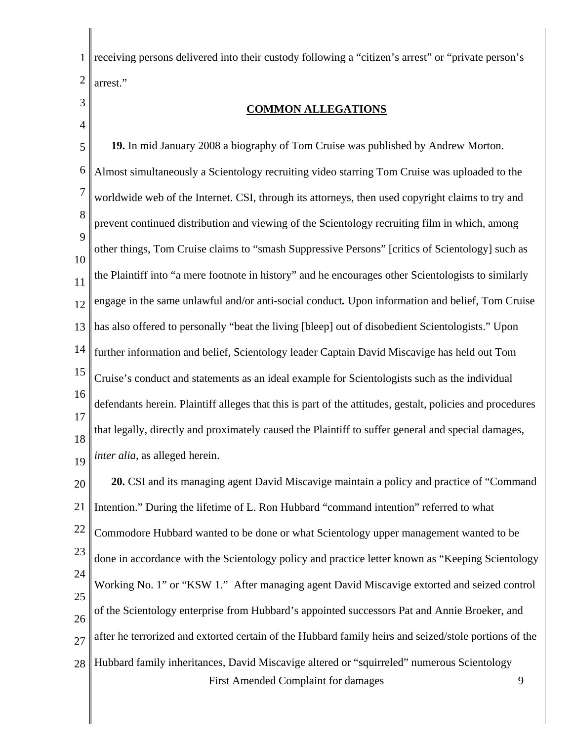1 2 receiving persons delivered into their custody following a "citizen's arrest" or "private person's arrest."

3 4

## **COMMON ALLEGATIONS**

5 6 7 8 9 10 11 12 13 14 15 16 17 18 19 **19.** In mid January 2008 a biography of Tom Cruise was published by Andrew Morton. Almost simultaneously a Scientology recruiting video starring Tom Cruise was uploaded to the worldwide web of the Internet. CSI, through its attorneys, then used copyright claims to try and prevent continued distribution and viewing of the Scientology recruiting film in which, among other things, Tom Cruise claims to "smash Suppressive Persons" [critics of Scientology] such as the Plaintiff into "a mere footnote in history" and he encourages other Scientologists to similarly engage in the same unlawful and/or anti-social conduct*.* Upon information and belief, Tom Cruise has also offered to personally "beat the living [bleep] out of disobedient Scientologists." Upon further information and belief, Scientology leader Captain David Miscavige has held out Tom Cruise's conduct and statements as an ideal example for Scientologists such as the individual defendants herein. Plaintiff alleges that this is part of the attitudes, gestalt, policies and procedures that legally, directly and proximately caused the Plaintiff to suffer general and special damages, *inter alia*, as alleged herein.

20 21 22 23 24 25 26 27 28 First Amended Complaint for damages 9 **20.** CSI and its managing agent David Miscavige maintain a policy and practice of "Command Intention." During the lifetime of L. Ron Hubbard "command intention" referred to what Commodore Hubbard wanted to be done or what Scientology upper management wanted to be done in accordance with the Scientology policy and practice letter known as "Keeping Scientology Working No. 1" or "KSW 1." After managing agent David Miscavige extorted and seized control of the Scientology enterprise from Hubbard's appointed successors Pat and Annie Broeker, and after he terrorized and extorted certain of the Hubbard family heirs and seized/stole portions of the Hubbard family inheritances, David Miscavige altered or "squirreled" numerous Scientology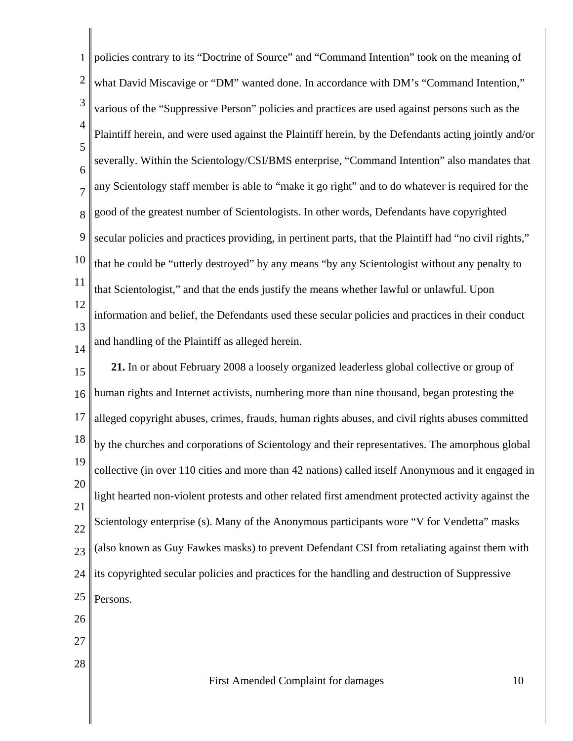1 2 3 4 5 6 7 8 9 10 11 12 13 14 15 16 17 18 19 20 21 22 23 24 25 26 27 28 First Amended Complaint for damages 10 policies contrary to its "Doctrine of Source" and "Command Intention" took on the meaning of what David Miscavige or "DM" wanted done. In accordance with DM's "Command Intention," various of the "Suppressive Person" policies and practices are used against persons such as the Plaintiff herein, and were used against the Plaintiff herein, by the Defendants acting jointly and/or severally. Within the Scientology/CSI/BMS enterprise, "Command Intention" also mandates that any Scientology staff member is able to "make it go right" and to do whatever is required for the good of the greatest number of Scientologists. In other words, Defendants have copyrighted secular policies and practices providing, in pertinent parts, that the Plaintiff had "no civil rights," that he could be "utterly destroyed" by any means "by any Scientologist without any penalty to that Scientologist," and that the ends justify the means whether lawful or unlawful. Upon information and belief, the Defendants used these secular policies and practices in their conduct and handling of the Plaintiff as alleged herein. **21.** In or about February 2008 a loosely organized leaderless global collective or group of human rights and Internet activists, numbering more than nine thousand, began protesting the alleged copyright abuses, crimes, frauds, human rights abuses, and civil rights abuses committed by the churches and corporations of Scientology and their representatives. The amorphous global collective (in over 110 cities and more than 42 nations) called itself Anonymous and it engaged in light hearted non-violent protests and other related first amendment protected activity against the Scientology enterprise (s). Many of the Anonymous participants wore "V for Vendetta" masks (also known as Guy Fawkes masks) to prevent Defendant CSI from retaliating against them with its copyrighted secular policies and practices for the handling and destruction of Suppressive Persons.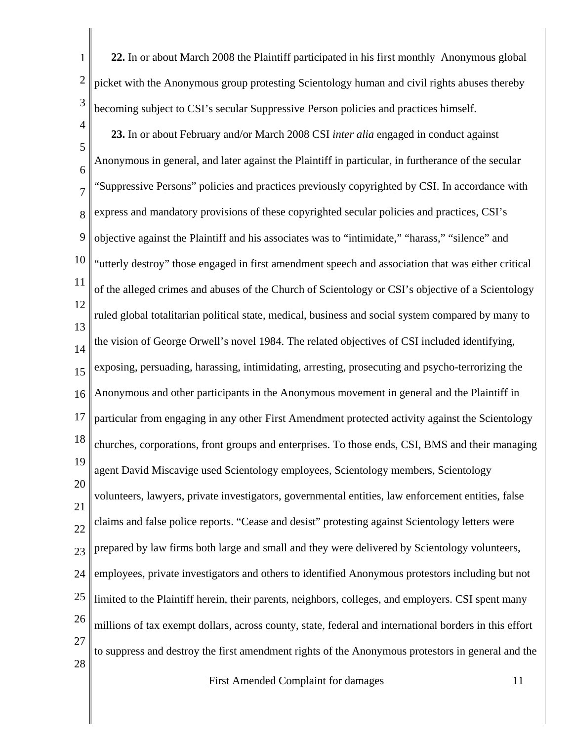1 2 3 **22.** In or about March 2008 the Plaintiff participated in his first monthly Anonymous global picket with the Anonymous group protesting Scientology human and civil rights abuses thereby becoming subject to CSI's secular Suppressive Person policies and practices himself.

4

5 6 7 8 9 10 11 12 13 14 15 16 17 18 19 20 21 22 23 24 25 26 27 28 **23.** In or about February and/or March 2008 CSI *inter alia* engaged in conduct against Anonymous in general, and later against the Plaintiff in particular, in furtherance of the secular "Suppressive Persons" policies and practices previously copyrighted by CSI. In accordance with express and mandatory provisions of these copyrighted secular policies and practices, CSI's objective against the Plaintiff and his associates was to "intimidate," "harass," "silence" and "utterly destroy" those engaged in first amendment speech and association that was either critical of the alleged crimes and abuses of the Church of Scientology or CSI's objective of a Scientology ruled global totalitarian political state, medical, business and social system compared by many to the vision of George Orwell's novel 1984. The related objectives of CSI included identifying, exposing, persuading, harassing, intimidating, arresting, prosecuting and psycho-terrorizing the Anonymous and other participants in the Anonymous movement in general and the Plaintiff in particular from engaging in any other First Amendment protected activity against the Scientology churches, corporations, front groups and enterprises. To those ends, CSI, BMS and their managing agent David Miscavige used Scientology employees, Scientology members, Scientology volunteers, lawyers, private investigators, governmental entities, law enforcement entities, false claims and false police reports. "Cease and desist" protesting against Scientology letters were prepared by law firms both large and small and they were delivered by Scientology volunteers, employees, private investigators and others to identified Anonymous protestors including but not limited to the Plaintiff herein, their parents, neighbors, colleges, and employers. CSI spent many millions of tax exempt dollars, across county, state, federal and international borders in this effort to suppress and destroy the first amendment rights of the Anonymous protestors in general and the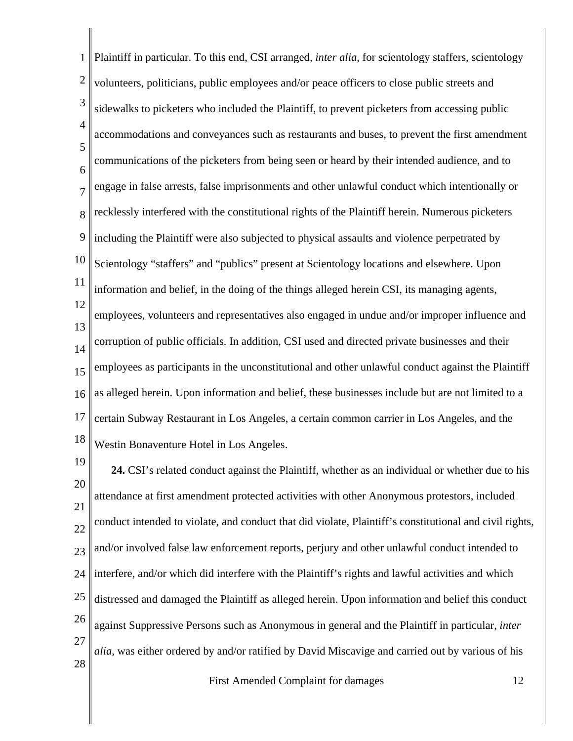1 2 3 4 5 6 7 8 9 10 11 12 13 14 15 16 17 18 Plaintiff in particular. To this end, CSI arranged, *inter alia*, for scientology staffers, scientology volunteers, politicians, public employees and/or peace officers to close public streets and sidewalks to picketers who included the Plaintiff, to prevent picketers from accessing public accommodations and conveyances such as restaurants and buses, to prevent the first amendment communications of the picketers from being seen or heard by their intended audience, and to engage in false arrests, false imprisonments and other unlawful conduct which intentionally or recklessly interfered with the constitutional rights of the Plaintiff herein. Numerous picketers including the Plaintiff were also subjected to physical assaults and violence perpetrated by Scientology "staffers" and "publics" present at Scientology locations and elsewhere. Upon information and belief, in the doing of the things alleged herein CSI, its managing agents, employees, volunteers and representatives also engaged in undue and/or improper influence and corruption of public officials. In addition, CSI used and directed private businesses and their employees as participants in the unconstitutional and other unlawful conduct against the Plaintiff as alleged herein. Upon information and belief, these businesses include but are not limited to a certain Subway Restaurant in Los Angeles, a certain common carrier in Los Angeles, and the Westin Bonaventure Hotel in Los Angeles.

19 20 21 22 23 24 25 26 27 28 **24.** CSI's related conduct against the Plaintiff, whether as an individual or whether due to his attendance at first amendment protected activities with other Anonymous protestors, included conduct intended to violate, and conduct that did violate, Plaintiff's constitutional and civil rights, and/or involved false law enforcement reports, perjury and other unlawful conduct intended to interfere, and/or which did interfere with the Plaintiff's rights and lawful activities and which distressed and damaged the Plaintiff as alleged herein. Upon information and belief this conduct against Suppressive Persons such as Anonymous in general and the Plaintiff in particular, *inter alia*, was either ordered by and/or ratified by David Miscavige and carried out by various of his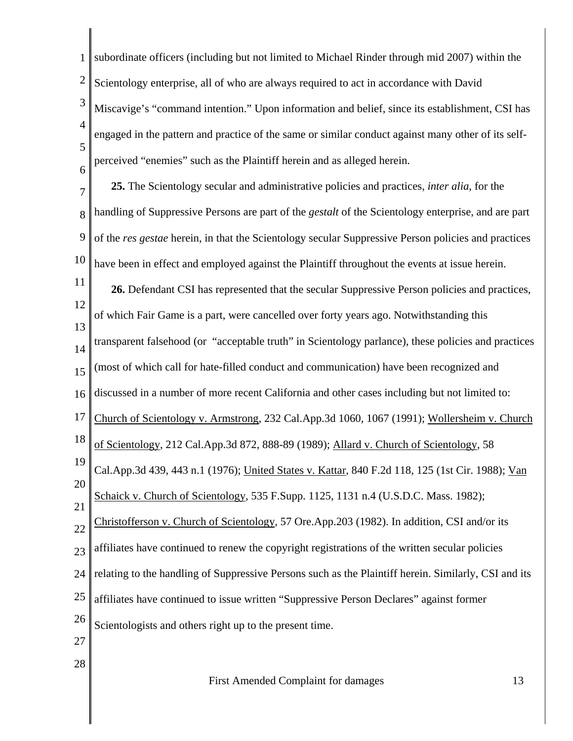1 2 3 4 5 6 7 8 9 10 11 12 13 14 15 16 17 18 19 20 21 22 23 24 25 26 27 28 subordinate officers (including but not limited to Michael Rinder through mid 2007) within the Scientology enterprise, all of who are always required to act in accordance with David Miscavige's "command intention." Upon information and belief, since its establishment, CSI has engaged in the pattern and practice of the same or similar conduct against many other of its selfperceived "enemies" such as the Plaintiff herein and as alleged herein. **25.** The Scientology secular and administrative policies and practices, *inter alia*, for the handling of Suppressive Persons are part of the *gestalt* of the Scientology enterprise, and are part of the *res gestae* herein, in that the Scientology secular Suppressive Person policies and practices have been in effect and employed against the Plaintiff throughout the events at issue herein. **26.** Defendant CSI has represented that the secular Suppressive Person policies and practices, of which Fair Game is a part, were cancelled over forty years ago. Notwithstanding this transparent falsehood (or "acceptable truth" in Scientology parlance), these policies and practices (most of which call for hate-filled conduct and communication) have been recognized and discussed in a number of more recent California and other cases including but not limited to: Church of Scientology v. Armstrong, 232 Cal.App.3d 1060, 1067 (1991); Wollersheim v. Church of Scientology, 212 Cal.App.3d 872, 888-89 (1989); Allard v. Church of Scientology, 58 Cal.App.3d 439, 443 n.1 (1976); United States v. Kattar, 840 F.2d 118, 125 (1st Cir. 1988); Van Schaick v. Church of Scientology, 535 F.Supp. 1125, 1131 n.4 (U.S.D.C. Mass. 1982); Christofferson v. Church of Scientology, 57 Ore.App.203 (1982). In addition, CSI and/or its affiliates have continued to renew the copyright registrations of the written secular policies relating to the handling of Suppressive Persons such as the Plaintiff herein. Similarly, CSI and its affiliates have continued to issue written "Suppressive Person Declares" against former Scientologists and others right up to the present time.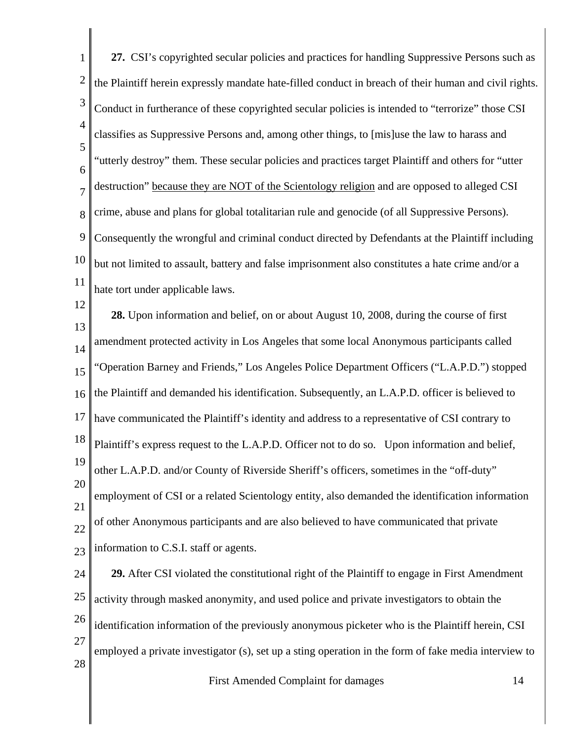| 1              | 27. CSI's copyrighted secular policies and practices for handling Suppressive Persons such as         |
|----------------|-------------------------------------------------------------------------------------------------------|
| $\overline{2}$ | the Plaintiff herein expressly mandate hate-filled conduct in breach of their human and civil rights. |
| 3              | Conduct in furtherance of these copyrighted secular policies is intended to "terrorize" those CSI     |
| $\overline{4}$ | classifies as Suppressive Persons and, among other things, to [mis]use the law to harass and          |
| 5<br>6         | "utterly destroy" them. These secular policies and practices target Plaintiff and others for "utter   |
| $\overline{7}$ | destruction" because they are NOT of the Scientology religion and are opposed to alleged CSI          |
| 8              | crime, abuse and plans for global totalitarian rule and genocide (of all Suppressive Persons).        |
| 9              | Consequently the wrongful and criminal conduct directed by Defendants at the Plaintiff including      |
| 10             | but not limited to assault, battery and false imprisonment also constitutes a hate crime and/or a     |
| 11             | hate tort under applicable laws.                                                                      |
| 12             | 28. Upon information and belief, on or about August 10, 2008, during the course of first              |
| 13<br>14       | amendment protected activity in Los Angeles that some local Anonymous participants called             |
| 15             | 'Operation Barney and Friends," Los Angeles Police Department Officers ("L.A.P.D.") stopped           |
| 16             | the Plaintiff and demanded his identification. Subsequently, an L.A.P.D. officer is believed to       |
| 17             | have communicated the Plaintiff's identity and address to a representative of CSI contrary to         |
| 18             | Plaintiff's express request to the L.A.P.D. Officer not to do so. Upon information and belief,        |
| 19             | other L.A.P.D. and/or County of Riverside Sheriff's officers, sometimes in the "off-duty"             |
| 20             | employment of CSI or a related Scientology entity, also demanded the identification information       |
| 21<br>22       | of other Anonymous participants and are also believed to have communicated that private               |
| 23             | information to C.S.I. staff or agents.                                                                |
| 24             | 29. After CSI violated the constitutional right of the Plaintiff to engage in First Amendment         |
| 25             | activity through masked anonymity, and used police and private investigators to obtain the            |
| 26             | identification information of the previously anonymous picketer who is the Plaintiff herein, CSI      |
| 27<br>28       | employed a private investigator (s), set up a sting operation in the form of fake media interview to  |
|                | First Amended Complaint for damages<br>14                                                             |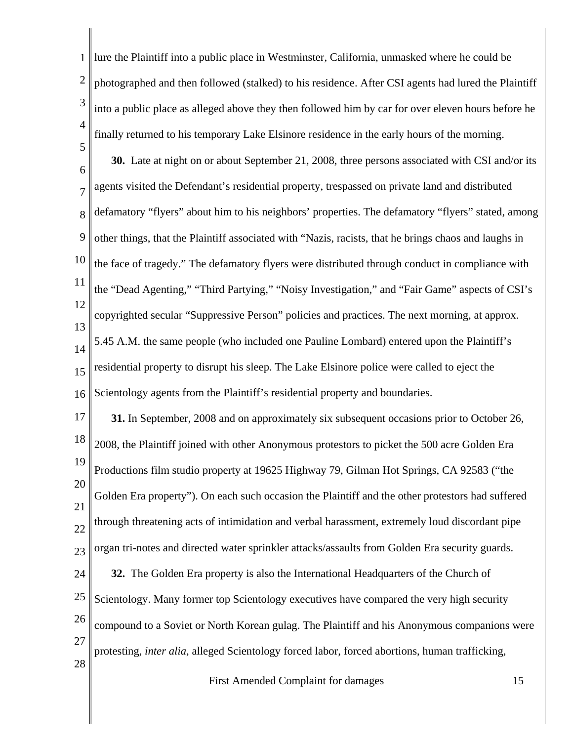| 1              | lure the Plaintiff into a public place in Westminster, California, unmasked where he could be          |
|----------------|--------------------------------------------------------------------------------------------------------|
| $\overline{2}$ | photographed and then followed (stalked) to his residence. After CSI agents had lured the Plaintiff    |
| 3              | into a public place as alleged above they then followed him by car for over eleven hours before he     |
| $\overline{4}$ | finally returned to his temporary Lake Elsinore residence in the early hours of the morning.           |
| 5<br>6         | 30. Late at night on or about September 21, 2008, three persons associated with CSI and/or its         |
| $\overline{7}$ | agents visited the Defendant's residential property, trespassed on private land and distributed        |
| 8              | defamatory "flyers" about him to his neighbors' properties. The defamatory "flyers" stated, among      |
| 9              | other things, that the Plaintiff associated with "Nazis, racists, that he brings chaos and laughs in   |
| 10             | the face of tragedy." The defamatory flyers were distributed through conduct in compliance with        |
| 11             | the "Dead Agenting," "Third Partying," "Noisy Investigation," and "Fair Game" aspects of CSI's         |
| 12             | copyrighted secular "Suppressive Person" policies and practices. The next morning, at approx.          |
| 13<br>14       | 5.45 A.M. the same people (who included one Pauline Lombard) entered upon the Plaintiff's              |
| 15             | residential property to disrupt his sleep. The Lake Elsinore police were called to eject the           |
| 16             | Scientology agents from the Plaintiff's residential property and boundaries.                           |
| 17             | 31. In September, 2008 and on approximately six subsequent occasions prior to October 26,              |
| 18             | 2008, the Plaintiff joined with other Anonymous protestors to picket the 500 acre Golden Era           |
| 19             | Productions film studio property at 19625 Highway 79, Gilman Hot Springs, CA 92583 ("the               |
| 20<br>21       | Golden Era property"). On each such occasion the Plaintiff and the other protestors had suffered       |
| 22             | through threatening acts of intimidation and verbal harassment, extremely loud discordant pipe         |
| 23             | organ tri-notes and directed water sprinkler attacks/assaults from Golden Era security guards.         |
| 24             | 32. The Golden Era property is also the International Headquarters of the Church of                    |
| 25             | Scientology. Many former top Scientology executives have compared the very high security               |
| 26             | compound to a Soviet or North Korean gulag. The Plaintiff and his Anonymous companions were            |
| 27<br>28       | protesting, <i>inter alia</i> , alleged Scientology forced labor, forced abortions, human trafficking, |
|                |                                                                                                        |

 $\parallel$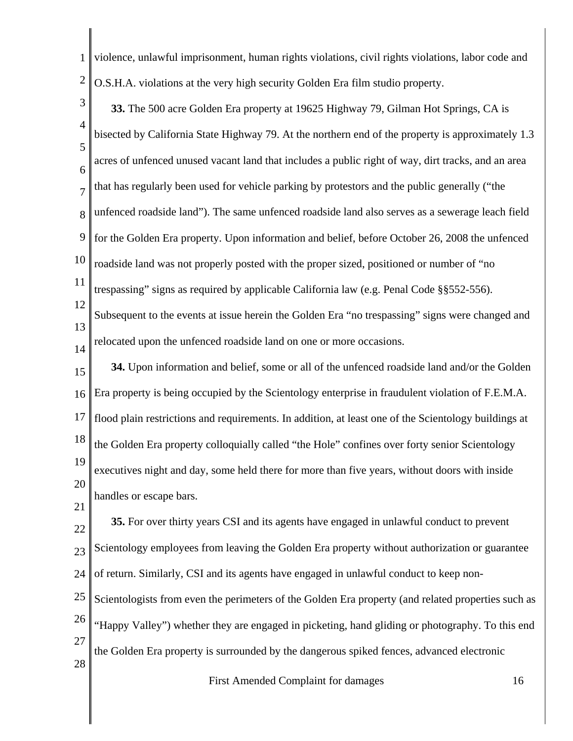1 2 violence, unlawful imprisonment, human rights violations, civil rights violations, labor code and O.S.H.A. violations at the very high security Golden Era film studio property.

3 4 5 6 7 8 9 10 11 12 13 14 15 16 17 18 19 **33.** The 500 acre Golden Era property at 19625 Highway 79, Gilman Hot Springs, CA is bisected by California State Highway 79. At the northern end of the property is approximately 1.3 acres of unfenced unused vacant land that includes a public right of way, dirt tracks, and an area that has regularly been used for vehicle parking by protestors and the public generally ("the unfenced roadside land"). The same unfenced roadside land also serves as a sewerage leach field for the Golden Era property. Upon information and belief, before October 26, 2008 the unfenced roadside land was not properly posted with the proper sized, positioned or number of "no trespassing" signs as required by applicable California law (e.g. Penal Code §§552-556). Subsequent to the events at issue herein the Golden Era "no trespassing" signs were changed and relocated upon the unfenced roadside land on one or more occasions. **34.** Upon information and belief, some or all of the unfenced roadside land and/or the Golden Era property is being occupied by the Scientology enterprise in fraudulent violation of F.E.M.A. flood plain restrictions and requirements. In addition, at least one of the Scientology buildings at the Golden Era property colloquially called "the Hole" confines over forty senior Scientology

20 executives night and day, some held there for more than five years, without doors with inside handles or escape bars.

21

22 23 24 **35.** For over thirty years CSI and its agents have engaged in unlawful conduct to prevent Scientology employees from leaving the Golden Era property without authorization or guarantee of return. Similarly, CSI and its agents have engaged in unlawful conduct to keep non-

25 26 27 28 Scientologists from even the perimeters of the Golden Era property (and related properties such as "Happy Valley") whether they are engaged in picketing, hand gliding or photography. To this end the Golden Era property is surrounded by the dangerous spiked fences, advanced electronic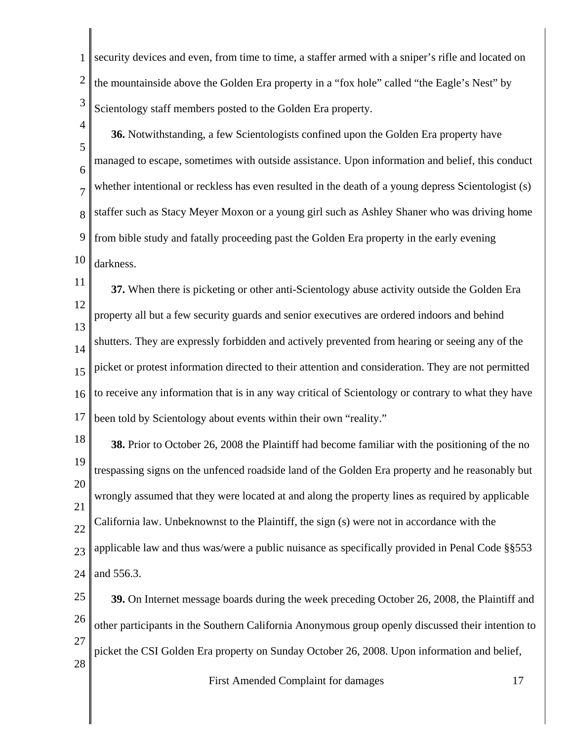1 2 3 security devices and even, from time to time, a staffer armed with a sniper's rifle and located on the mountainside above the Golden Era property in a "fox hole" called "the Eagle's Nest" by Scientology staff members posted to the Golden Era property.

4 5 6 7 8 9 10 **36.** Notwithstanding, a few Scientologists confined upon the Golden Era property have managed to escape, sometimes with outside assistance. Upon information and belief, this conduct whether intentional or reckless has even resulted in the death of a young depress Scientologist (s) staffer such as Stacy Meyer Moxon or a young girl such as Ashley Shaner who was driving home from bible study and fatally proceeding past the Golden Era property in the early evening darkness.

11 12 13 14 15 16 17 **37.** When there is picketing or other anti-Scientology abuse activity outside the Golden Era property all but a few security guards and senior executives are ordered indoors and behind shutters. They are expressly forbidden and actively prevented from hearing or seeing any of the picket or protest information directed to their attention and consideration. They are not permitted to receive any information that is in any way critical of Scientology or contrary to what they have been told by Scientology about events within their own "reality."

18 19 20 21 22 23 24 **38.** Prior to October 26, 2008 the Plaintiff had become familiar with the positioning of the no trespassing signs on the unfenced roadside land of the Golden Era property and he reasonably but wrongly assumed that they were located at and along the property lines as required by applicable California law. Unbeknownst to the Plaintiff, the sign (s) were not in accordance with the applicable law and thus was/were a public nuisance as specifically provided in Penal Code §§553 and 556.3.

25 26 27 28 **39.** On Internet message boards during the week preceding October 26, 2008, the Plaintiff and other participants in the Southern California Anonymous group openly discussed their intention to picket the CSI Golden Era property on Sunday October 26, 2008. Upon information and belief,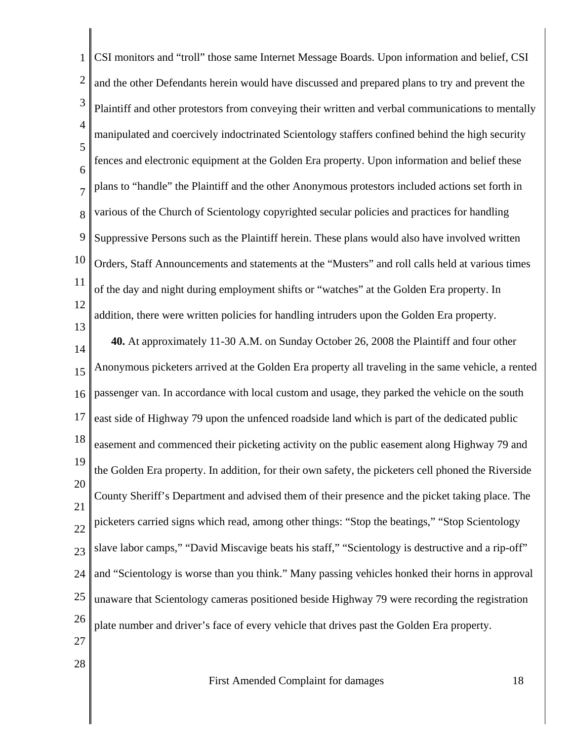1 2 3 4 5 6 7 8 9 10 11 12 13 14 15 16 17 18 19 20 21 22 23 24 25 26 27 28 CSI monitors and "troll" those same Internet Message Boards. Upon information and belief, CSI and the other Defendants herein would have discussed and prepared plans to try and prevent the Plaintiff and other protestors from conveying their written and verbal communications to mentally manipulated and coercively indoctrinated Scientology staffers confined behind the high security fences and electronic equipment at the Golden Era property. Upon information and belief these plans to "handle" the Plaintiff and the other Anonymous protestors included actions set forth in various of the Church of Scientology copyrighted secular policies and practices for handling Suppressive Persons such as the Plaintiff herein. These plans would also have involved written Orders, Staff Announcements and statements at the "Musters" and roll calls held at various times of the day and night during employment shifts or "watches" at the Golden Era property. In addition, there were written policies for handling intruders upon the Golden Era property. **40.** At approximately 11-30 A.M. on Sunday October 26, 2008 the Plaintiff and four other Anonymous picketers arrived at the Golden Era property all traveling in the same vehicle, a rented passenger van. In accordance with local custom and usage, they parked the vehicle on the south east side of Highway 79 upon the unfenced roadside land which is part of the dedicated public easement and commenced their picketing activity on the public easement along Highway 79 and the Golden Era property. In addition, for their own safety, the picketers cell phoned the Riverside County Sheriff's Department and advised them of their presence and the picket taking place. The picketers carried signs which read, among other things: "Stop the beatings," "Stop Scientology slave labor camps," "David Miscavige beats his staff," "Scientology is destructive and a rip-off" and "Scientology is worse than you think." Many passing vehicles honked their horns in approval unaware that Scientology cameras positioned beside Highway 79 were recording the registration plate number and driver's face of every vehicle that drives past the Golden Era property.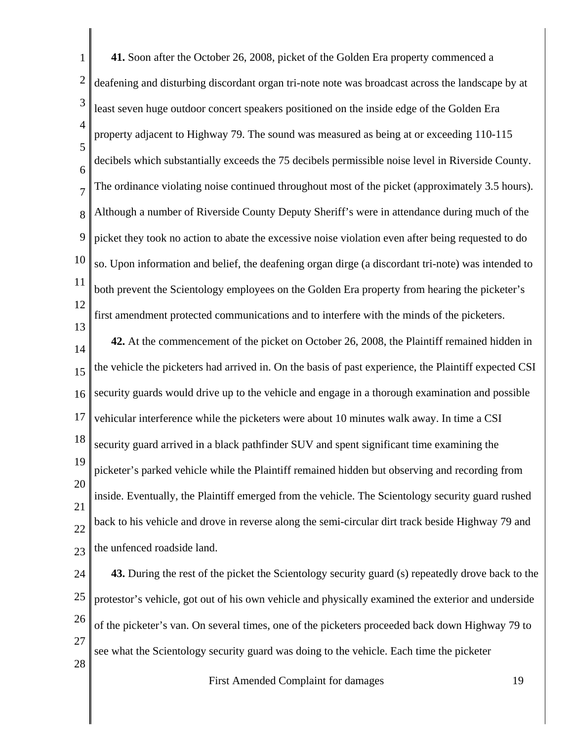| $\mathbf{1}$   | 41. Soon after the October 26, 2008, picket of the Golden Era property commenced a                    |    |
|----------------|-------------------------------------------------------------------------------------------------------|----|
| $\overline{2}$ | deafening and disturbing discordant organ tri-note note was broadcast across the landscape by at      |    |
| 3              | least seven huge outdoor concert speakers positioned on the inside edge of the Golden Era             |    |
| $\overline{4}$ | property adjacent to Highway 79. The sound was measured as being at or exceeding 110-115              |    |
| 5<br>6         | decibels which substantially exceeds the 75 decibels permissible noise level in Riverside County.     |    |
| $\overline{7}$ | The ordinance violating noise continued throughout most of the picket (approximately 3.5 hours).      |    |
| 8              | Although a number of Riverside County Deputy Sheriff's were in attendance during much of the          |    |
| 9              | picket they took no action to abate the excessive noise violation even after being requested to do    |    |
| 10             | so. Upon information and belief, the deafening organ dirge (a discordant tri-note) was intended to    |    |
| 11             | both prevent the Scientology employees on the Golden Era property from hearing the picketer's         |    |
| 12             | first amendment protected communications and to interfere with the minds of the picketers.            |    |
| 13<br>14       | 42. At the commencement of the picket on October 26, 2008, the Plaintiff remained hidden in           |    |
| 15             | the vehicle the picketers had arrived in. On the basis of past experience, the Plaintiff expected CSI |    |
| 16             | security guards would drive up to the vehicle and engage in a thorough examination and possible       |    |
| 17             | vehicular interference while the picketers were about 10 minutes walk away. In time a CSI             |    |
| 18             | security guard arrived in a black pathfinder SUV and spent significant time examining the             |    |
| 19             | picketer's parked vehicle while the Plaintiff remained hidden but observing and recording from        |    |
| 20             | inside. Eventually, the Plaintiff emerged from the vehicle. The Scientology security guard rushed     |    |
| 21<br>22       | back to his vehicle and drove in reverse along the semi-circular dirt track beside Highway 79 and     |    |
| 23             | the unfenced roadside land.                                                                           |    |
| 24             | 43. During the rest of the picket the Scientology security guard (s) repeatedly drove back to the     |    |
| 25             | protestor's vehicle, got out of his own vehicle and physically examined the exterior and underside    |    |
| 26             | of the picketer's van. On several times, one of the picketers proceeded back down Highway 79 to       |    |
| 27             | see what the Scientology security guard was doing to the vehicle. Each time the picketer              |    |
| 28             | First Amended Complaint for damages                                                                   | 19 |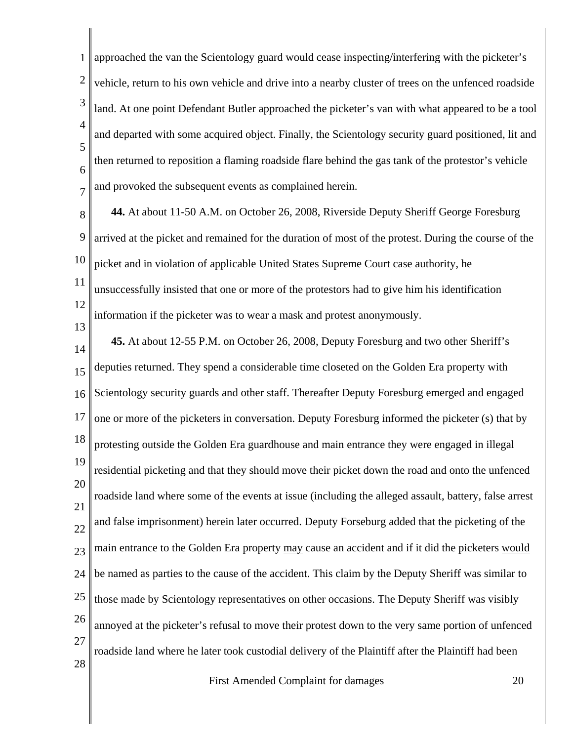1 2 3 4 5 6 7 approached the van the Scientology guard would cease inspecting/interfering with the picketer's vehicle, return to his own vehicle and drive into a nearby cluster of trees on the unfenced roadside land. At one point Defendant Butler approached the picketer's van with what appeared to be a tool and departed with some acquired object. Finally, the Scientology security guard positioned, lit and then returned to reposition a flaming roadside flare behind the gas tank of the protestor's vehicle and provoked the subsequent events as complained herein.

8 9 10 11 12 **44.** At about 11-50 A.M. on October 26, 2008, Riverside Deputy Sheriff George Foresburg arrived at the picket and remained for the duration of most of the protest. During the course of the picket and in violation of applicable United States Supreme Court case authority, he unsuccessfully insisted that one or more of the protestors had to give him his identification information if the picketer was to wear a mask and protest anonymously.

13

14 15 16 17 18 19 20 21 22 23 24 25 26 27 28 **45.** At about 12-55 P.M. on October 26, 2008, Deputy Foresburg and two other Sheriff's deputies returned. They spend a considerable time closeted on the Golden Era property with Scientology security guards and other staff. Thereafter Deputy Foresburg emerged and engaged one or more of the picketers in conversation. Deputy Foresburg informed the picketer (s) that by protesting outside the Golden Era guardhouse and main entrance they were engaged in illegal residential picketing and that they should move their picket down the road and onto the unfenced roadside land where some of the events at issue (including the alleged assault, battery, false arrest and false imprisonment) herein later occurred. Deputy Forseburg added that the picketing of the main entrance to the Golden Era property may cause an accident and if it did the picketers would be named as parties to the cause of the accident. This claim by the Deputy Sheriff was similar to those made by Scientology representatives on other occasions. The Deputy Sheriff was visibly annoyed at the picketer's refusal to move their protest down to the very same portion of unfenced roadside land where he later took custodial delivery of the Plaintiff after the Plaintiff had been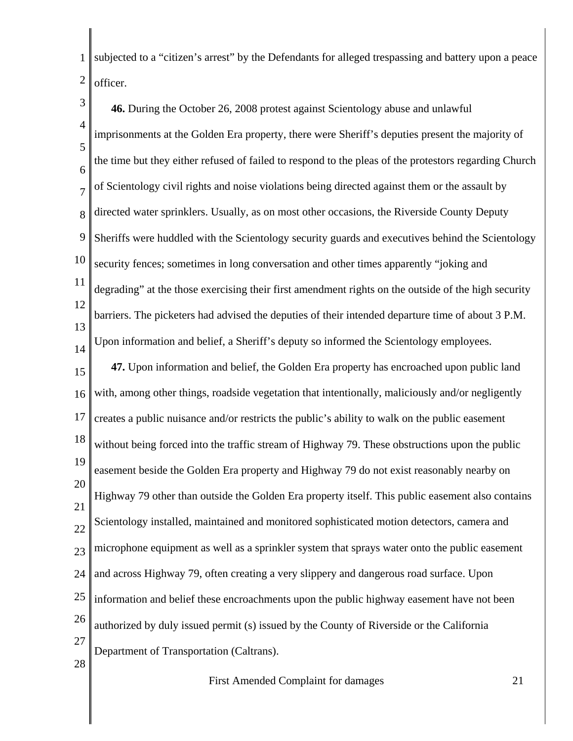1 2 subjected to a "citizen's arrest" by the Defendants for alleged trespassing and battery upon a peace officer.

3 4 5 6 7 8 9 10 11 12 13 14 15 16 17 18 19 20 21 22 23 24 25 26 27 28 **46.** During the October 26, 2008 protest against Scientology abuse and unlawful imprisonments at the Golden Era property, there were Sheriff's deputies present the majority of the time but they either refused of failed to respond to the pleas of the protestors regarding Church of Scientology civil rights and noise violations being directed against them or the assault by directed water sprinklers. Usually, as on most other occasions, the Riverside County Deputy Sheriffs were huddled with the Scientology security guards and executives behind the Scientology security fences; sometimes in long conversation and other times apparently "joking and degrading" at the those exercising their first amendment rights on the outside of the high security barriers. The picketers had advised the deputies of their intended departure time of about 3 P.M. Upon information and belief, a Sheriff's deputy so informed the Scientology employees. **47.** Upon information and belief, the Golden Era property has encroached upon public land with, among other things, roadside vegetation that intentionally, maliciously and/or negligently creates a public nuisance and/or restricts the public's ability to walk on the public easement without being forced into the traffic stream of Highway 79. These obstructions upon the public easement beside the Golden Era property and Highway 79 do not exist reasonably nearby on Highway 79 other than outside the Golden Era property itself. This public easement also contains Scientology installed, maintained and monitored sophisticated motion detectors, camera and microphone equipment as well as a sprinkler system that sprays water onto the public easement and across Highway 79, often creating a very slippery and dangerous road surface. Upon information and belief these encroachments upon the public highway easement have not been authorized by duly issued permit (s) issued by the County of Riverside or the California Department of Transportation (Caltrans).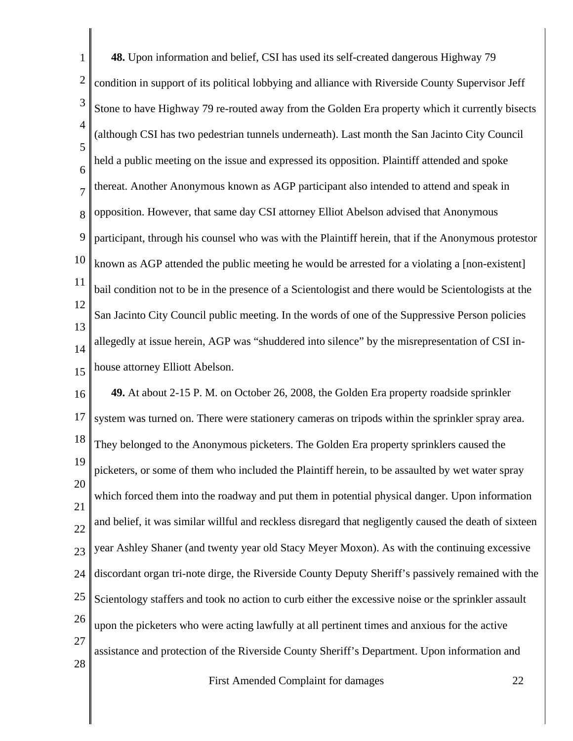1 2 3 4 5 6 7 8 9 10 11 12 13 14 15 16 17 18 19 20 21 22 23 24 25 **48.** Upon information and belief, CSI has used its self-created dangerous Highway 79 condition in support of its political lobbying and alliance with Riverside County Supervisor Jeff Stone to have Highway 79 re-routed away from the Golden Era property which it currently bisects (although CSI has two pedestrian tunnels underneath). Last month the San Jacinto City Council held a public meeting on the issue and expressed its opposition. Plaintiff attended and spoke thereat. Another Anonymous known as AGP participant also intended to attend and speak in opposition. However, that same day CSI attorney Elliot Abelson advised that Anonymous participant, through his counsel who was with the Plaintiff herein, that if the Anonymous protestor known as AGP attended the public meeting he would be arrested for a violating a [non-existent] bail condition not to be in the presence of a Scientologist and there would be Scientologists at the San Jacinto City Council public meeting. In the words of one of the Suppressive Person policies allegedly at issue herein, AGP was "shuddered into silence" by the misrepresentation of CSI inhouse attorney Elliott Abelson. **49.** At about 2-15 P. M. on October 26, 2008, the Golden Era property roadside sprinkler system was turned on. There were stationery cameras on tripods within the sprinkler spray area. They belonged to the Anonymous picketers. The Golden Era property sprinklers caused the picketers, or some of them who included the Plaintiff herein, to be assaulted by wet water spray which forced them into the roadway and put them in potential physical danger. Upon information and belief, it was similar willful and reckless disregard that negligently caused the death of sixteen year Ashley Shaner (and twenty year old Stacy Meyer Moxon). As with the continuing excessive discordant organ tri-note dirge, the Riverside County Deputy Sheriff's passively remained with the Scientology staffers and took no action to curb either the excessive noise or the sprinkler assault

26 upon the picketers who were acting lawfully at all pertinent times and anxious for the active

27 assistance and protection of the Riverside County Sheriff's Department. Upon information and

28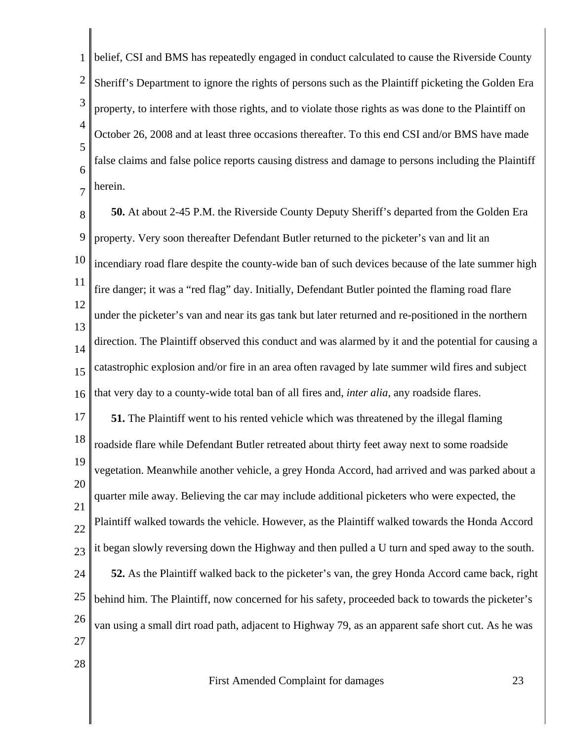1 2 3 4 5 6 7 belief, CSI and BMS has repeatedly engaged in conduct calculated to cause the Riverside County Sheriff's Department to ignore the rights of persons such as the Plaintiff picketing the Golden Era property, to interfere with those rights, and to violate those rights as was done to the Plaintiff on October 26, 2008 and at least three occasions thereafter. To this end CSI and/or BMS have made false claims and false police reports causing distress and damage to persons including the Plaintiff herein.

8 9 10 11 12 13 14 15 16 **50.** At about 2-45 P.M. the Riverside County Deputy Sheriff's departed from the Golden Era property. Very soon thereafter Defendant Butler returned to the picketer's van and lit an incendiary road flare despite the county-wide ban of such devices because of the late summer high fire danger; it was a "red flag" day. Initially, Defendant Butler pointed the flaming road flare under the picketer's van and near its gas tank but later returned and re-positioned in the northern direction. The Plaintiff observed this conduct and was alarmed by it and the potential for causing a catastrophic explosion and/or fire in an area often ravaged by late summer wild fires and subject that very day to a county-wide total ban of all fires and, *inter alia*, any roadside flares.

17 18 19 20 21 22 23 24 25 26 27 **51.** The Plaintiff went to his rented vehicle which was threatened by the illegal flaming roadside flare while Defendant Butler retreated about thirty feet away next to some roadside vegetation. Meanwhile another vehicle, a grey Honda Accord, had arrived and was parked about a quarter mile away. Believing the car may include additional picketers who were expected, the Plaintiff walked towards the vehicle. However, as the Plaintiff walked towards the Honda Accord it began slowly reversing down the Highway and then pulled a U turn and sped away to the south. **52.** As the Plaintiff walked back to the picketer's van, the grey Honda Accord came back, right behind him. The Plaintiff, now concerned for his safety, proceeded back to towards the picketer's van using a small dirt road path, adjacent to Highway 79, as an apparent safe short cut. As he was

First Amended Complaint for damages 23

28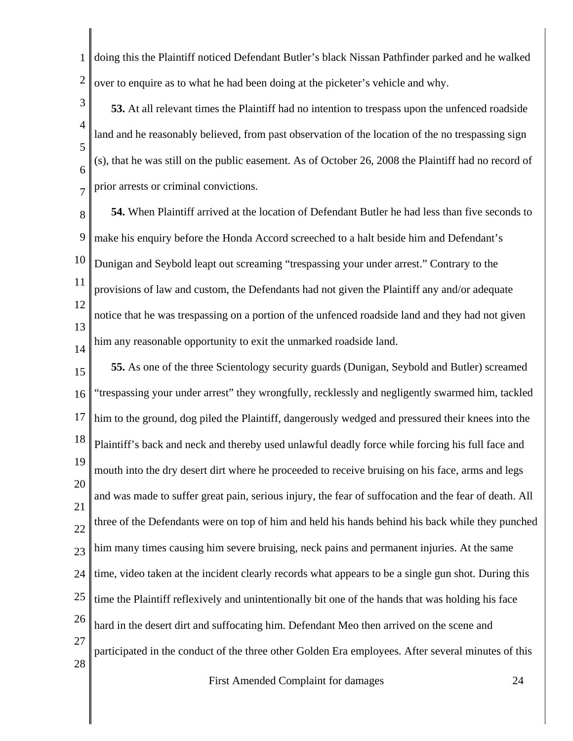1 2 doing this the Plaintiff noticed Defendant Butler's black Nissan Pathfinder parked and he walked over to enquire as to what he had been doing at the picketer's vehicle and why.

3 4 5 6 7 **53.** At all relevant times the Plaintiff had no intention to trespass upon the unfenced roadside land and he reasonably believed, from past observation of the location of the no trespassing sign (s), that he was still on the public easement. As of October 26, 2008 the Plaintiff had no record of prior arrests or criminal convictions.

8 9 10 11 12 13 14 **54.** When Plaintiff arrived at the location of Defendant Butler he had less than five seconds to make his enquiry before the Honda Accord screeched to a halt beside him and Defendant's Dunigan and Seybold leapt out screaming "trespassing your under arrest." Contrary to the provisions of law and custom, the Defendants had not given the Plaintiff any and/or adequate notice that he was trespassing on a portion of the unfenced roadside land and they had not given him any reasonable opportunity to exit the unmarked roadside land.

15 16 17 18 19 20 21 22 23 24 25 26 27 28 **55.** As one of the three Scientology security guards (Dunigan, Seybold and Butler) screamed "trespassing your under arrest" they wrongfully, recklessly and negligently swarmed him, tackled him to the ground, dog piled the Plaintiff, dangerously wedged and pressured their knees into the Plaintiff's back and neck and thereby used unlawful deadly force while forcing his full face and mouth into the dry desert dirt where he proceeded to receive bruising on his face, arms and legs and was made to suffer great pain, serious injury, the fear of suffocation and the fear of death. All three of the Defendants were on top of him and held his hands behind his back while they punched him many times causing him severe bruising, neck pains and permanent injuries. At the same time, video taken at the incident clearly records what appears to be a single gun shot. During this time the Plaintiff reflexively and unintentionally bit one of the hands that was holding his face hard in the desert dirt and suffocating him. Defendant Meo then arrived on the scene and participated in the conduct of the three other Golden Era employees. After several minutes of this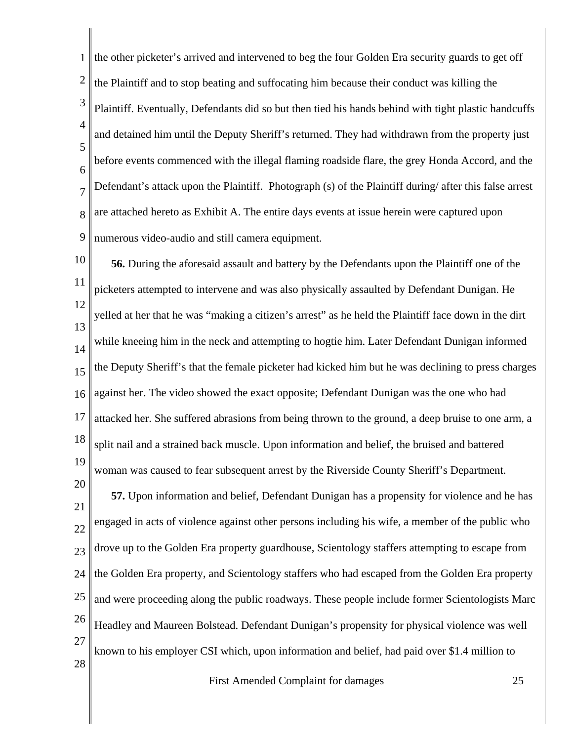1 2 3 4 5 6 7 8 9 the other picketer's arrived and intervened to beg the four Golden Era security guards to get off the Plaintiff and to stop beating and suffocating him because their conduct was killing the Plaintiff. Eventually, Defendants did so but then tied his hands behind with tight plastic handcuffs and detained him until the Deputy Sheriff's returned. They had withdrawn from the property just before events commenced with the illegal flaming roadside flare, the grey Honda Accord, and the Defendant's attack upon the Plaintiff. Photograph (s) of the Plaintiff during/ after this false arrest are attached hereto as Exhibit A. The entire days events at issue herein were captured upon numerous video-audio and still camera equipment.

10 11 12 13 14 15 16 17 18 19 **56.** During the aforesaid assault and battery by the Defendants upon the Plaintiff one of the picketers attempted to intervene and was also physically assaulted by Defendant Dunigan. He yelled at her that he was "making a citizen's arrest" as he held the Plaintiff face down in the dirt while kneeing him in the neck and attempting to hogtie him. Later Defendant Dunigan informed the Deputy Sheriff's that the female picketer had kicked him but he was declining to press charges against her. The video showed the exact opposite; Defendant Dunigan was the one who had attacked her. She suffered abrasions from being thrown to the ground, a deep bruise to one arm, a split nail and a strained back muscle. Upon information and belief, the bruised and battered woman was caused to fear subsequent arrest by the Riverside County Sheriff's Department.

21 22 23 24 25 26 27 28 **57.** Upon information and belief, Defendant Dunigan has a propensity for violence and he has engaged in acts of violence against other persons including his wife, a member of the public who drove up to the Golden Era property guardhouse, Scientology staffers attempting to escape from the Golden Era property, and Scientology staffers who had escaped from the Golden Era property and were proceeding along the public roadways. These people include former Scientologists Marc Headley and Maureen Bolstead. Defendant Dunigan's propensity for physical violence was well known to his employer CSI which, upon information and belief, had paid over \$1.4 million to

20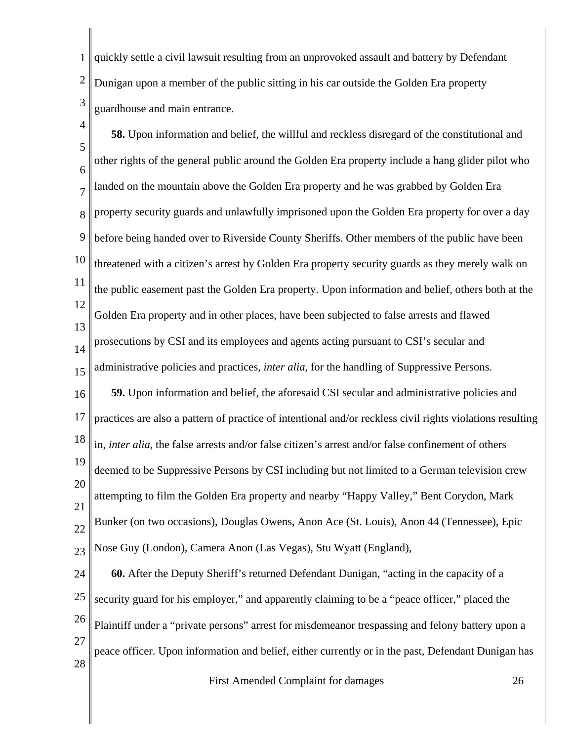1 2 3 quickly settle a civil lawsuit resulting from an unprovoked assault and battery by Defendant Dunigan upon a member of the public sitting in his car outside the Golden Era property guardhouse and main entrance.

4 5 6 7 8 9 10 11 12 13 14 15 16 17 18 19 20 21 22 23 24 25 26 27 **58.** Upon information and belief, the willful and reckless disregard of the constitutional and other rights of the general public around the Golden Era property include a hang glider pilot who landed on the mountain above the Golden Era property and he was grabbed by Golden Era property security guards and unlawfully imprisoned upon the Golden Era property for over a day before being handed over to Riverside County Sheriffs. Other members of the public have been threatened with a citizen's arrest by Golden Era property security guards as they merely walk on the public easement past the Golden Era property. Upon information and belief, others both at the Golden Era property and in other places, have been subjected to false arrests and flawed prosecutions by CSI and its employees and agents acting pursuant to CSI's secular and administrative policies and practices, *inter alia*, for the handling of Suppressive Persons. **59.** Upon information and belief, the aforesaid CSI secular and administrative policies and practices are also a pattern of practice of intentional and/or reckless civil rights violations resulting in, *inter alia*, the false arrests and/or false citizen's arrest and/or false confinement of others deemed to be Suppressive Persons by CSI including but not limited to a German television crew attempting to film the Golden Era property and nearby "Happy Valley," Bent Corydon, Mark Bunker (on two occasions), Douglas Owens, Anon Ace (St. Louis), Anon 44 (Tennessee), Epic Nose Guy (London), Camera Anon (Las Vegas), Stu Wyatt (England), **60.** After the Deputy Sheriff's returned Defendant Dunigan, "acting in the capacity of a security guard for his employer," and apparently claiming to be a "peace officer," placed the Plaintiff under a "private persons" arrest for misdemeanor trespassing and felony battery upon a

28 peace officer. Upon information and belief, either currently or in the past, Defendant Dunigan has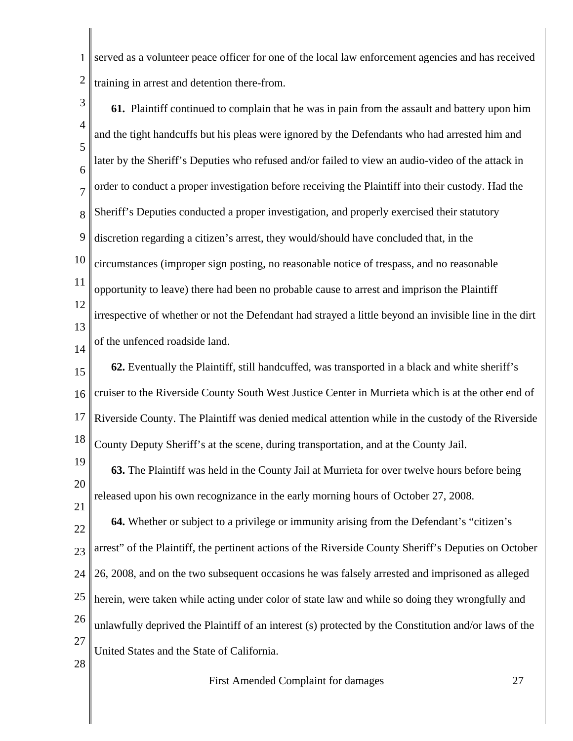1 2 served as a volunteer peace officer for one of the local law enforcement agencies and has received training in arrest and detention there-from.

3 4 5 6 7 8 9 10 11 12 13 14 15 16 17 18 19 20 21 22 23 24 25 26 27 28 **61.** Plaintiff continued to complain that he was in pain from the assault and battery upon him and the tight handcuffs but his pleas were ignored by the Defendants who had arrested him and later by the Sheriff's Deputies who refused and/or failed to view an audio-video of the attack in order to conduct a proper investigation before receiving the Plaintiff into their custody. Had the Sheriff's Deputies conducted a proper investigation, and properly exercised their statutory discretion regarding a citizen's arrest, they would/should have concluded that, in the circumstances (improper sign posting, no reasonable notice of trespass, and no reasonable opportunity to leave) there had been no probable cause to arrest and imprison the Plaintiff irrespective of whether or not the Defendant had strayed a little beyond an invisible line in the dirt of the unfenced roadside land. **62.** Eventually the Plaintiff, still handcuffed, was transported in a black and white sheriff's cruiser to the Riverside County South West Justice Center in Murrieta which is at the other end of Riverside County. The Plaintiff was denied medical attention while in the custody of the Riverside County Deputy Sheriff's at the scene, during transportation, and at the County Jail. **63.** The Plaintiff was held in the County Jail at Murrieta for over twelve hours before being released upon his own recognizance in the early morning hours of October 27, 2008. **64.** Whether or subject to a privilege or immunity arising from the Defendant's "citizen's arrest" of the Plaintiff, the pertinent actions of the Riverside County Sheriff's Deputies on October 26, 2008, and on the two subsequent occasions he was falsely arrested and imprisoned as alleged herein, were taken while acting under color of state law and while so doing they wrongfully and unlawfully deprived the Plaintiff of an interest (s) protected by the Constitution and/or laws of the United States and the State of California.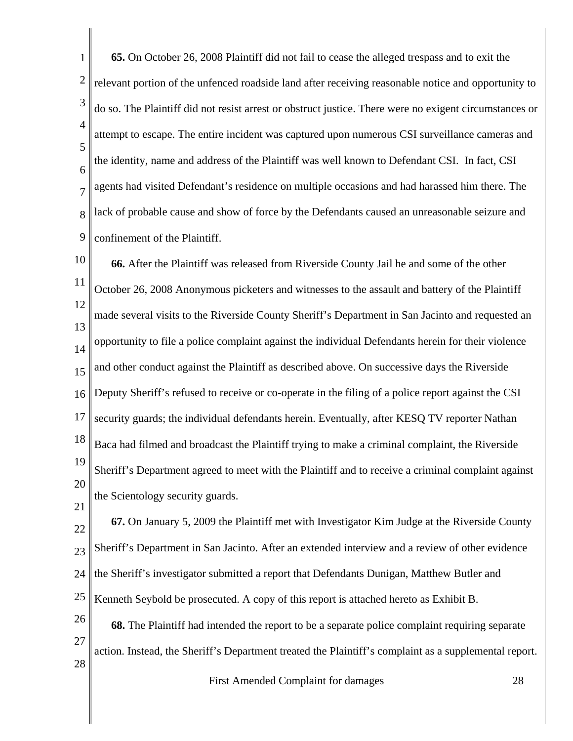1 2 3 4 5 6 7 8 9 **65.** On October 26, 2008 Plaintiff did not fail to cease the alleged trespass and to exit the relevant portion of the unfenced roadside land after receiving reasonable notice and opportunity to do so. The Plaintiff did not resist arrest or obstruct justice. There were no exigent circumstances or attempt to escape. The entire incident was captured upon numerous CSI surveillance cameras and the identity, name and address of the Plaintiff was well known to Defendant CSI. In fact, CSI agents had visited Defendant's residence on multiple occasions and had harassed him there. The lack of probable cause and show of force by the Defendants caused an unreasonable seizure and confinement of the Plaintiff.

10 11 12 13 14 15 16 17 18 19 20 21 **66.** After the Plaintiff was released from Riverside County Jail he and some of the other October 26, 2008 Anonymous picketers and witnesses to the assault and battery of the Plaintiff made several visits to the Riverside County Sheriff's Department in San Jacinto and requested an opportunity to file a police complaint against the individual Defendants herein for their violence and other conduct against the Plaintiff as described above. On successive days the Riverside Deputy Sheriff's refused to receive or co-operate in the filing of a police report against the CSI security guards; the individual defendants herein. Eventually, after KESQ TV reporter Nathan Baca had filmed and broadcast the Plaintiff trying to make a criminal complaint, the Riverside Sheriff's Department agreed to meet with the Plaintiff and to receive a criminal complaint against the Scientology security guards.

22 23 24 25 **67.** On January 5, 2009 the Plaintiff met with Investigator Kim Judge at the Riverside County Sheriff's Department in San Jacinto. After an extended interview and a review of other evidence the Sheriff's investigator submitted a report that Defendants Dunigan, Matthew Butler and Kenneth Seybold be prosecuted. A copy of this report is attached hereto as Exhibit B.

26 27 28 **68.** The Plaintiff had intended the report to be a separate police complaint requiring separate action. Instead, the Sheriff's Department treated the Plaintiff's complaint as a supplemental report.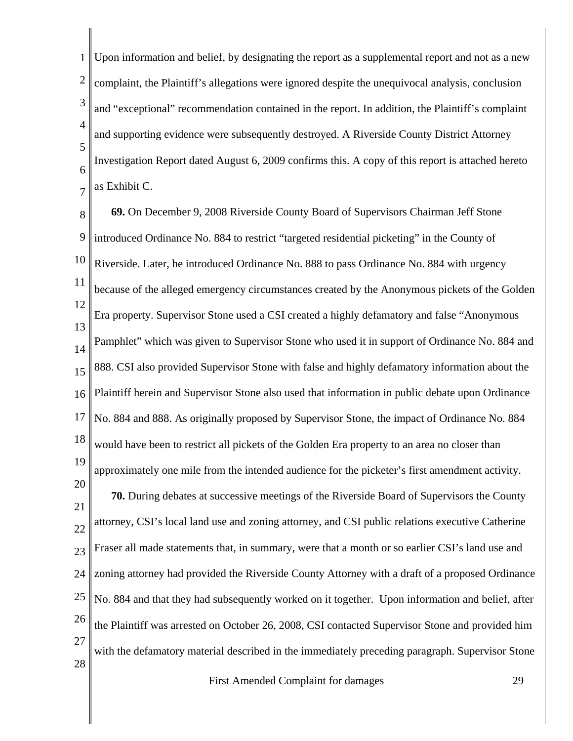1 2 3 4 5 6 7 Upon information and belief, by designating the report as a supplemental report and not as a new complaint, the Plaintiff's allegations were ignored despite the unequivocal analysis, conclusion and "exceptional" recommendation contained in the report. In addition, the Plaintiff's complaint and supporting evidence were subsequently destroyed. A Riverside County District Attorney Investigation Report dated August 6, 2009 confirms this. A copy of this report is attached hereto as Exhibit C.

8 9 10 11 12 13 14 15 16 17 18 19 20 21 22 23 24 25 26 27 **69.** On December 9, 2008 Riverside County Board of Supervisors Chairman Jeff Stone introduced Ordinance No. 884 to restrict "targeted residential picketing" in the County of Riverside. Later, he introduced Ordinance No. 888 to pass Ordinance No. 884 with urgency because of the alleged emergency circumstances created by the Anonymous pickets of the Golden Era property. Supervisor Stone used a CSI created a highly defamatory and false "Anonymous Pamphlet" which was given to Supervisor Stone who used it in support of Ordinance No. 884 and 888. CSI also provided Supervisor Stone with false and highly defamatory information about the Plaintiff herein and Supervisor Stone also used that information in public debate upon Ordinance No. 884 and 888. As originally proposed by Supervisor Stone, the impact of Ordinance No. 884 would have been to restrict all pickets of the Golden Era property to an area no closer than approximately one mile from the intended audience for the picketer's first amendment activity. **70.** During debates at successive meetings of the Riverside Board of Supervisors the County attorney, CSI's local land use and zoning attorney, and CSI public relations executive Catherine Fraser all made statements that, in summary, were that a month or so earlier CSI's land use and zoning attorney had provided the Riverside County Attorney with a draft of a proposed Ordinance No. 884 and that they had subsequently worked on it together. Upon information and belief, after the Plaintiff was arrested on October 26, 2008, CSI contacted Supervisor Stone and provided him with the defamatory material described in the immediately preceding paragraph. Supervisor Stone

28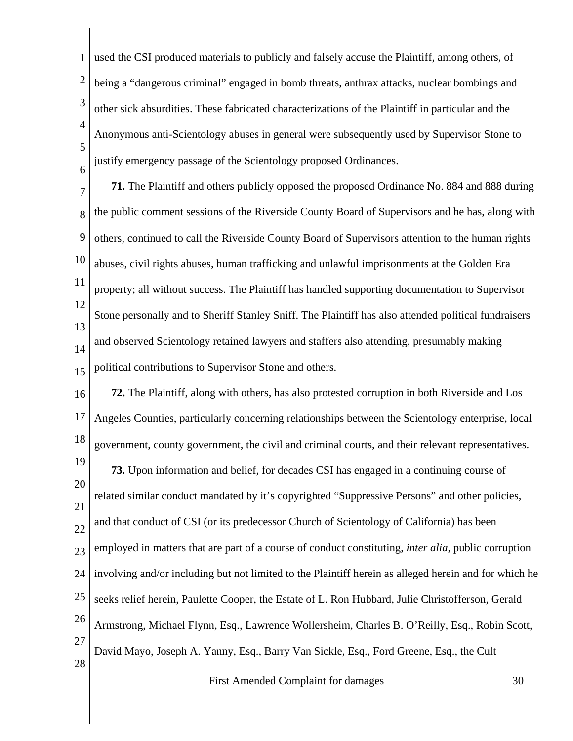1 2 3 4 5 6 used the CSI produced materials to publicly and falsely accuse the Plaintiff, among others, of being a "dangerous criminal" engaged in bomb threats, anthrax attacks, nuclear bombings and other sick absurdities. These fabricated characterizations of the Plaintiff in particular and the Anonymous anti-Scientology abuses in general were subsequently used by Supervisor Stone to justify emergency passage of the Scientology proposed Ordinances.

7 8 9 10 11 12 13 14 15 **71.** The Plaintiff and others publicly opposed the proposed Ordinance No. 884 and 888 during the public comment sessions of the Riverside County Board of Supervisors and he has, along with others, continued to call the Riverside County Board of Supervisors attention to the human rights abuses, civil rights abuses, human trafficking and unlawful imprisonments at the Golden Era property; all without success. The Plaintiff has handled supporting documentation to Supervisor Stone personally and to Sheriff Stanley Sniff. The Plaintiff has also attended political fundraisers and observed Scientology retained lawyers and staffers also attending, presumably making political contributions to Supervisor Stone and others.

16 17 18 19 20 21 22 23 24 25 26 27 28 **72.** The Plaintiff, along with others, has also protested corruption in both Riverside and Los Angeles Counties, particularly concerning relationships between the Scientology enterprise, local government, county government, the civil and criminal courts, and their relevant representatives. **73.** Upon information and belief, for decades CSI has engaged in a continuing course of related similar conduct mandated by it's copyrighted "Suppressive Persons" and other policies, and that conduct of CSI (or its predecessor Church of Scientology of California) has been employed in matters that are part of a course of conduct constituting, *inter alia*, public corruption involving and/or including but not limited to the Plaintiff herein as alleged herein and for which he seeks relief herein, Paulette Cooper, the Estate of L. Ron Hubbard, Julie Christofferson, Gerald Armstrong, Michael Flynn, Esq., Lawrence Wollersheim, Charles B. O'Reilly, Esq., Robin Scott, David Mayo, Joseph A. Yanny, Esq., Barry Van Sickle, Esq., Ford Greene, Esq., the Cult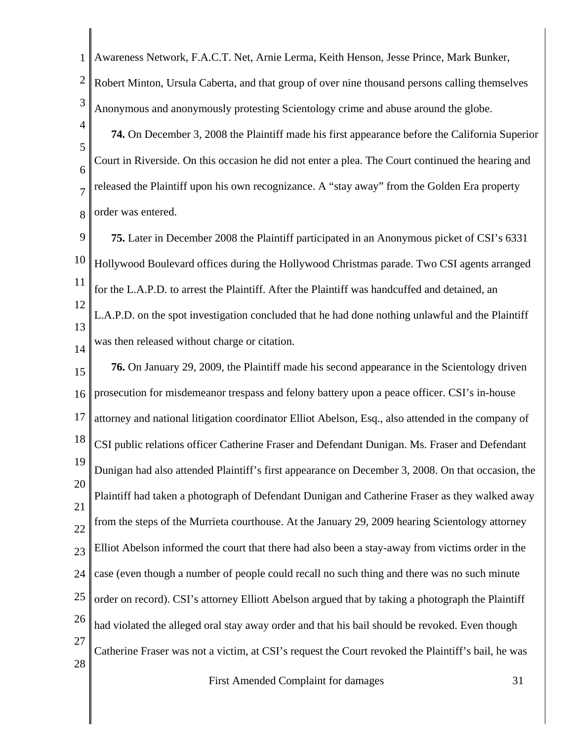1 2 3 4 5 6 7 8 9 10 11 12 13 14 15 16 17 18 19 20 21 22 23 24 25 26 27 28 First Amended Complaint for damages 31 Awareness Network, F.A.C.T. Net, Arnie Lerma, Keith Henson, Jesse Prince, Mark Bunker, Robert Minton, Ursula Caberta, and that group of over nine thousand persons calling themselves Anonymous and anonymously protesting Scientology crime and abuse around the globe. **74.** On December 3, 2008 the Plaintiff made his first appearance before the California Superior Court in Riverside. On this occasion he did not enter a plea. The Court continued the hearing and released the Plaintiff upon his own recognizance. A "stay away" from the Golden Era property order was entered. **75.** Later in December 2008 the Plaintiff participated in an Anonymous picket of CSI's 6331 Hollywood Boulevard offices during the Hollywood Christmas parade. Two CSI agents arranged for the L.A.P.D. to arrest the Plaintiff. After the Plaintiff was handcuffed and detained, an L.A.P.D. on the spot investigation concluded that he had done nothing unlawful and the Plaintiff was then released without charge or citation. **76.** On January 29, 2009, the Plaintiff made his second appearance in the Scientology driven prosecution for misdemeanor trespass and felony battery upon a peace officer. CSI's in-house attorney and national litigation coordinator Elliot Abelson, Esq., also attended in the company of CSI public relations officer Catherine Fraser and Defendant Dunigan. Ms. Fraser and Defendant Dunigan had also attended Plaintiff's first appearance on December 3, 2008. On that occasion, the Plaintiff had taken a photograph of Defendant Dunigan and Catherine Fraser as they walked away from the steps of the Murrieta courthouse. At the January 29, 2009 hearing Scientology attorney Elliot Abelson informed the court that there had also been a stay-away from victims order in the case (even though a number of people could recall no such thing and there was no such minute order on record). CSI's attorney Elliott Abelson argued that by taking a photograph the Plaintiff had violated the alleged oral stay away order and that his bail should be revoked. Even though Catherine Fraser was not a victim, at CSI's request the Court revoked the Plaintiff's bail, he was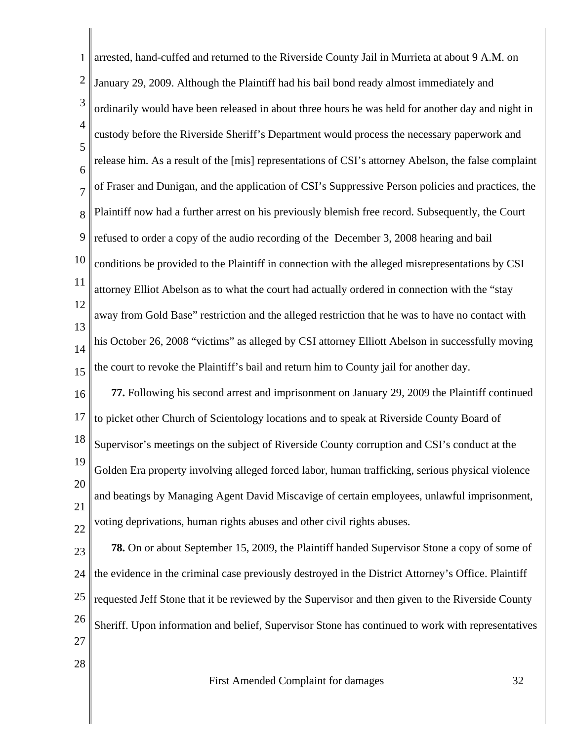| 1              | arrested, hand-cuffed and returned to the Riverside County Jail in Murrieta at about 9 A.M. on       |
|----------------|------------------------------------------------------------------------------------------------------|
| $\overline{2}$ | January 29, 2009. Although the Plaintiff had his bail bond ready almost immediately and              |
| 3              | ordinarily would have been released in about three hours he was held for another day and night in    |
| $\overline{4}$ | custody before the Riverside Sheriff's Department would process the necessary paperwork and          |
| 5<br>6         | release him. As a result of the [mis] representations of CSI's attorney Abelson, the false complaint |
| $\overline{7}$ | of Fraser and Dunigan, and the application of CSI's Suppressive Person policies and practices, the   |
| 8              | Plaintiff now had a further arrest on his previously blemish free record. Subsequently, the Court    |
| 9              | refused to order a copy of the audio recording of the December 3, 2008 hearing and bail              |
| 10             | conditions be provided to the Plaintiff in connection with the alleged misrepresentations by CSI     |
| 11             | attorney Elliot Abelson as to what the court had actually ordered in connection with the "stay       |
| 12             | away from Gold Base" restriction and the alleged restriction that he was to have no contact with     |
| 13<br>14       | his October 26, 2008 "victims" as alleged by CSI attorney Elliott Abelson in successfully moving     |
| 15             | the court to revoke the Plaintiff's bail and return him to County jail for another day.              |
| 16             | 77. Following his second arrest and imprisonment on January 29, 2009 the Plaintiff continued         |
| 17             | to picket other Church of Scientology locations and to speak at Riverside County Board of            |
| 18             | Supervisor's meetings on the subject of Riverside County corruption and CSI's conduct at the         |
| 19             | Golden Era property involving alleged forced labor, human trafficking, serious physical violence     |
| 20<br>21       | and beatings by Managing Agent David Miscavige of certain employees, unlawful imprisonment,          |
| 22             | voting deprivations, human rights abuses and other civil rights abuses.                              |
| 23             | <b>78.</b> On or about September 15, 2009, the Plaintiff handed Supervisor Stone a copy of some of   |
| 24             | the evidence in the criminal case previously destroyed in the District Attorney's Office. Plaintiff  |
| 25             | requested Jeff Stone that it be reviewed by the Supervisor and then given to the Riverside County    |
| 26             | Sheriff. Upon information and belief, Supervisor Stone has continued to work with representatives    |
| 27             |                                                                                                      |
| 28             |                                                                                                      |

 $\mathbb{I}$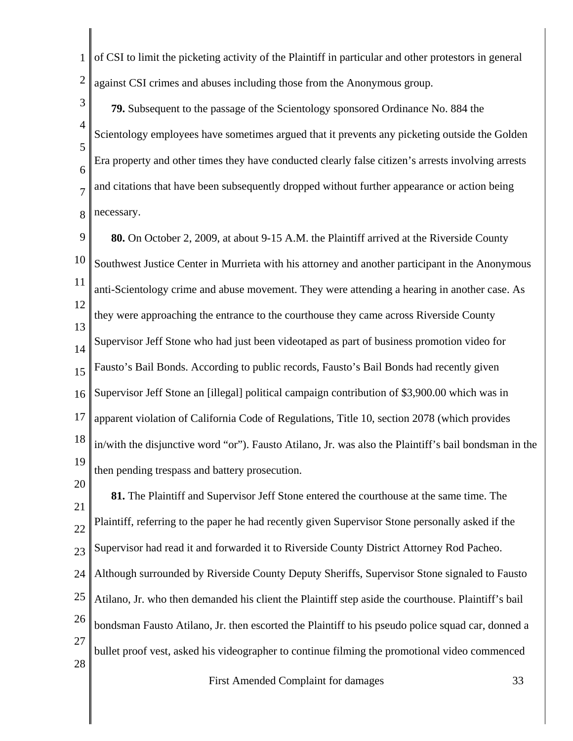1 2 of CSI to limit the picketing activity of the Plaintiff in particular and other protestors in general against CSI crimes and abuses including those from the Anonymous group.

3 4 5 6 7 8 **79.** Subsequent to the passage of the Scientology sponsored Ordinance No. 884 the Scientology employees have sometimes argued that it prevents any picketing outside the Golden Era property and other times they have conducted clearly false citizen's arrests involving arrests and citations that have been subsequently dropped without further appearance or action being necessary.

9 10 11 12 13 14 15 16 17 18 19 **80.** On October 2, 2009, at about 9-15 A.M. the Plaintiff arrived at the Riverside County Southwest Justice Center in Murrieta with his attorney and another participant in the Anonymous anti-Scientology crime and abuse movement. They were attending a hearing in another case. As they were approaching the entrance to the courthouse they came across Riverside County Supervisor Jeff Stone who had just been videotaped as part of business promotion video for Fausto's Bail Bonds. According to public records, Fausto's Bail Bonds had recently given Supervisor Jeff Stone an [illegal] political campaign contribution of \$3,900.00 which was in apparent violation of California Code of Regulations, Title 10, section 2078 (which provides in/with the disjunctive word "or"). Fausto Atilano, Jr. was also the Plaintiff's bail bondsman in the then pending trespass and battery prosecution.

20 21 22 23 24 25 26 27 28 **81.** The Plaintiff and Supervisor Jeff Stone entered the courthouse at the same time. The Plaintiff, referring to the paper he had recently given Supervisor Stone personally asked if the Supervisor had read it and forwarded it to Riverside County District Attorney Rod Pacheo. Although surrounded by Riverside County Deputy Sheriffs, Supervisor Stone signaled to Fausto Atilano, Jr. who then demanded his client the Plaintiff step aside the courthouse. Plaintiff's bail bondsman Fausto Atilano, Jr. then escorted the Plaintiff to his pseudo police squad car, donned a bullet proof vest, asked his videographer to continue filming the promotional video commenced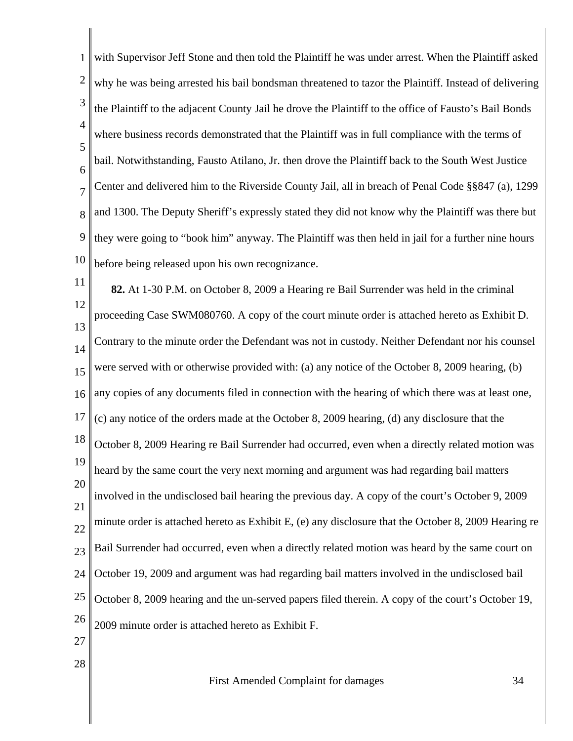1 2 3 4 5 6 7 8 9 10 11 12 13 14 15 16 17 18 19 20 21 22 23 24 25 26 27 28 with Supervisor Jeff Stone and then told the Plaintiff he was under arrest. When the Plaintiff asked why he was being arrested his bail bondsman threatened to tazor the Plaintiff. Instead of delivering the Plaintiff to the adjacent County Jail he drove the Plaintiff to the office of Fausto's Bail Bonds where business records demonstrated that the Plaintiff was in full compliance with the terms of bail. Notwithstanding, Fausto Atilano, Jr. then drove the Plaintiff back to the South West Justice Center and delivered him to the Riverside County Jail, all in breach of Penal Code §§847 (a), 1299 and 1300. The Deputy Sheriff's expressly stated they did not know why the Plaintiff was there but they were going to "book him" anyway. The Plaintiff was then held in jail for a further nine hours before being released upon his own recognizance. **82.** At 1-30 P.M. on October 8, 2009 a Hearing re Bail Surrender was held in the criminal proceeding Case SWM080760. A copy of the court minute order is attached hereto as Exhibit D. Contrary to the minute order the Defendant was not in custody. Neither Defendant nor his counsel were served with or otherwise provided with: (a) any notice of the October 8, 2009 hearing, (b) any copies of any documents filed in connection with the hearing of which there was at least one, (c) any notice of the orders made at the October 8, 2009 hearing, (d) any disclosure that the October 8, 2009 Hearing re Bail Surrender had occurred, even when a directly related motion was heard by the same court the very next morning and argument was had regarding bail matters involved in the undisclosed bail hearing the previous day. A copy of the court's October 9, 2009 minute order is attached hereto as Exhibit E, (e) any disclosure that the October 8, 2009 Hearing re Bail Surrender had occurred, even when a directly related motion was heard by the same court on October 19, 2009 and argument was had regarding bail matters involved in the undisclosed bail October 8, 2009 hearing and the un-served papers filed therein. A copy of the court's October 19, 2009 minute order is attached hereto as Exhibit F.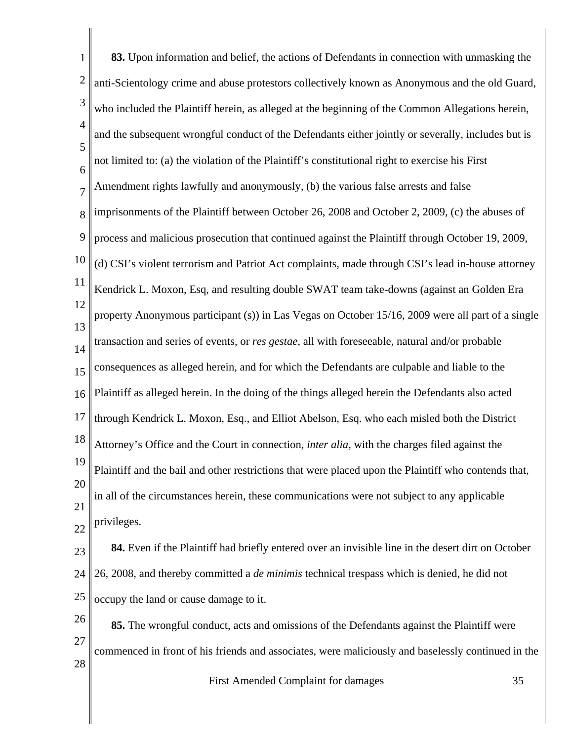| $\mathbf{1}$   | 83. Upon information and belief, the actions of Defendants in connection with unmasking the          |
|----------------|------------------------------------------------------------------------------------------------------|
| $\overline{c}$ | anti-Scientology crime and abuse protestors collectively known as Anonymous and the old Guard,       |
| 3              | who included the Plaintiff herein, as alleged at the beginning of the Common Allegations herein,     |
| $\overline{4}$ | and the subsequent wrongful conduct of the Defendants either jointly or severally, includes but is   |
| 5<br>6         | not limited to: (a) the violation of the Plaintiff's constitutional right to exercise his First      |
| $\overline{7}$ | Amendment rights lawfully and anonymously, (b) the various false arrests and false                   |
| 8              | imprisonments of the Plaintiff between October 26, 2008 and October 2, 2009, (c) the abuses of       |
| 9              | process and malicious prosecution that continued against the Plaintiff through October 19, 2009,     |
| 10             | (d) CSI's violent terrorism and Patriot Act complaints, made through CSI's lead in-house attorney    |
| 11             | Kendrick L. Moxon, Esq, and resulting double SWAT team take-downs (against an Golden Era             |
| 12             | property Anonymous participant (s)) in Las Vegas on October 15/16, 2009 were all part of a single    |
| 13             | transaction and series of events, or res gestae, all with foreseeable, natural and/or probable       |
| 14<br>15       | consequences as alleged herein, and for which the Defendants are culpable and liable to the          |
| 16             | Plaintiff as alleged herein. In the doing of the things alleged herein the Defendants also acted     |
| 17             | through Kendrick L. Moxon, Esq., and Elliot Abelson, Esq. who each misled both the District          |
| 18             | Attorney's Office and the Court in connection, inter alia, with the charges filed against the        |
| 19             | Plaintiff and the bail and other restrictions that were placed upon the Plaintiff who contends that, |
| 20             | in all of the circumstances herein, these communications were not subject to any applicable          |
| 21             | privileges.                                                                                          |
| 22             | 84. Even if the Plaintiff had briefly entered over an invisible line in the desert dirt on October   |
| 23<br>24       | 26, 2008, and thereby committed a <i>de minimis</i> technical trespass which is denied, he did not   |
| 25             | occupy the land or cause damage to it.                                                               |
| 26             | 85. The wrongful conduct, acts and omissions of the Defendants against the Plaintiff were            |
| 27             |                                                                                                      |
| 28             | commenced in front of his friends and associates, were maliciously and baselessly continued in the   |
|                | First Amended Complaint for damages<br>35                                                            |

∥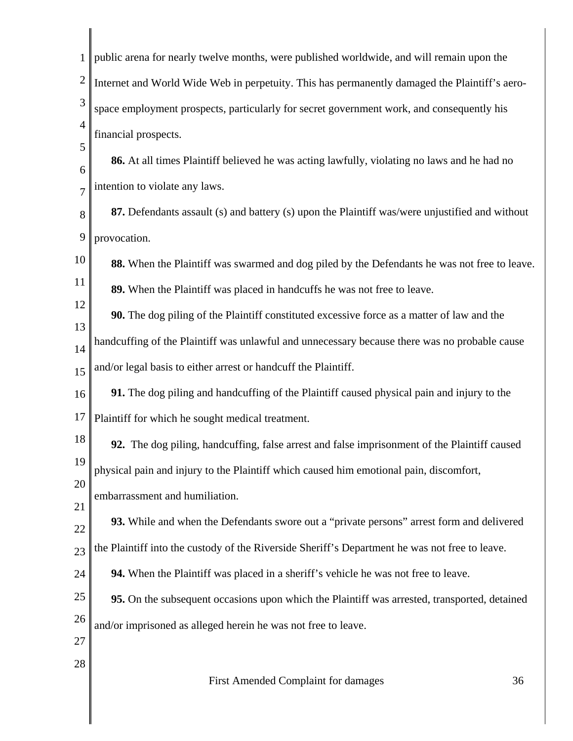| 1              | public arena for nearly twelve months, were published worldwide, and will remain upon the      |
|----------------|------------------------------------------------------------------------------------------------|
| $\overline{2}$ | Internet and World Wide Web in perpetuity. This has permanently damaged the Plaintiff's aero-  |
| 3              | space employment prospects, particularly for secret government work, and consequently his      |
| $\overline{4}$ | financial prospects.                                                                           |
| 5<br>6         | 86. At all times Plaintiff believed he was acting lawfully, violating no laws and he had no    |
| $\overline{7}$ | intention to violate any laws.                                                                 |
| 8              | 87. Defendants assault (s) and battery (s) upon the Plaintiff was/were unjustified and without |
| 9              | provocation.                                                                                   |
| 10             | 88. When the Plaintiff was swarmed and dog piled by the Defendants he was not free to leave.   |
| 11             | 89. When the Plaintiff was placed in handcuffs he was not free to leave.                       |
| 12             | 90. The dog piling of the Plaintiff constituted excessive force as a matter of law and the     |
| 13<br>14       | handcuffing of the Plaintiff was unlawful and unnecessary because there was no probable cause  |
| 15             | and/or legal basis to either arrest or handcuff the Plaintiff.                                 |
| 16             | 91. The dog piling and handcuffing of the Plaintiff caused physical pain and injury to the     |
| 17             | Plaintiff for which he sought medical treatment.                                               |
| 18             | 92. The dog piling, handcuffing, false arrest and false imprisonment of the Plaintiff caused   |
| 19             | physical pain and injury to the Plaintiff which caused him emotional pain, discomfort,         |
| 20<br>21       | embarrassment and humiliation.                                                                 |
| 22             | 93. While and when the Defendants swore out a "private persons" arrest form and delivered      |
| 23             | the Plaintiff into the custody of the Riverside Sheriff's Department he was not free to leave. |
| 24             | 94. When the Plaintiff was placed in a sheriff's vehicle he was not free to leave.             |
| 25             | 95. On the subsequent occasions upon which the Plaintiff was arrested, transported, detained   |
| 26             | and/or imprisoned as alleged herein he was not free to leave.                                  |
| 27             |                                                                                                |
| 28             | 36<br>First Amended Complaint for damages                                                      |
|                |                                                                                                |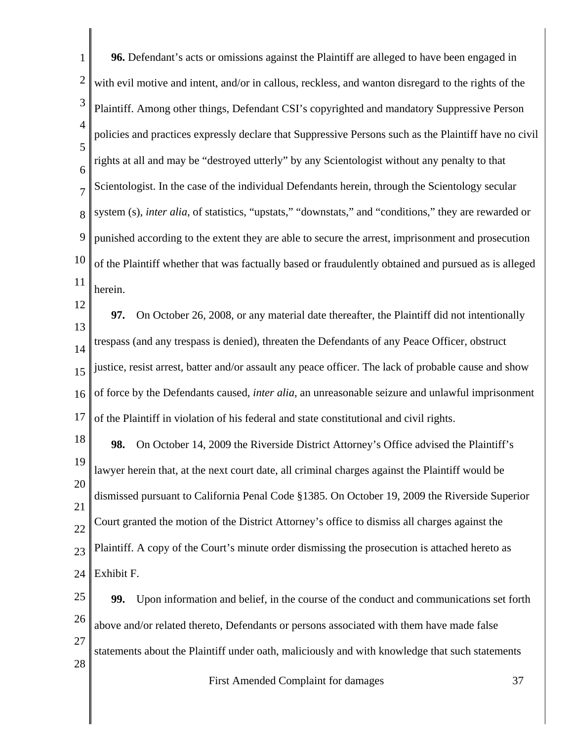| $\mathbf{1}$   | 96. Defendant's acts or omissions against the Plaintiff are alleged to have been engaged in           |
|----------------|-------------------------------------------------------------------------------------------------------|
| $\overline{2}$ | with evil motive and intent, and/or in callous, reckless, and wanton disregard to the rights of the   |
| 3              | Plaintiff. Among other things, Defendant CSI's copyrighted and mandatory Suppressive Person           |
| $\overline{4}$ | policies and practices expressly declare that Suppressive Persons such as the Plaintiff have no civil |
| 5<br>6         | rights at all and may be "destroyed utterly" by any Scientologist without any penalty to that         |
| $\overline{7}$ | Scientologist. In the case of the individual Defendants herein, through the Scientology secular       |
| 8              | system (s), inter alia, of statistics, "upstats," "downstats," and "conditions," they are rewarded or |
| 9              | punished according to the extent they are able to secure the arrest, imprisonment and prosecution     |
| 10             | of the Plaintiff whether that was factually based or fraudulently obtained and pursued as is alleged  |
| 11             | herein.                                                                                               |
| 12             | On October 26, 2008, or any material date thereafter, the Plaintiff did not intentionally<br>97.      |
| 13<br>14       | trespass (and any trespass is denied), threaten the Defendants of any Peace Officer, obstruct         |
| 15             | justice, resist arrest, batter and/or assault any peace officer. The lack of probable cause and show  |
| 16             | of force by the Defendants caused, inter alia, an unreasonable seizure and unlawful imprisonment      |
| 17             | of the Plaintiff in violation of his federal and state constitutional and civil rights.               |
| 18             | 98.<br>On October 14, 2009 the Riverside District Attorney's Office advised the Plaintiff's           |
| 19             | lawyer herein that, at the next court date, all criminal charges against the Plaintiff would be       |
| 20<br>21       | dismissed pursuant to California Penal Code §1385. On October 19, 2009 the Riverside Superior         |
| 22             | Court granted the motion of the District Attorney's office to dismiss all charges against the         |
| 23             | Plaintiff. A copy of the Court's minute order dismissing the prosecution is attached hereto as        |
| 24             | Exhibit F.                                                                                            |
| 25             | Upon information and belief, in the course of the conduct and communications set forth<br>99.         |
| 26             | above and/or related thereto, Defendants or persons associated with them have made false              |
| 27             | statements about the Plaintiff under oath, maliciously and with knowledge that such statements        |
| 28             | First Amended Complaint for damages<br>37                                                             |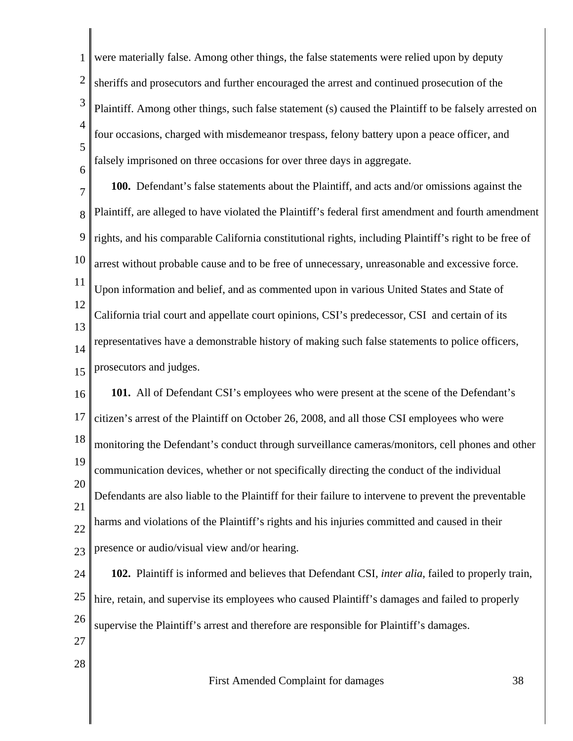1 2 3 4 5 6 were materially false. Among other things, the false statements were relied upon by deputy sheriffs and prosecutors and further encouraged the arrest and continued prosecution of the Plaintiff. Among other things, such false statement (s) caused the Plaintiff to be falsely arrested on four occasions, charged with misdemeanor trespass, felony battery upon a peace officer, and falsely imprisoned on three occasions for over three days in aggregate.

7 8 9 10 11 12 13 14 15 **100.** Defendant's false statements about the Plaintiff, and acts and/or omissions against the Plaintiff, are alleged to have violated the Plaintiff's federal first amendment and fourth amendment rights, and his comparable California constitutional rights, including Plaintiff's right to be free of arrest without probable cause and to be free of unnecessary, unreasonable and excessive force. Upon information and belief, and as commented upon in various United States and State of California trial court and appellate court opinions, CSI's predecessor, CSI and certain of its representatives have a demonstrable history of making such false statements to police officers, prosecutors and judges.

16 17 18 19 20 21 22 23 **101.** All of Defendant CSI's employees who were present at the scene of the Defendant's citizen's arrest of the Plaintiff on October 26, 2008, and all those CSI employees who were monitoring the Defendant's conduct through surveillance cameras/monitors, cell phones and other communication devices, whether or not specifically directing the conduct of the individual Defendants are also liable to the Plaintiff for their failure to intervene to prevent the preventable harms and violations of the Plaintiff's rights and his injuries committed and caused in their presence or audio/visual view and/or hearing.

24 25 26 27 **102.** Plaintiff is informed and believes that Defendant CSI, *inter alia*, failed to properly train, hire, retain, and supervise its employees who caused Plaintiff's damages and failed to properly supervise the Plaintiff's arrest and therefore are responsible for Plaintiff's damages.

28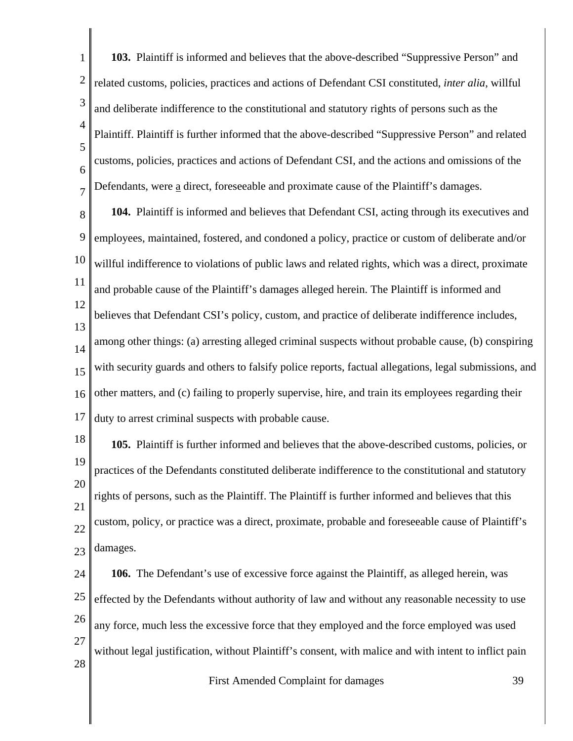1 2 3 4 5 6 7 **103.** Plaintiff is informed and believes that the above-described "Suppressive Person" and related customs, policies, practices and actions of Defendant CSI constituted, *inter alia*, willful and deliberate indifference to the constitutional and statutory rights of persons such as the Plaintiff. Plaintiff is further informed that the above-described "Suppressive Person" and related customs, policies, practices and actions of Defendant CSI, and the actions and omissions of the Defendants, were a direct, foreseeable and proximate cause of the Plaintiff's damages.

8 9 10 11 12 13 14 15 16 17 **104.** Plaintiff is informed and believes that Defendant CSI, acting through its executives and employees, maintained, fostered, and condoned a policy, practice or custom of deliberate and/or willful indifference to violations of public laws and related rights, which was a direct, proximate and probable cause of the Plaintiff's damages alleged herein. The Plaintiff is informed and believes that Defendant CSI's policy, custom, and practice of deliberate indifference includes, among other things: (a) arresting alleged criminal suspects without probable cause, (b) conspiring with security guards and others to falsify police reports, factual allegations, legal submissions, and other matters, and (c) failing to properly supervise, hire, and train its employees regarding their duty to arrest criminal suspects with probable cause.

18 19 20 21 22 23 **105.** Plaintiff is further informed and believes that the above-described customs, policies, or practices of the Defendants constituted deliberate indifference to the constitutional and statutory rights of persons, such as the Plaintiff. The Plaintiff is further informed and believes that this custom, policy, or practice was a direct, proximate, probable and foreseeable cause of Plaintiff's damages.

24 25 26 27 28 **106.** The Defendant's use of excessive force against the Plaintiff, as alleged herein, was effected by the Defendants without authority of law and without any reasonable necessity to use any force, much less the excessive force that they employed and the force employed was used without legal justification, without Plaintiff's consent, with malice and with intent to inflict pain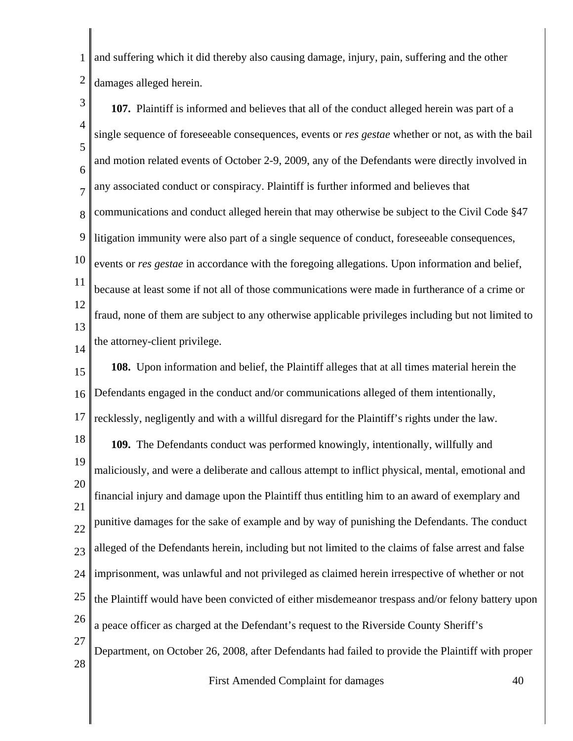1 2 and suffering which it did thereby also causing damage, injury, pain, suffering and the other damages alleged herein.

3 4 5 6 7 8 9 10 11 12 13 14 15 16 17 18 19 20 21 22 23 24 25 26 27 28 **107.** Plaintiff is informed and believes that all of the conduct alleged herein was part of a single sequence of foreseeable consequences, events or *res gestae* whether or not, as with the bail and motion related events of October 2-9, 2009, any of the Defendants were directly involved in any associated conduct or conspiracy. Plaintiff is further informed and believes that communications and conduct alleged herein that may otherwise be subject to the Civil Code §47 litigation immunity were also part of a single sequence of conduct, foreseeable consequences, events or *res gestae* in accordance with the foregoing allegations. Upon information and belief, because at least some if not all of those communications were made in furtherance of a crime or fraud, none of them are subject to any otherwise applicable privileges including but not limited to the attorney-client privilege. **108.** Upon information and belief, the Plaintiff alleges that at all times material herein the Defendants engaged in the conduct and/or communications alleged of them intentionally, recklessly, negligently and with a willful disregard for the Plaintiff's rights under the law. **109.** The Defendants conduct was performed knowingly, intentionally, willfully and maliciously, and were a deliberate and callous attempt to inflict physical, mental, emotional and financial injury and damage upon the Plaintiff thus entitling him to an award of exemplary and punitive damages for the sake of example and by way of punishing the Defendants. The conduct alleged of the Defendants herein, including but not limited to the claims of false arrest and false imprisonment, was unlawful and not privileged as claimed herein irrespective of whether or not the Plaintiff would have been convicted of either misdemeanor trespass and/or felony battery upon a peace officer as charged at the Defendant's request to the Riverside County Sheriff's Department, on October 26, 2008, after Defendants had failed to provide the Plaintiff with proper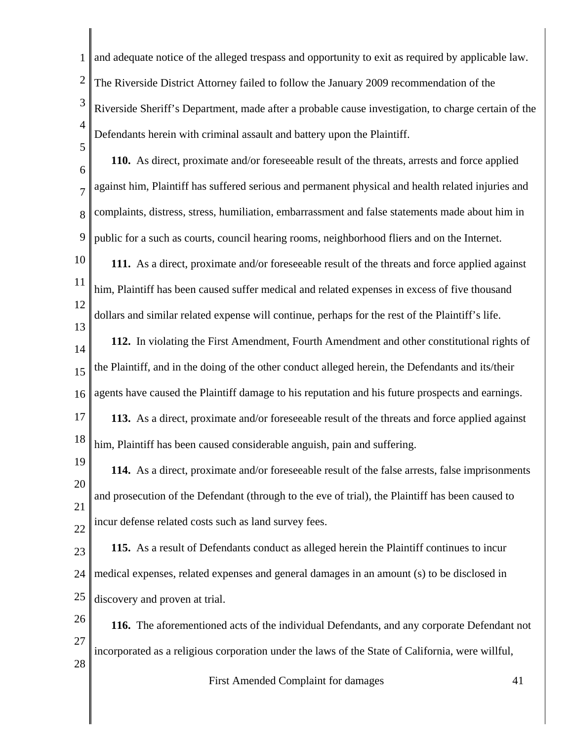1 2 3 4 5 6 7 8 9 10 11 12 13 14 15 16 17 18 19 20 21 22 23 24 25 26 27 28 First Amended Complaint for damages 41 and adequate notice of the alleged trespass and opportunity to exit as required by applicable law. The Riverside District Attorney failed to follow the January 2009 recommendation of the Riverside Sheriff's Department, made after a probable cause investigation, to charge certain of the Defendants herein with criminal assault and battery upon the Plaintiff. **110.** As direct, proximate and/or foreseeable result of the threats, arrests and force applied against him, Plaintiff has suffered serious and permanent physical and health related injuries and complaints, distress, stress, humiliation, embarrassment and false statements made about him in public for a such as courts, council hearing rooms, neighborhood fliers and on the Internet. **111.** As a direct, proximate and/or foreseeable result of the threats and force applied against him, Plaintiff has been caused suffer medical and related expenses in excess of five thousand dollars and similar related expense will continue, perhaps for the rest of the Plaintiff's life. **112.** In violating the First Amendment, Fourth Amendment and other constitutional rights of the Plaintiff, and in the doing of the other conduct alleged herein, the Defendants and its/their agents have caused the Plaintiff damage to his reputation and his future prospects and earnings. **113.** As a direct, proximate and/or foreseeable result of the threats and force applied against him, Plaintiff has been caused considerable anguish, pain and suffering. **114.** As a direct, proximate and/or foreseeable result of the false arrests, false imprisonments and prosecution of the Defendant (through to the eve of trial), the Plaintiff has been caused to incur defense related costs such as land survey fees. **115.** As a result of Defendants conduct as alleged herein the Plaintiff continues to incur medical expenses, related expenses and general damages in an amount (s) to be disclosed in discovery and proven at trial. **116.** The aforementioned acts of the individual Defendants, and any corporate Defendant not incorporated as a religious corporation under the laws of the State of California, were willful,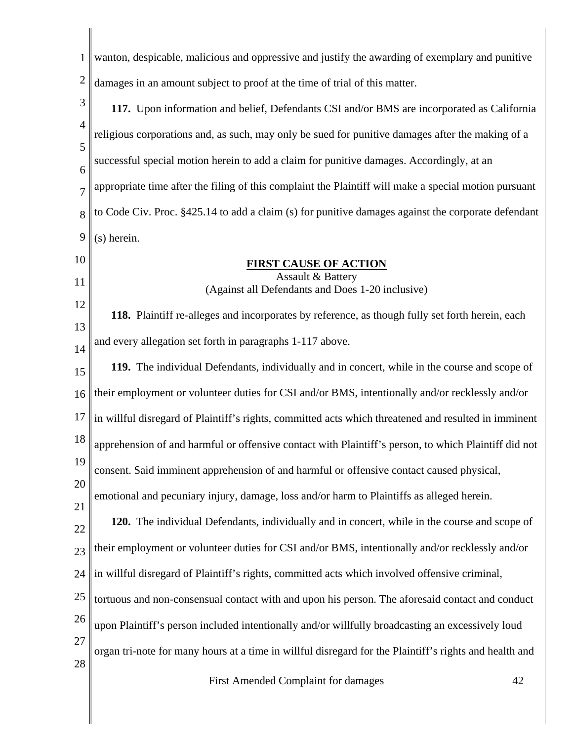| 1                   | wanton, despicable, malicious and oppressive and justify the awarding of exemplary and punitive        |
|---------------------|--------------------------------------------------------------------------------------------------------|
| $\overline{2}$      | damages in an amount subject to proof at the time of trial of this matter.                             |
| 3                   | 117. Upon information and belief, Defendants CSI and/or BMS are incorporated as California             |
| $\overline{4}$      | religious corporations and, as such, may only be sued for punitive damages after the making of a       |
| 5                   | successful special motion herein to add a claim for punitive damages. Accordingly, at an               |
| 6<br>$\overline{7}$ | appropriate time after the filing of this complaint the Plaintiff will make a special motion pursuant  |
| 8                   | to Code Civ. Proc. §425.14 to add a claim (s) for punitive damages against the corporate defendant     |
| 9                   | (s) herein.                                                                                            |
| 10                  | <b>FIRST CAUSE OF ACTION</b>                                                                           |
| 11                  | Assault & Battery<br>(Against all Defendants and Does 1-20 inclusive)                                  |
| 12                  | 118. Plaintiff re-alleges and incorporates by reference, as though fully set forth herein, each        |
| 13                  | and every allegation set forth in paragraphs 1-117 above.                                              |
| 14<br>15            | 119. The individual Defendants, individually and in concert, while in the course and scope of          |
| 16                  | their employment or volunteer duties for CSI and/or BMS, intentionally and/or recklessly and/or        |
| 17                  | in willful disregard of Plaintiff's rights, committed acts which threatened and resulted in imminent   |
| 18                  | apprehension of and harmful or offensive contact with Plaintiff's person, to which Plaintiff did not   |
| 19                  | consent. Said imminent apprehension of and harmful or offensive contact caused physical,               |
| 20                  | emotional and pecuniary injury, damage, loss and/or harm to Plaintiffs as alleged herein.              |
| 21                  |                                                                                                        |
| 22                  | 120. The individual Defendants, individually and in concert, while in the course and scope of          |
| 23                  | their employment or volunteer duties for CSI and/or BMS, intentionally and/or recklessly and/or        |
| 24                  | in willful disregard of Plaintiff's rights, committed acts which involved offensive criminal,          |
| 25                  | tortuous and non-consensual contact with and upon his person. The aforesaid contact and conduct        |
| 26                  | upon Plaintiff's person included intentionally and/or willfully broadcasting an excessively loud       |
| 27                  | organ tri-note for many hours at a time in willful disregard for the Plaintiff's rights and health and |
| 28                  | First Amended Complaint for damages<br>42                                                              |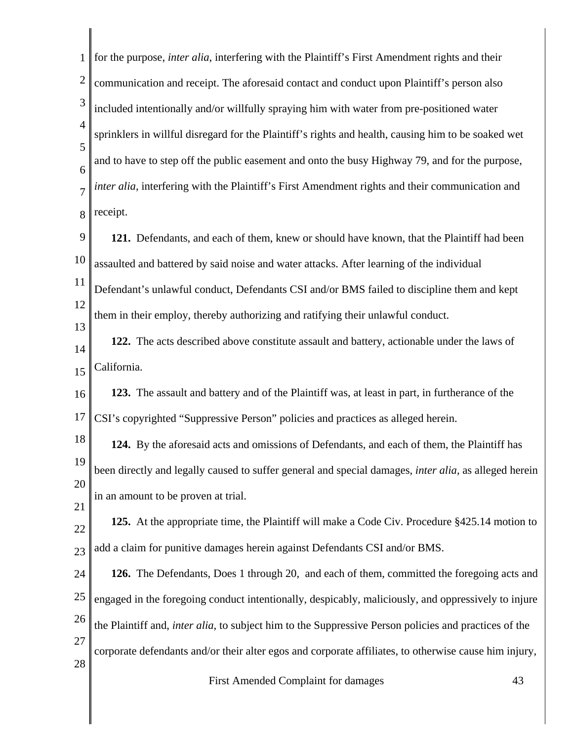| for the purpose, <i>inter alia</i> , interfering with the Plaintiff's First Amendment rights and their        |
|---------------------------------------------------------------------------------------------------------------|
| communication and receipt. The aforesaid contact and conduct upon Plaintiff's person also                     |
| included intentionally and/or willfully spraying him with water from pre-positioned water                     |
| sprinklers in willful disregard for the Plaintiff's rights and health, causing him to be soaked wet           |
| and to have to step off the public easement and onto the busy Highway 79, and for the purpose,                |
| inter alia, interfering with the Plaintiff's First Amendment rights and their communication and               |
| receipt.                                                                                                      |
| 121. Defendants, and each of them, knew or should have known, that the Plaintiff had been                     |
| assaulted and battered by said noise and water attacks. After learning of the individual                      |
| Defendant's unlawful conduct, Defendants CSI and/or BMS failed to discipline them and kept                    |
| them in their employ, thereby authorizing and ratifying their unlawful conduct.                               |
| 122. The acts described above constitute assault and battery, actionable under the laws of                    |
| California.                                                                                                   |
| 123. The assault and battery and of the Plaintiff was, at least in part, in furtherance of the                |
| CSI's copyrighted "Suppressive Person" policies and practices as alleged herein.                              |
| 124. By the aforesaid acts and omissions of Defendants, and each of them, the Plaintiff has                   |
| been directly and legally caused to suffer general and special damages, <i>inter alia</i> , as alleged herein |
| in an amount to be proven at trial.                                                                           |
| 125. At the appropriate time, the Plaintiff will make a Code Civ. Procedure §425.14 motion to                 |
| add a claim for punitive damages herein against Defendants CSI and/or BMS.                                    |
| 126. The Defendants, Does 1 through 20, and each of them, committed the foregoing acts and                    |
| engaged in the foregoing conduct intentionally, despicably, maliciously, and oppressively to injure           |
| the Plaintiff and, inter alia, to subject him to the Suppressive Person policies and practices of the         |
| corporate defendants and/or their alter egos and corporate affiliates, to otherwise cause him injury,         |
| First Amended Complaint for damages<br>43                                                                     |
|                                                                                                               |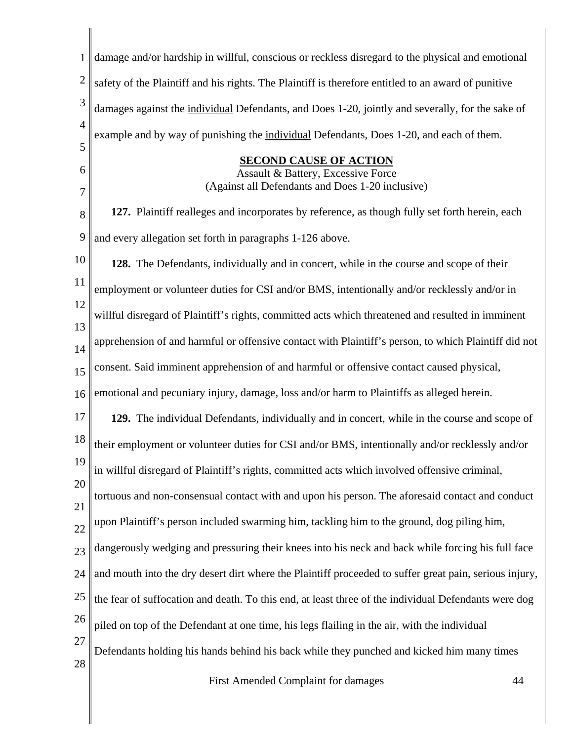| 1              | damage and/or hardship in willful, conscious or reckless disregard to the physical and emotional       |
|----------------|--------------------------------------------------------------------------------------------------------|
| $\overline{2}$ | safety of the Plaintiff and his rights. The Plaintiff is therefore entitled to an award of punitive    |
| 3              | damages against the individual Defendants, and Does 1-20, jointly and severally, for the sake of       |
| $\overline{4}$ | example and by way of punishing the individual Defendants, Does 1-20, and each of them.                |
| 5<br>6         | <b>SECOND CAUSE OF ACTION</b>                                                                          |
| 7              | Assault & Battery, Excessive Force<br>(Against all Defendants and Does 1-20 inclusive)                 |
| 8              | 127. Plaintiff realleges and incorporates by reference, as though fully set forth herein, each         |
| 9              | and every allegation set forth in paragraphs 1-126 above.                                              |
| 10             | 128. The Defendants, individually and in concert, while in the course and scope of their               |
| 11             | employment or volunteer duties for CSI and/or BMS, intentionally and/or recklessly and/or in           |
| 12<br>13       | willful disregard of Plaintiff's rights, committed acts which threatened and resulted in imminent      |
| 14             | apprehension of and harmful or offensive contact with Plaintiff's person, to which Plaintiff did not   |
| 15             | consent. Said imminent apprehension of and harmful or offensive contact caused physical,               |
| 16             | emotional and pecuniary injury, damage, loss and/or harm to Plaintiffs as alleged herein.              |
| 17             | 129. The individual Defendants, individually and in concert, while in the course and scope of          |
| 18             | their employment or volunteer duties for CSI and/or BMS, intentionally and/or recklessly and/or        |
| 19             | in willful disregard of Plaintiff's rights, committed acts which involved offensive criminal,          |
| 20<br>21       | tortuous and non-consensual contact with and upon his person. The aforesaid contact and conduct        |
| 22             | upon Plaintiff's person included swarming him, tackling him to the ground, dog piling him,             |
| 23             | dangerously wedging and pressuring their knees into his neck and back while forcing his full face      |
| 24             | and mouth into the dry desert dirt where the Plaintiff proceeded to suffer great pain, serious injury, |
| 25             | the fear of suffocation and death. To this end, at least three of the individual Defendants were dog   |
| 26             | piled on top of the Defendant at one time, his legs flailing in the air, with the individual           |
| 27             | Defendants holding his hands behind his back while they punched and kicked him many times              |
| 28             | First Amondod Complaint for damages<br>$\Lambda$                                                       |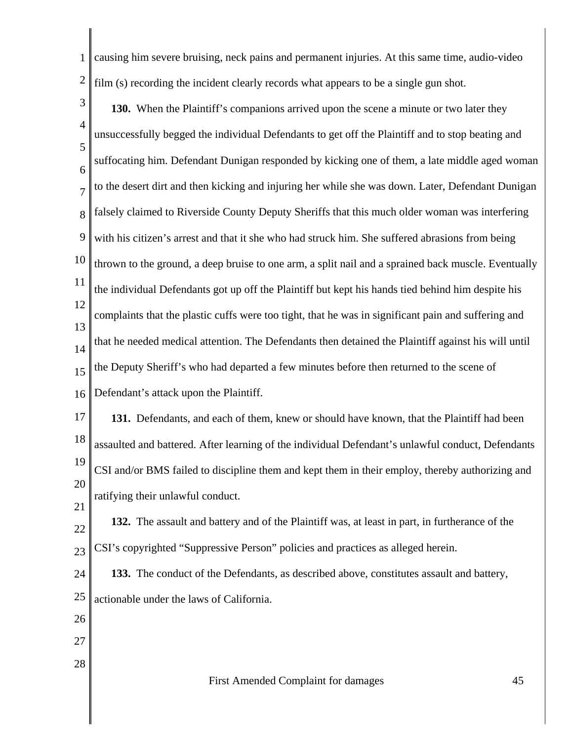1 2 causing him severe bruising, neck pains and permanent injuries. At this same time, audio-video film (s) recording the incident clearly records what appears to be a single gun shot.

3 4 5 6 7 8 9 10 11 12 13 14 15 16 **130.** When the Plaintiff's companions arrived upon the scene a minute or two later they unsuccessfully begged the individual Defendants to get off the Plaintiff and to stop beating and suffocating him. Defendant Dunigan responded by kicking one of them, a late middle aged woman to the desert dirt and then kicking and injuring her while she was down. Later, Defendant Dunigan falsely claimed to Riverside County Deputy Sheriffs that this much older woman was interfering with his citizen's arrest and that it she who had struck him. She suffered abrasions from being thrown to the ground, a deep bruise to one arm, a split nail and a sprained back muscle. Eventually the individual Defendants got up off the Plaintiff but kept his hands tied behind him despite his complaints that the plastic cuffs were too tight, that he was in significant pain and suffering and that he needed medical attention. The Defendants then detained the Plaintiff against his will until the Deputy Sheriff's who had departed a few minutes before then returned to the scene of Defendant's attack upon the Plaintiff.

17 18 19 20 **131.** Defendants, and each of them, knew or should have known, that the Plaintiff had been assaulted and battered. After learning of the individual Defendant's unlawful conduct, Defendants CSI and/or BMS failed to discipline them and kept them in their employ, thereby authorizing and ratifying their unlawful conduct.

22 23 **132.** The assault and battery and of the Plaintiff was, at least in part, in furtherance of the CSI's copyrighted "Suppressive Person" policies and practices as alleged herein.

24 25 **133.** The conduct of the Defendants, as described above, constitutes assault and battery, actionable under the laws of California.

26

21

- 27
- 28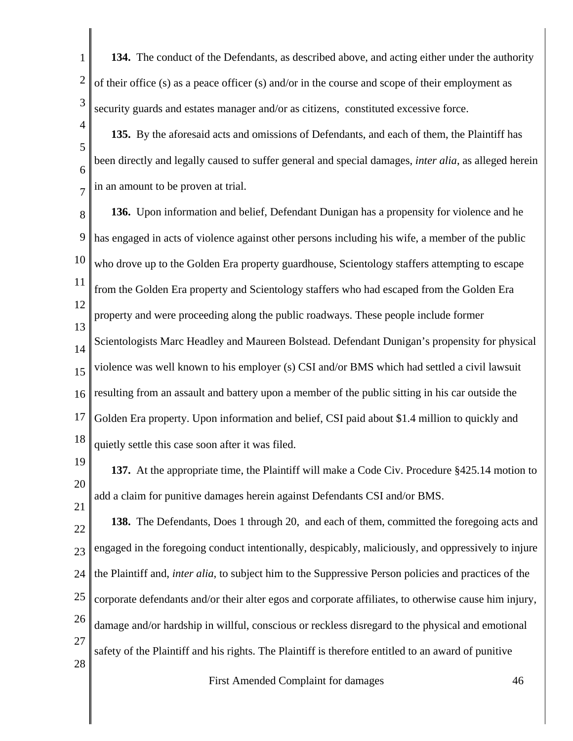1 2 3 **134.** The conduct of the Defendants, as described above, and acting either under the authority of their office (s) as a peace officer (s) and/or in the course and scope of their employment as security guards and estates manager and/or as citizens, constituted excessive force.

4

5 6 7 **135.** By the aforesaid acts and omissions of Defendants, and each of them, the Plaintiff has been directly and legally caused to suffer general and special damages, *inter alia*, as alleged herein in an amount to be proven at trial.

8 9 10 11 12 13 14 15 16 17 18 **136.** Upon information and belief, Defendant Dunigan has a propensity for violence and he has engaged in acts of violence against other persons including his wife, a member of the public who drove up to the Golden Era property guardhouse, Scientology staffers attempting to escape from the Golden Era property and Scientology staffers who had escaped from the Golden Era property and were proceeding along the public roadways. These people include former Scientologists Marc Headley and Maureen Bolstead. Defendant Dunigan's propensity for physical violence was well known to his employer (s) CSI and/or BMS which had settled a civil lawsuit resulting from an assault and battery upon a member of the public sitting in his car outside the Golden Era property. Upon information and belief, CSI paid about \$1.4 million to quickly and quietly settle this case soon after it was filed.

19 20 21 **137.** At the appropriate time, the Plaintiff will make a Code Civ. Procedure §425.14 motion to add a claim for punitive damages herein against Defendants CSI and/or BMS.

22 23 24 25 26 27 28 **138.** The Defendants, Does 1 through 20, and each of them, committed the foregoing acts and engaged in the foregoing conduct intentionally, despicably, maliciously, and oppressively to injure the Plaintiff and, *inter alia*, to subject him to the Suppressive Person policies and practices of the corporate defendants and/or their alter egos and corporate affiliates, to otherwise cause him injury, damage and/or hardship in willful, conscious or reckless disregard to the physical and emotional safety of the Plaintiff and his rights. The Plaintiff is therefore entitled to an award of punitive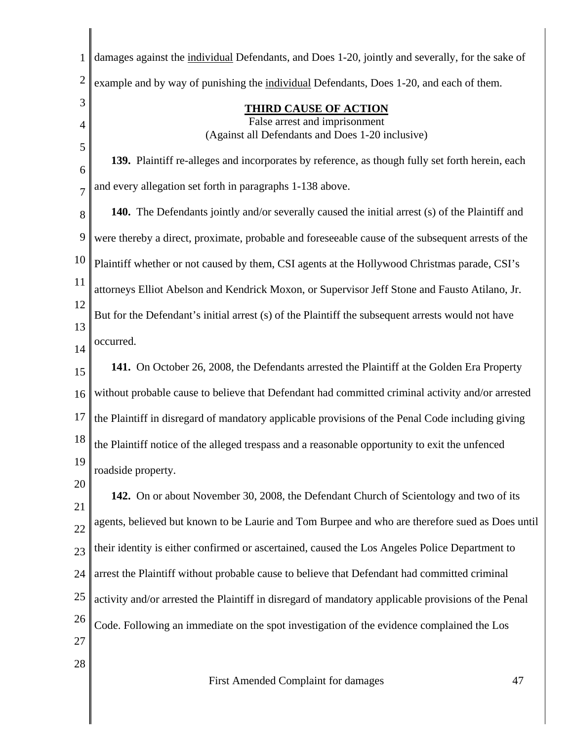| $\mathbf{1}$   | damages against the individual Defendants, and Does 1-20, jointly and severally, for the sake of       |
|----------------|--------------------------------------------------------------------------------------------------------|
| $\overline{2}$ | example and by way of punishing the individual Defendants, Does 1-20, and each of them.                |
| 3              | <b>THIRD CAUSE OF ACTION</b>                                                                           |
| $\overline{4}$ | False arrest and imprisonment<br>(Against all Defendants and Does 1-20 inclusive)                      |
| 5              | 139. Plaintiff re-alleges and incorporates by reference, as though fully set forth herein, each        |
| 6              | and every allegation set forth in paragraphs 1-138 above.                                              |
| $\overline{7}$ |                                                                                                        |
| 8              | <b>140.</b> The Defendants jointly and/or severally caused the initial arrest (s) of the Plaintiff and |
| 9              | were thereby a direct, proximate, probable and foreseeable cause of the subsequent arrests of the      |
| 10             | Plaintiff whether or not caused by them, CSI agents at the Hollywood Christmas parade, CSI's           |
| 11             | attorneys Elliot Abelson and Kendrick Moxon, or Supervisor Jeff Stone and Fausto Atilano, Jr.          |
| 12<br>13       | But for the Defendant's initial arrest (s) of the Plaintiff the subsequent arrests would not have      |
| 14             | occurred.                                                                                              |
| 15             | 141. On October 26, 2008, the Defendants arrested the Plaintiff at the Golden Era Property             |
| 16             | without probable cause to believe that Defendant had committed criminal activity and/or arrested       |
| 17             | the Plaintiff in disregard of mandatory applicable provisions of the Penal Code including giving       |
| 18             | the Plaintiff notice of the alleged trespass and a reasonable opportunity to exit the unfenced         |
| 19             | roadside property.                                                                                     |
| 20             | 142. On or about November 30, 2008, the Defendant Church of Scientology and two of its                 |
| 21             | agents, believed but known to be Laurie and Tom Burpee and who are therefore sued as Does until        |
| 22             | their identity is either confirmed or ascertained, caused the Los Angeles Police Department to         |
| 23             | arrest the Plaintiff without probable cause to believe that Defendant had committed criminal           |
| 24             |                                                                                                        |
| 25<br>26       | activity and/or arrested the Plaintiff in disregard of mandatory applicable provisions of the Penal    |
| 27             | Code. Following an immediate on the spot investigation of the evidence complained the Los              |
| 28             |                                                                                                        |
|                | First Amended Complaint for damages<br>47                                                              |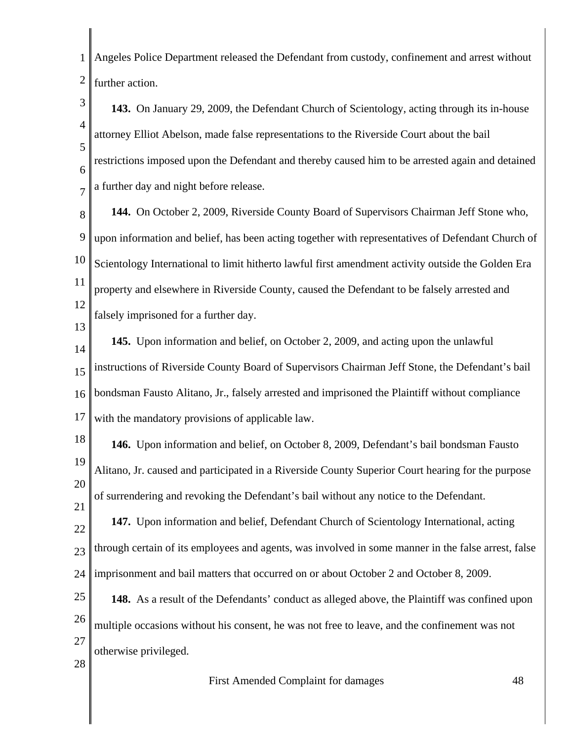1 2 Angeles Police Department released the Defendant from custody, confinement and arrest without further action.

3 4 5 6 7 **143.** On January 29, 2009, the Defendant Church of Scientology, acting through its in-house attorney Elliot Abelson, made false representations to the Riverside Court about the bail restrictions imposed upon the Defendant and thereby caused him to be arrested again and detained a further day and night before release.

8 9 10 11 12 **144.** On October 2, 2009, Riverside County Board of Supervisors Chairman Jeff Stone who, upon information and belief, has been acting together with representatives of Defendant Church of Scientology International to limit hitherto lawful first amendment activity outside the Golden Era property and elsewhere in Riverside County, caused the Defendant to be falsely arrested and falsely imprisoned for a further day.

14 15 16 17 **145.** Upon information and belief, on October 2, 2009, and acting upon the unlawful instructions of Riverside County Board of Supervisors Chairman Jeff Stone, the Defendant's bail bondsman Fausto Alitano, Jr., falsely arrested and imprisoned the Plaintiff without compliance with the mandatory provisions of applicable law.

18 19 20 21 **146.** Upon information and belief, on October 8, 2009, Defendant's bail bondsman Fausto Alitano, Jr. caused and participated in a Riverside County Superior Court hearing for the purpose of surrendering and revoking the Defendant's bail without any notice to the Defendant.

22 23 24 **147.** Upon information and belief, Defendant Church of Scientology International, acting through certain of its employees and agents, was involved in some manner in the false arrest, false imprisonment and bail matters that occurred on or about October 2 and October 8, 2009.

25 26 27 **148.** As a result of the Defendants' conduct as alleged above, the Plaintiff was confined upon multiple occasions without his consent, he was not free to leave, and the confinement was not otherwise privileged.

28

13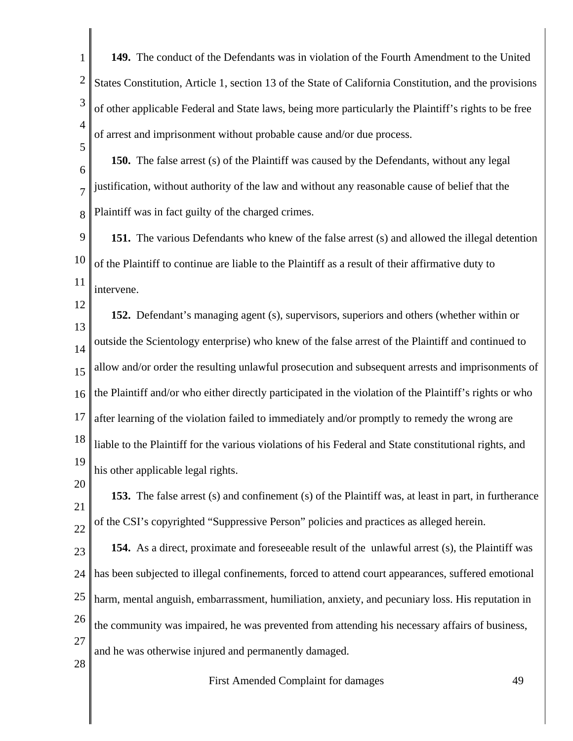1 2 3 4 **149.** The conduct of the Defendants was in violation of the Fourth Amendment to the United States Constitution, Article 1, section 13 of the State of California Constitution, and the provisions of other applicable Federal and State laws, being more particularly the Plaintiff's rights to be free of arrest and imprisonment without probable cause and/or due process.

6 7 8 **150.** The false arrest (s) of the Plaintiff was caused by the Defendants, without any legal justification, without authority of the law and without any reasonable cause of belief that the Plaintiff was in fact guilty of the charged crimes.

9 10 11 **151.** The various Defendants who knew of the false arrest (s) and allowed the illegal detention of the Plaintiff to continue are liable to the Plaintiff as a result of their affirmative duty to intervene.

12 13 14 15 16 17 18 19 **152.** Defendant's managing agent (s), supervisors, superiors and others (whether within or outside the Scientology enterprise) who knew of the false arrest of the Plaintiff and continued to allow and/or order the resulting unlawful prosecution and subsequent arrests and imprisonments of the Plaintiff and/or who either directly participated in the violation of the Plaintiff's rights or who after learning of the violation failed to immediately and/or promptly to remedy the wrong are liable to the Plaintiff for the various violations of his Federal and State constitutional rights, and his other applicable legal rights.

20 21 22 **153.** The false arrest (s) and confinement (s) of the Plaintiff was, at least in part, in furtherance of the CSI's copyrighted "Suppressive Person" policies and practices as alleged herein.

23 24 25 26 27 **154.** As a direct, proximate and foreseeable result of the unlawful arrest (s), the Plaintiff was has been subjected to illegal confinements, forced to attend court appearances, suffered emotional harm, mental anguish, embarrassment, humiliation, anxiety, and pecuniary loss. His reputation in the community was impaired, he was prevented from attending his necessary affairs of business, and he was otherwise injured and permanently damaged.

28

5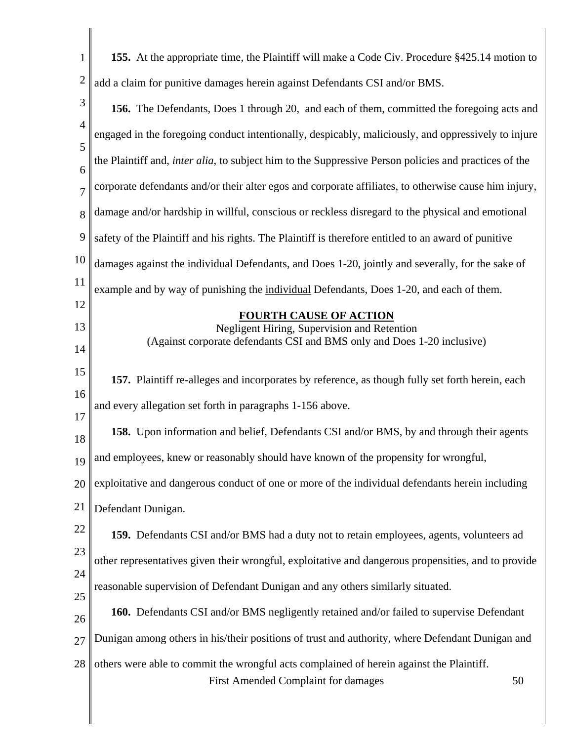| $\mathbf{1}$   | 155. At the appropriate time, the Plaintiff will make a Code Civ. Procedure §425.14 motion to                                         |
|----------------|---------------------------------------------------------------------------------------------------------------------------------------|
| $\overline{2}$ | add a claim for punitive damages herein against Defendants CSI and/or BMS.                                                            |
| 3              | 156. The Defendants, Does 1 through 20, and each of them, committed the foregoing acts and                                            |
| $\overline{4}$ | engaged in the foregoing conduct intentionally, despicably, maliciously, and oppressively to injure                                   |
| 5<br>6         | the Plaintiff and, inter alia, to subject him to the Suppressive Person policies and practices of the                                 |
| 7              | corporate defendants and/or their alter egos and corporate affiliates, to otherwise cause him injury,                                 |
| 8              | damage and/or hardship in willful, conscious or reckless disregard to the physical and emotional                                      |
| 9              | safety of the Plaintiff and his rights. The Plaintiff is therefore entitled to an award of punitive                                   |
| 10             | damages against the individual Defendants, and Does 1-20, jointly and severally, for the sake of                                      |
| 11             | example and by way of punishing the individual Defendants, Does 1-20, and each of them.                                               |
| 12             | <b>FOURTH CAUSE OF ACTION</b>                                                                                                         |
| 13<br>14       | Negligent Hiring, Supervision and Retention<br>(Against corporate defendants CSI and BMS only and Does 1-20 inclusive)                |
| 15             | 157. Plaintiff re-alleges and incorporates by reference, as though fully set forth herein, each                                       |
| 16<br>17       | and every allegation set forth in paragraphs 1-156 above.                                                                             |
| 18             | 158. Upon information and belief, Defendants CSI and/or BMS, by and through their agents                                              |
| 19             | and employees, knew or reasonably should have known of the propensity for wrongful,                                                   |
| 20             | exploitative and dangerous conduct of one or more of the individual defendants herein including                                       |
| 21             | Defendant Dunigan.                                                                                                                    |
| 22             | 159. Defendants CSI and/or BMS had a duty not to retain employees, agents, volunteers ad                                              |
| 23             | other representatives given their wrongful, exploitative and dangerous propensities, and to provide                                   |
| 24<br>25       | reasonable supervision of Defendant Dunigan and any others similarly situated.                                                        |
| 26             | 160. Defendants CSI and/or BMS negligently retained and/or failed to supervise Defendant                                              |
| 27             | Dunigan among others in his/their positions of trust and authority, where Defendant Dunigan and                                       |
| 28             | others were able to commit the wrongful acts complained of herein against the Plaintiff.<br>First Amended Complaint for damages<br>50 |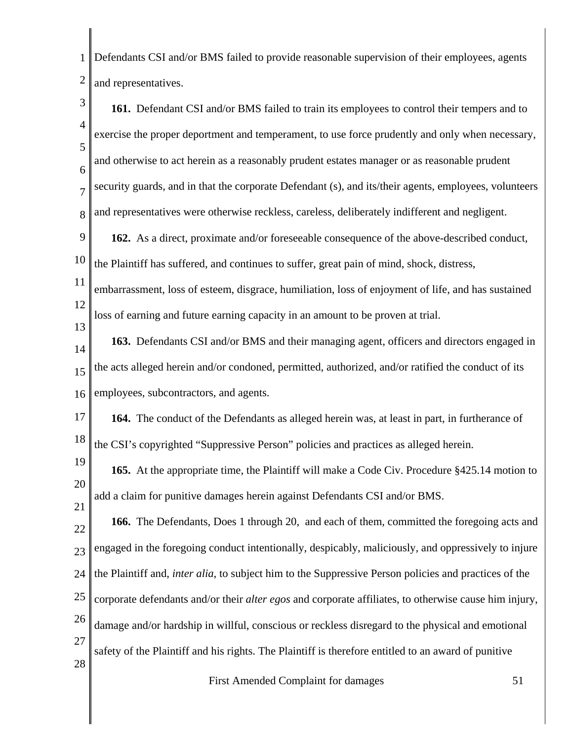1 2 Defendants CSI and/or BMS failed to provide reasonable supervision of their employees, agents and representatives.

3 4 5 6 7 8 9 10 11 12 13 14 15 16 17 18 19 20 21 22 23 24 25 26 27 28 **161.** Defendant CSI and/or BMS failed to train its employees to control their tempers and to exercise the proper deportment and temperament, to use force prudently and only when necessary, and otherwise to act herein as a reasonably prudent estates manager or as reasonable prudent security guards, and in that the corporate Defendant (s), and its/their agents, employees, volunteers and representatives were otherwise reckless, careless, deliberately indifferent and negligent. **162.** As a direct, proximate and/or foreseeable consequence of the above-described conduct, the Plaintiff has suffered, and continues to suffer, great pain of mind, shock, distress, embarrassment, loss of esteem, disgrace, humiliation, loss of enjoyment of life, and has sustained loss of earning and future earning capacity in an amount to be proven at trial. **163.** Defendants CSI and/or BMS and their managing agent, officers and directors engaged in the acts alleged herein and/or condoned, permitted, authorized, and/or ratified the conduct of its employees, subcontractors, and agents. **164.** The conduct of the Defendants as alleged herein was, at least in part, in furtherance of the CSI's copyrighted "Suppressive Person" policies and practices as alleged herein. **165.** At the appropriate time, the Plaintiff will make a Code Civ. Procedure §425.14 motion to add a claim for punitive damages herein against Defendants CSI and/or BMS. **166.** The Defendants, Does 1 through 20, and each of them, committed the foregoing acts and engaged in the foregoing conduct intentionally, despicably, maliciously, and oppressively to injure the Plaintiff and, *inter alia*, to subject him to the Suppressive Person policies and practices of the corporate defendants and/or their *alter egos* and corporate affiliates, to otherwise cause him injury, damage and/or hardship in willful, conscious or reckless disregard to the physical and emotional safety of the Plaintiff and his rights. The Plaintiff is therefore entitled to an award of punitive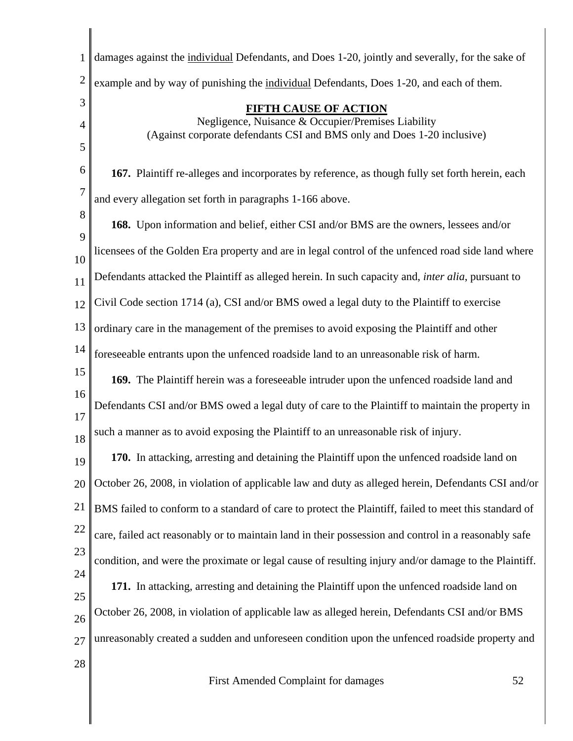| 1              | damages against the individual Defendants, and Does 1-20, jointly and severally, for the sake of                              |
|----------------|-------------------------------------------------------------------------------------------------------------------------------|
| $\overline{2}$ | example and by way of punishing the individual Defendants, Does 1-20, and each of them.                                       |
| 3              | <b>FIFTH CAUSE OF ACTION</b>                                                                                                  |
| 4              | Negligence, Nuisance & Occupier/Premises Liability<br>(Against corporate defendants CSI and BMS only and Does 1-20 inclusive) |
| 5              |                                                                                                                               |
| 6              | 167. Plaintiff re-alleges and incorporates by reference, as though fully set forth herein, each                               |
| $\overline{7}$ | and every allegation set forth in paragraphs 1-166 above.                                                                     |
| 8<br>9         | 168. Upon information and belief, either CSI and/or BMS are the owners, lessees and/or                                        |
| 10             | licensees of the Golden Era property and are in legal control of the unfenced road side land where                            |
| 11             | Defendants attacked the Plaintiff as alleged herein. In such capacity and, <i>inter alia</i> , pursuant to                    |
| 12             | Civil Code section 1714 (a), CSI and/or BMS owed a legal duty to the Plaintiff to exercise                                    |
| 13             | ordinary care in the management of the premises to avoid exposing the Plaintiff and other                                     |
| 14             | foreseeable entrants upon the unfenced roadside land to an unreasonable risk of harm.                                         |
| 15             | 169. The Plaintiff herein was a foreseeable intruder upon the unfenced roadside land and                                      |
| 16<br>17       | Defendants CSI and/or BMS owed a legal duty of care to the Plaintiff to maintain the property in                              |
| 18             | such a manner as to avoid exposing the Plaintiff to an unreasonable risk of injury.                                           |
| 19             | 170. In attacking, arresting and detaining the Plaintiff upon the unfenced roadside land on                                   |
| 20             | October 26, 2008, in violation of applicable law and duty as alleged herein, Defendants CSI and/or                            |
| 21             | BMS failed to conform to a standard of care to protect the Plaintiff, failed to meet this standard of                         |
| 22             | care, failed act reasonably or to maintain land in their possession and control in a reasonably safe                          |
| 23             | condition, and were the proximate or legal cause of resulting injury and/or damage to the Plaintiff.                          |
| 24<br>25       | 171. In attacking, arresting and detaining the Plaintiff upon the unfenced roadside land on                                   |
| 26             | October 26, 2008, in violation of applicable law as alleged herein, Defendants CSI and/or BMS                                 |
| 27             | unreasonably created a sudden and unforeseen condition upon the unfenced roadside property and                                |
| 28             |                                                                                                                               |
|                | First Amended Complaint for damages<br>52                                                                                     |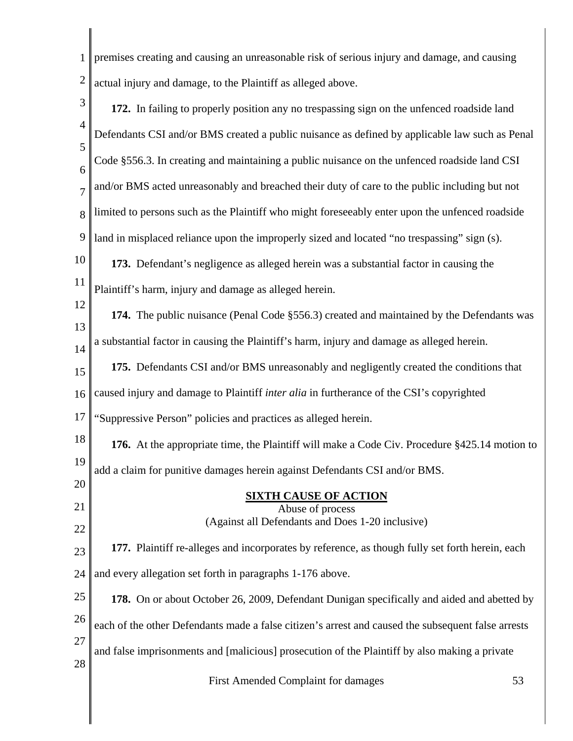1 2 premises creating and causing an unreasonable risk of serious injury and damage, and causing actual injury and damage, to the Plaintiff as alleged above.

3 4 5 6 7 8 9 10 11 12 13 14 15 16 17 18 19 20 21 22 23 24 25 26 27 28 First Amended Complaint for damages 53 **172.** In failing to properly position any no trespassing sign on the unfenced roadside land Defendants CSI and/or BMS created a public nuisance as defined by applicable law such as Penal Code §556.3. In creating and maintaining a public nuisance on the unfenced roadside land CSI and/or BMS acted unreasonably and breached their duty of care to the public including but not limited to persons such as the Plaintiff who might foreseeably enter upon the unfenced roadside land in misplaced reliance upon the improperly sized and located "no trespassing" sign (s). **173.** Defendant's negligence as alleged herein was a substantial factor in causing the Plaintiff's harm, injury and damage as alleged herein. **174.** The public nuisance (Penal Code §556.3) created and maintained by the Defendants was a substantial factor in causing the Plaintiff's harm, injury and damage as alleged herein. **175.** Defendants CSI and/or BMS unreasonably and negligently created the conditions that caused injury and damage to Plaintiff *inter alia* in furtherance of the CSI's copyrighted "Suppressive Person" policies and practices as alleged herein. **176.** At the appropriate time, the Plaintiff will make a Code Civ. Procedure §425.14 motion to add a claim for punitive damages herein against Defendants CSI and/or BMS. **SIXTH CAUSE OF ACTION** Abuse of process (Against all Defendants and Does 1-20 inclusive) **177.** Plaintiff re-alleges and incorporates by reference, as though fully set forth herein, each and every allegation set forth in paragraphs 1-176 above. **178.** On or about October 26, 2009, Defendant Dunigan specifically and aided and abetted by each of the other Defendants made a false citizen's arrest and caused the subsequent false arrests and false imprisonments and [malicious] prosecution of the Plaintiff by also making a private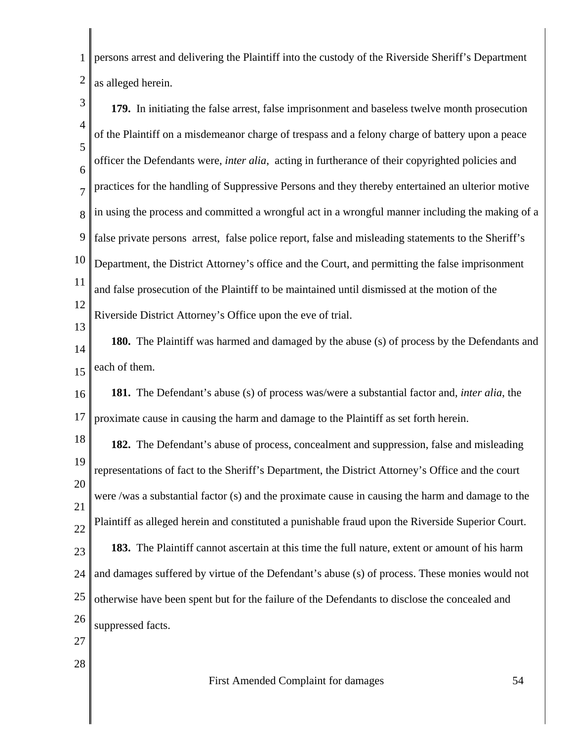1 2 persons arrest and delivering the Plaintiff into the custody of the Riverside Sheriff's Department as alleged herein.

3 4 5 6 7 8 9 10 11 12 13 **179.** In initiating the false arrest, false imprisonment and baseless twelve month prosecution of the Plaintiff on a misdemeanor charge of trespass and a felony charge of battery upon a peace officer the Defendants were, *inter alia*, acting in furtherance of their copyrighted policies and practices for the handling of Suppressive Persons and they thereby entertained an ulterior motive in using the process and committed a wrongful act in a wrongful manner including the making of a false private persons arrest, false police report, false and misleading statements to the Sheriff's Department, the District Attorney's office and the Court, and permitting the false imprisonment and false prosecution of the Plaintiff to be maintained until dismissed at the motion of the Riverside District Attorney's Office upon the eve of trial.

14 15 **180.** The Plaintiff was harmed and damaged by the abuse (s) of process by the Defendants and each of them.

16 17 **181.** The Defendant's abuse (s) of process was/were a substantial factor and, *inter alia*, the proximate cause in causing the harm and damage to the Plaintiff as set forth herein.

18 19 20 21 22 23 24 25 26 **182.** The Defendant's abuse of process, concealment and suppression, false and misleading representations of fact to the Sheriff's Department, the District Attorney's Office and the court were /was a substantial factor (s) and the proximate cause in causing the harm and damage to the Plaintiff as alleged herein and constituted a punishable fraud upon the Riverside Superior Court. **183.** The Plaintiff cannot ascertain at this time the full nature, extent or amount of his harm and damages suffered by virtue of the Defendant's abuse (s) of process. These monies would not otherwise have been spent but for the failure of the Defendants to disclose the concealed and suppressed facts.

- 27
- 28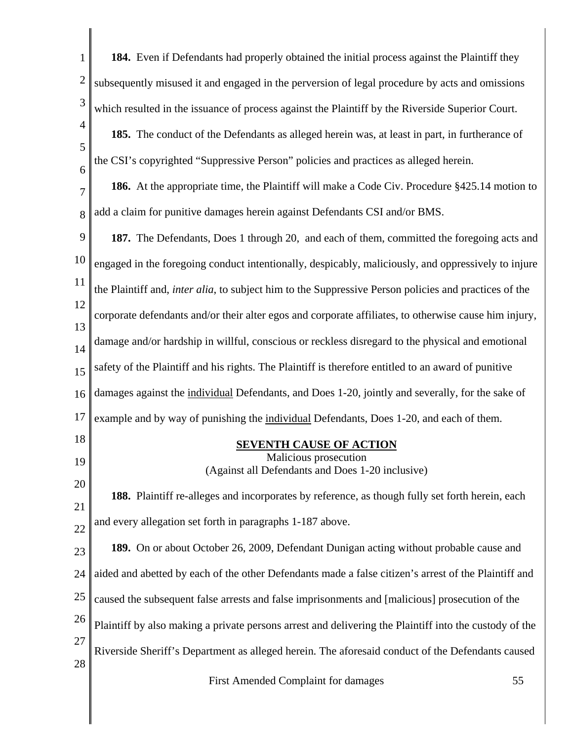| $\mathbf{1}$   | 184. Even if Defendants had properly obtained the initial process against the Plaintiff they           |
|----------------|--------------------------------------------------------------------------------------------------------|
| $\overline{c}$ | subsequently misused it and engaged in the perversion of legal procedure by acts and omissions         |
| 3              | which resulted in the issuance of process against the Plaintiff by the Riverside Superior Court.       |
| $\overline{4}$ | 185. The conduct of the Defendants as alleged herein was, at least in part, in furtherance of          |
| 5<br>6         | the CSI's copyrighted "Suppressive Person" policies and practices as alleged herein.                   |
| 7              | 186. At the appropriate time, the Plaintiff will make a Code Civ. Procedure §425.14 motion to          |
| 8              | add a claim for punitive damages herein against Defendants CSI and/or BMS.                             |
| 9              | 187. The Defendants, Does 1 through 20, and each of them, committed the foregoing acts and             |
| 10             | engaged in the foregoing conduct intentionally, despicably, maliciously, and oppressively to injure    |
| 11             | the Plaintiff and, inter alia, to subject him to the Suppressive Person policies and practices of the  |
| 12             | corporate defendants and/or their alter egos and corporate affiliates, to otherwise cause him injury,  |
| 13<br>14       | damage and/or hardship in willful, conscious or reckless disregard to the physical and emotional       |
| 15             | safety of the Plaintiff and his rights. The Plaintiff is therefore entitled to an award of punitive    |
| 16             | damages against the individual Defendants, and Does 1-20, jointly and severally, for the sake of       |
| 17             | example and by way of punishing the individual Defendants, Does 1-20, and each of them.                |
| 18             | <b>SEVENTH CAUSE OF ACTION</b>                                                                         |
| 19             | Malicious prosecution<br>(Against all Defendants and Does 1-20 inclusive)                              |
| 20             | 188. Plaintiff re-alleges and incorporates by reference, as though fully set forth herein, each        |
| 21<br>22       | and every allegation set forth in paragraphs 1-187 above.                                              |
| 23             | 189. On or about October 26, 2009, Defendant Dunigan acting without probable cause and                 |
| 24             | aided and abetted by each of the other Defendants made a false citizen's arrest of the Plaintiff and   |
| 25             | caused the subsequent false arrests and false imprisonments and [malicious] prosecution of the         |
| 26             | Plaintiff by also making a private persons arrest and delivering the Plaintiff into the custody of the |
| 27             | Riverside Sheriff's Department as alleged herein. The aforesaid conduct of the Defendants caused       |
| 28             | First Amended Complaint for damages<br>55                                                              |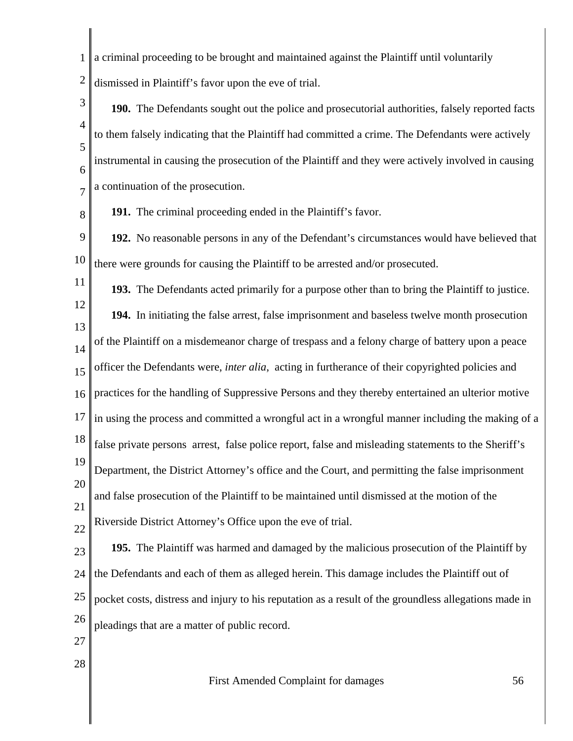1 2 a criminal proceeding to be brought and maintained against the Plaintiff until voluntarily dismissed in Plaintiff's favor upon the eve of trial.

3 4 5 6 7 **190.** The Defendants sought out the police and prosecutorial authorities, falsely reported facts to them falsely indicating that the Plaintiff had committed a crime. The Defendants were actively instrumental in causing the prosecution of the Plaintiff and they were actively involved in causing a continuation of the prosecution.

8 **191.** The criminal proceeding ended in the Plaintiff's favor.

9 10 **192.** No reasonable persons in any of the Defendant's circumstances would have believed that there were grounds for causing the Plaintiff to be arrested and/or prosecuted.

11 12 13 14 15 16 17 18 19 20 21 22 **193.** The Defendants acted primarily for a purpose other than to bring the Plaintiff to justice. **194.** In initiating the false arrest, false imprisonment and baseless twelve month prosecution of the Plaintiff on a misdemeanor charge of trespass and a felony charge of battery upon a peace officer the Defendants were, *inter alia*, acting in furtherance of their copyrighted policies and practices for the handling of Suppressive Persons and they thereby entertained an ulterior motive in using the process and committed a wrongful act in a wrongful manner including the making of a false private persons arrest, false police report, false and misleading statements to the Sheriff's Department, the District Attorney's office and the Court, and permitting the false imprisonment and false prosecution of the Plaintiff to be maintained until dismissed at the motion of the Riverside District Attorney's Office upon the eve of trial.

23 24 25 26 **195.** The Plaintiff was harmed and damaged by the malicious prosecution of the Plaintiff by the Defendants and each of them as alleged herein. This damage includes the Plaintiff out of pocket costs, distress and injury to his reputation as a result of the groundless allegations made in pleadings that are a matter of public record.

- 27
- 28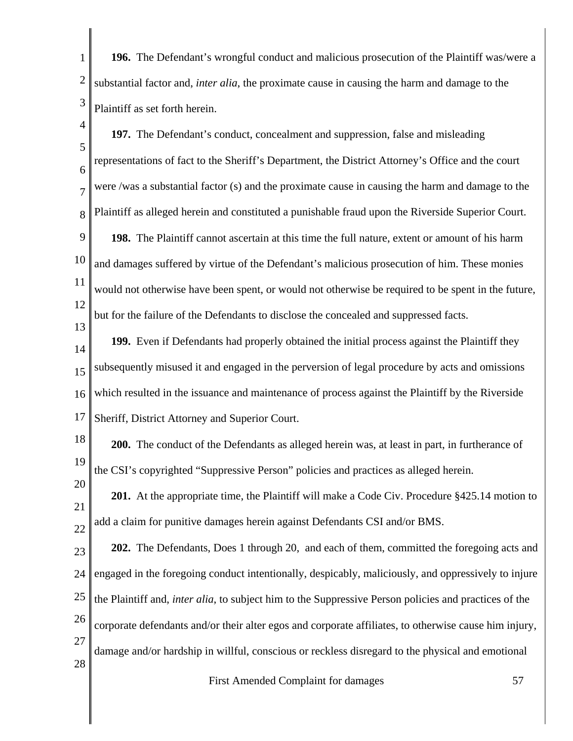1 2 3 **196.** The Defendant's wrongful conduct and malicious prosecution of the Plaintiff was/were a substantial factor and, *inter alia*, the proximate cause in causing the harm and damage to the Plaintiff as set forth herein.

4

13

20

5 6 7 8 9 10 11 12 **197.** The Defendant's conduct, concealment and suppression, false and misleading representations of fact to the Sheriff's Department, the District Attorney's Office and the court were /was a substantial factor (s) and the proximate cause in causing the harm and damage to the Plaintiff as alleged herein and constituted a punishable fraud upon the Riverside Superior Court. **198.** The Plaintiff cannot ascertain at this time the full nature, extent or amount of his harm and damages suffered by virtue of the Defendant's malicious prosecution of him. These monies would not otherwise have been spent, or would not otherwise be required to be spent in the future, but for the failure of the Defendants to disclose the concealed and suppressed facts.

14 15 16 17 **199.** Even if Defendants had properly obtained the initial process against the Plaintiff they subsequently misused it and engaged in the perversion of legal procedure by acts and omissions which resulted in the issuance and maintenance of process against the Plaintiff by the Riverside Sheriff, District Attorney and Superior Court.

18 19 **200.** The conduct of the Defendants as alleged herein was, at least in part, in furtherance of the CSI's copyrighted "Suppressive Person" policies and practices as alleged herein.

21 22 **201.** At the appropriate time, the Plaintiff will make a Code Civ. Procedure §425.14 motion to add a claim for punitive damages herein against Defendants CSI and/or BMS.

23 24 25 26 27 28 **202.** The Defendants, Does 1 through 20, and each of them, committed the foregoing acts and engaged in the foregoing conduct intentionally, despicably, maliciously, and oppressively to injure the Plaintiff and, *inter alia*, to subject him to the Suppressive Person policies and practices of the corporate defendants and/or their alter egos and corporate affiliates, to otherwise cause him injury, damage and/or hardship in willful, conscious or reckless disregard to the physical and emotional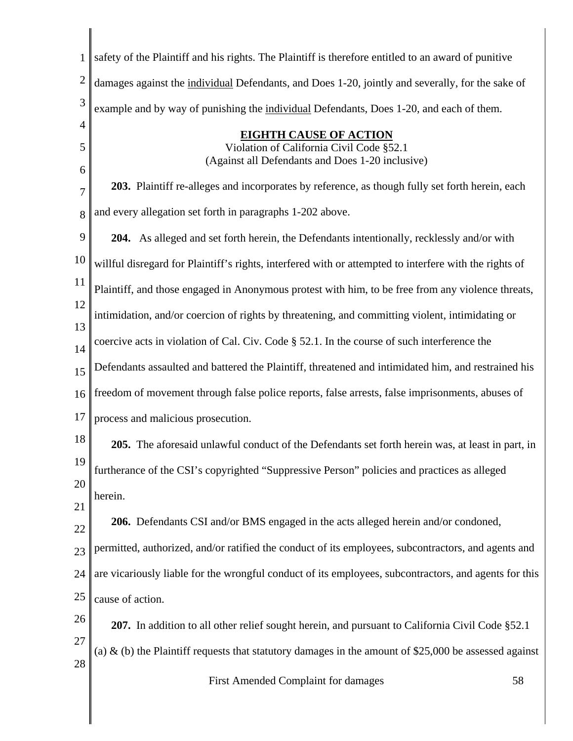| 1                   | safety of the Plaintiff and his rights. The Plaintiff is therefore entitled to an award of punitive      |
|---------------------|----------------------------------------------------------------------------------------------------------|
| $\overline{2}$      | damages against the individual Defendants, and Does 1-20, jointly and severally, for the sake of         |
| 3                   | example and by way of punishing the individual Defendants, Does 1-20, and each of them.                  |
| $\overline{4}$<br>5 | <b>EIGHTH CAUSE OF ACTION</b><br>Violation of California Civil Code §52.1                                |
| 6                   | (Against all Defendants and Does 1-20 inclusive)                                                         |
| 7                   | 203. Plaintiff re-alleges and incorporates by reference, as though fully set forth herein, each          |
| 8                   | and every allegation set forth in paragraphs 1-202 above.                                                |
| 9                   | 204. As alleged and set forth herein, the Defendants intentionally, recklessly and/or with               |
| 10                  | willful disregard for Plaintiff's rights, interfered with or attempted to interfere with the rights of   |
| 11                  | Plaintiff, and those engaged in Anonymous protest with him, to be free from any violence threats,        |
| 12<br>13            | intimidation, and/or coercion of rights by threatening, and committing violent, intimidating or          |
| 14                  | coercive acts in violation of Cal. Civ. Code § 52.1. In the course of such interference the              |
| 15                  | Defendants assaulted and battered the Plaintiff, threatened and intimidated him, and restrained his      |
| 16                  | freedom of movement through false police reports, false arrests, false imprisonments, abuses of          |
| 17                  | process and malicious prosecution.                                                                       |
| 18                  | 205. The aforesaid unlawful conduct of the Defendants set forth herein was, at least in part, in         |
| 19                  | furtherance of the CSI's copyrighted "Suppressive Person" policies and practices as alleged              |
| 20<br>21            | herein.                                                                                                  |
| 22                  | 206. Defendants CSI and/or BMS engaged in the acts alleged herein and/or condoned,                       |
| 23                  | permitted, authorized, and/or ratified the conduct of its employees, subcontractors, and agents and      |
| 24                  | are vicariously liable for the wrongful conduct of its employees, subcontractors, and agents for this    |
| 25                  | cause of action.                                                                                         |
| 26                  | 207. In addition to all other relief sought herein, and pursuant to California Civil Code §52.1          |
| 27<br>28            | (a) $\&$ (b) the Plaintiff requests that statutory damages in the amount of \$25,000 be assessed against |
|                     | First Amended Complaint for damages<br>58                                                                |
|                     |                                                                                                          |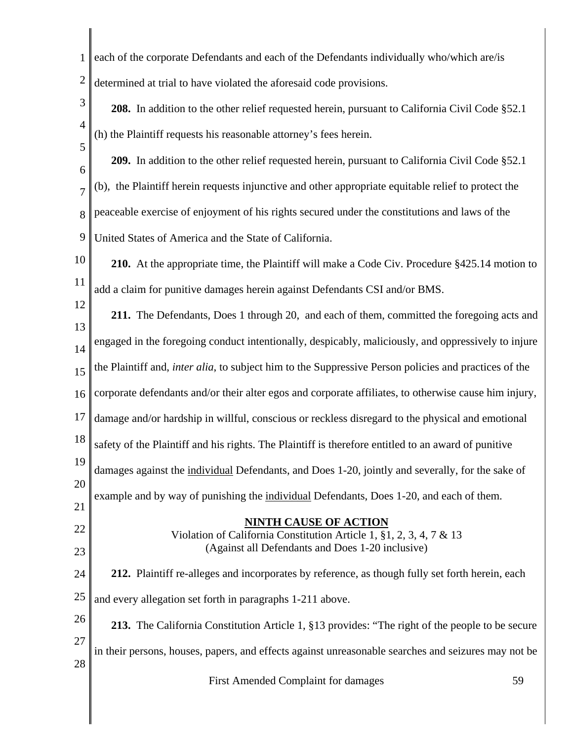| $\mathbf{1}$   | each of the corporate Defendants and each of the Defendants individually who/which are/is                                    |
|----------------|------------------------------------------------------------------------------------------------------------------------------|
| $\overline{c}$ | determined at trial to have violated the aforesaid code provisions.                                                          |
| 3              | 208. In addition to the other relief requested herein, pursuant to California Civil Code §52.1                               |
| $\overline{4}$ | (h) the Plaintiff requests his reasonable attorney's fees herein.                                                            |
| 5<br>6         | 209. In addition to the other relief requested herein, pursuant to California Civil Code §52.1                               |
| $\overline{7}$ | (b), the Plaintiff herein requests injunctive and other appropriate equitable relief to protect the                          |
| 8              | peaceable exercise of enjoyment of his rights secured under the constitutions and laws of the                                |
| 9              | United States of America and the State of California.                                                                        |
| 10             | 210. At the appropriate time, the Plaintiff will make a Code Civ. Procedure §425.14 motion to                                |
| 11             | add a claim for punitive damages herein against Defendants CSI and/or BMS.                                                   |
| 12             | 211. The Defendants, Does 1 through 20, and each of them, committed the foregoing acts and                                   |
| 13<br>14       | engaged in the foregoing conduct intentionally, despicably, maliciously, and oppressively to injure                          |
| 15             | the Plaintiff and, <i>inter alia</i> , to subject him to the Suppressive Person policies and practices of the                |
| 16             | corporate defendants and/or their alter egos and corporate affiliates, to otherwise cause him injury,                        |
| 17             | damage and/or hardship in willful, conscious or reckless disregard to the physical and emotional                             |
| 18             | safety of the Plaintiff and his rights. The Plaintiff is therefore entitled to an award of punitive                          |
| 19             | damages against the individual Defendants, and Does 1-20, jointly and severally, for the sake of                             |
| 20             | example and by way of punishing the individual Defendants, Does 1-20, and each of them.                                      |
| 21<br>22       | <b>NINTH CAUSE OF ACTION</b>                                                                                                 |
| 23             | Violation of California Constitution Article 1, $\S 1, 2, 3, 4, 7 \& 13$<br>(Against all Defendants and Does 1-20 inclusive) |
| 24             | 212. Plaintiff re-alleges and incorporates by reference, as though fully set forth herein, each                              |
| 25             | and every allegation set forth in paragraphs 1-211 above.                                                                    |
| 26             | 213. The California Constitution Article 1, §13 provides: "The right of the people to be secure                              |
| 27             | in their persons, houses, papers, and effects against unreasonable searches and seizures may not be                          |
| 28             | First Amended Complaint for damages<br>59                                                                                    |
|                |                                                                                                                              |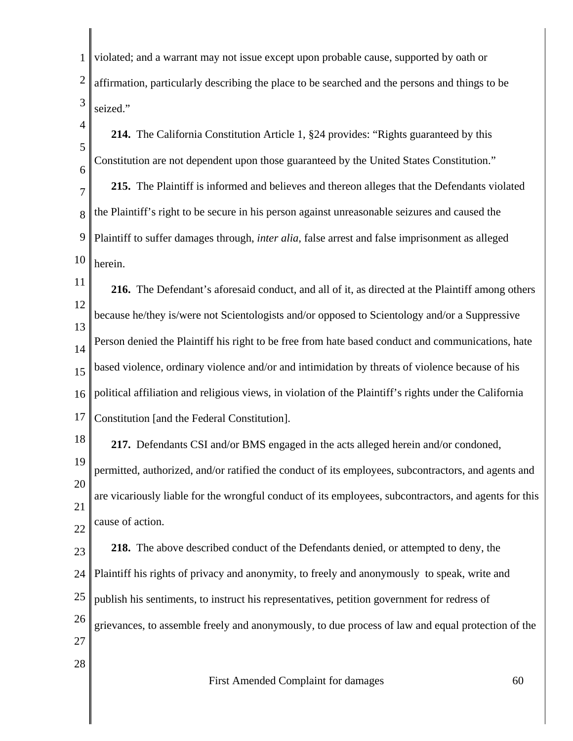1 2 3 violated; and a warrant may not issue except upon probable cause, supported by oath or affirmation, particularly describing the place to be searched and the persons and things to be seized."

- 4 5 6 **214.** The California Constitution Article 1, §24 provides: "Rights guaranteed by this Constitution are not dependent upon those guaranteed by the United States Constitution."
- 7 8 9 10 **215.** The Plaintiff is informed and believes and thereon alleges that the Defendants violated the Plaintiff's right to be secure in his person against unreasonable seizures and caused the Plaintiff to suffer damages through, *inter alia*, false arrest and false imprisonment as alleged herein.

11 12 13 14 15 16 17 **216.** The Defendant's aforesaid conduct, and all of it, as directed at the Plaintiff among others because he/they is/were not Scientologists and/or opposed to Scientology and/or a Suppressive Person denied the Plaintiff his right to be free from hate based conduct and communications, hate based violence, ordinary violence and/or and intimidation by threats of violence because of his political affiliation and religious views, in violation of the Plaintiff's rights under the California Constitution [and the Federal Constitution].

18 19 20 21 **217.** Defendants CSI and/or BMS engaged in the acts alleged herein and/or condoned, permitted, authorized, and/or ratified the conduct of its employees, subcontractors, and agents and are vicariously liable for the wrongful conduct of its employees, subcontractors, and agents for this cause of action.

22

28

23 24 25 26 27 **218.** The above described conduct of the Defendants denied, or attempted to deny, the Plaintiff his rights of privacy and anonymity, to freely and anonymously to speak, write and publish his sentiments, to instruct his representatives, petition government for redress of grievances, to assemble freely and anonymously, to due process of law and equal protection of the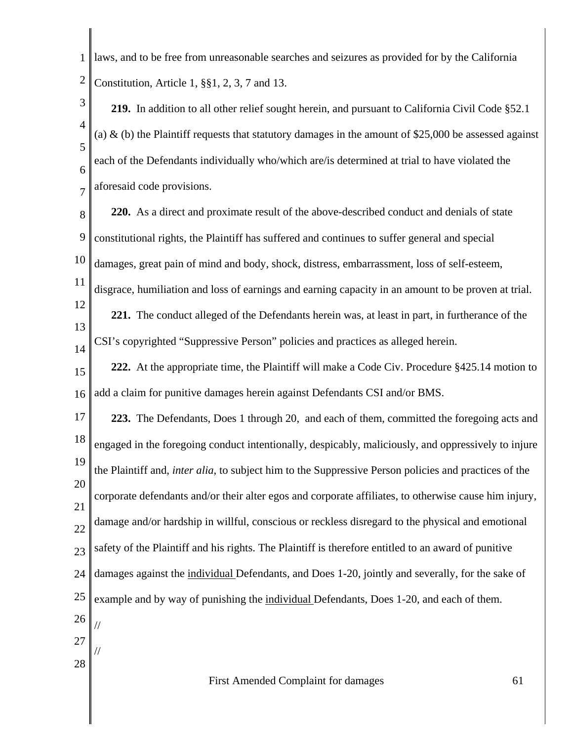1 2 laws, and to be free from unreasonable searches and seizures as provided for by the California Constitution, Article 1, §§1, 2, 3, 7 and 13.

3 4 5 6 7 **219.** In addition to all other relief sought herein, and pursuant to California Civil Code §52.1 (a)  $\&$  (b) the Plaintiff requests that statutory damages in the amount of \$25,000 be assessed against each of the Defendants individually who/which are/is determined at trial to have violated the aforesaid code provisions.

8 9 10 11 12 13 14 15 16 17 18 19 **220.** As a direct and proximate result of the above-described conduct and denials of state constitutional rights, the Plaintiff has suffered and continues to suffer general and special damages, great pain of mind and body, shock, distress, embarrassment, loss of self-esteem, disgrace, humiliation and loss of earnings and earning capacity in an amount to be proven at trial. **221.** The conduct alleged of the Defendants herein was, at least in part, in furtherance of the CSI's copyrighted "Suppressive Person" policies and practices as alleged herein. **222.** At the appropriate time, the Plaintiff will make a Code Civ. Procedure §425.14 motion to add a claim for punitive damages herein against Defendants CSI and/or BMS. **223.** The Defendants, Does 1 through 20, and each of them, committed the foregoing acts and engaged in the foregoing conduct intentionally, despicably, maliciously, and oppressively to injure

20 21 22 23 24 25 26 the Plaintiff and, *inter alia*, to subject him to the Suppressive Person policies and practices of the corporate defendants and/or their alter egos and corporate affiliates, to otherwise cause him injury, damage and/or hardship in willful, conscious or reckless disregard to the physical and emotional safety of the Plaintiff and his rights. The Plaintiff is therefore entitled to an award of punitive damages against the individual Defendants, and Does 1-20, jointly and severally, for the sake of example and by way of punishing the individual Defendants, Does 1-20, and each of them. //

27

//

28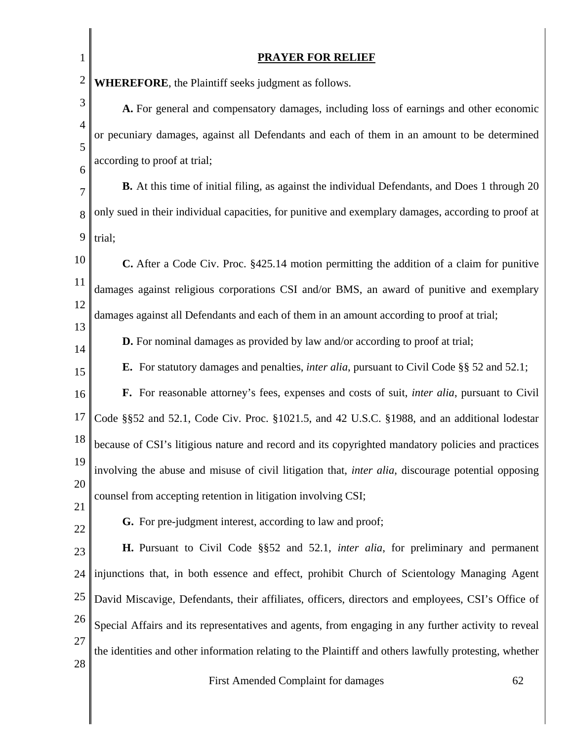| $\mathbf{1}$   | <b>PRAYER FOR RELIEF</b>                                                                                   |  |
|----------------|------------------------------------------------------------------------------------------------------------|--|
| $\mathbf{2}$   | <b>WHEREFORE</b> , the Plaintiff seeks judgment as follows.                                                |  |
| 3              | A. For general and compensatory damages, including loss of earnings and other economic                     |  |
| $\overline{4}$ | or pecuniary damages, against all Defendants and each of them in an amount to be determined                |  |
| 5<br>6         | according to proof at trial;                                                                               |  |
| $\overline{7}$ | B. At this time of initial filing, as against the individual Defendants, and Does 1 through 20             |  |
| 8              | only sued in their individual capacities, for punitive and exemplary damages, according to proof at        |  |
| 9              | trial;                                                                                                     |  |
| 10             | C. After a Code Civ. Proc. §425.14 motion permitting the addition of a claim for punitive                  |  |
| 11             | damages against religious corporations CSI and/or BMS, an award of punitive and exemplary                  |  |
| 12             | damages against all Defendants and each of them in an amount according to proof at trial;                  |  |
| 13             | <b>D.</b> For nominal damages as provided by law and/or according to proof at trial;                       |  |
| 14             | E. For statutory damages and penalties, <i>inter alia</i> , pursuant to Civil Code §§ 52 and 52.1;         |  |
| 15             | F. For reasonable attorney's fees, expenses and costs of suit, <i>inter alia</i> , pursuant to Civil       |  |
| 16<br>17       |                                                                                                            |  |
| 18             | Code §§52 and 52.1, Code Civ. Proc. §1021.5, and 42 U.S.C. §1988, and an additional lodestar               |  |
| 19             | because of CSI's litigious nature and record and its copyrighted mandatory policies and practices          |  |
| 20             | involving the abuse and misuse of civil litigation that, <i>inter alia</i> , discourage potential opposing |  |
| 21             | counsel from accepting retention in litigation involving CSI;                                              |  |
| 22             | G. For pre-judgment interest, according to law and proof;                                                  |  |
| 23             | H. Pursuant to Civil Code §§52 and 52.1, inter alia, for preliminary and permanent                         |  |
| 24             | injunctions that, in both essence and effect, prohibit Church of Scientology Managing Agent                |  |
| 25             | David Miscavige, Defendants, their affiliates, officers, directors and employees, CSI's Office of          |  |
| 26             | Special Affairs and its representatives and agents, from engaging in any further activity to reveal        |  |
| 27             | the identities and other information relating to the Plaintiff and others lawfully protesting, whether     |  |
| 28             | First Amended Complaint for damages<br>62                                                                  |  |

 $\parallel$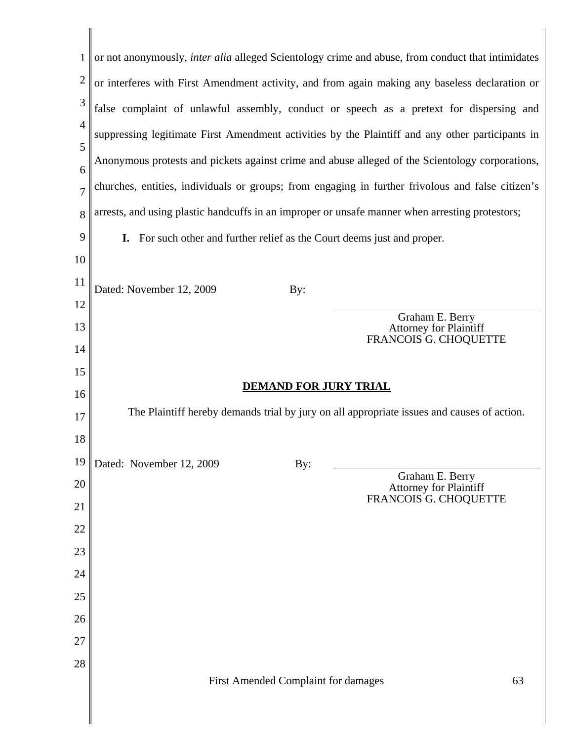| $\mathbf{1}$        | or not anonymously, <i>inter alia</i> alleged Scientology crime and abuse, from conduct that intimidates |
|---------------------|----------------------------------------------------------------------------------------------------------|
| $\overline{2}$      | or interferes with First Amendment activity, and from again making any baseless declaration or           |
| 3                   | false complaint of unlawful assembly, conduct or speech as a pretext for dispersing and                  |
| $\overline{4}$<br>5 | suppressing legitimate First Amendment activities by the Plaintiff and any other participants in         |
| 6                   | Anonymous protests and pickets against crime and abuse alleged of the Scientology corporations,          |
| $\overline{7}$      | churches, entities, individuals or groups; from engaging in further frivolous and false citizen's        |
| 8                   | arrests, and using plastic handcuffs in an improper or unsafe manner when arresting protestors;          |
| 9                   | For such other and further relief as the Court deems just and proper.<br>I.                              |
| 10                  |                                                                                                          |
| 11                  | Dated: November 12, 2009<br>By:                                                                          |
| 12                  | Graham E. Berry                                                                                          |
| 13                  | <b>Attorney for Plaintiff</b><br>FRANCOIS G. CHOQUETTE                                                   |
| 14<br>15            |                                                                                                          |
|                     |                                                                                                          |
|                     | <b>DEMAND FOR JURY TRIAL</b>                                                                             |
| 16                  | The Plaintiff hereby demands trial by jury on all appropriate issues and causes of action.               |
| 17<br>18            |                                                                                                          |
|                     | By:                                                                                                      |
| 20                  | 19    Dated: November 12, 2009<br>Graham E. Berry<br><b>Attorney for Plaintiff</b>                       |
| 21                  | FRANCOIS G. CHOQUETTE                                                                                    |
| 22                  |                                                                                                          |
| 23                  |                                                                                                          |
| 24                  |                                                                                                          |
| 25                  |                                                                                                          |
| 26                  |                                                                                                          |
| 27                  |                                                                                                          |
| 28                  | First Amended Complaint for damages<br>63                                                                |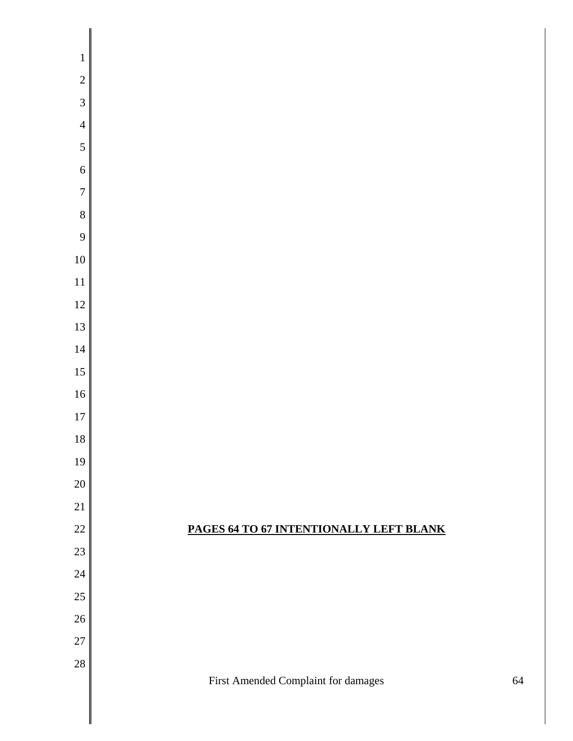